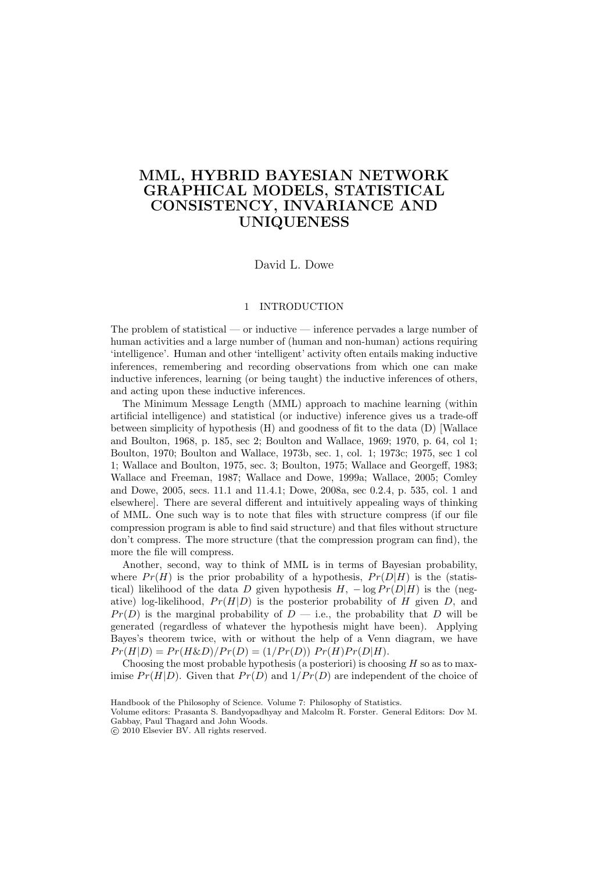# MML, HYBRID BAYESIAN NETWORK GRAPHICAL MODELS, STATISTICAL CONSISTENCY, INVARIANCE AND UNIQUENESS

### David L. Dowe

### 1 INTRODUCTION

The problem of statistical — or inductive — inference pervades a large number of human activities and a large number of (human and non-human) actions requiring 'intelligence'. Human and other 'intelligent' activity often entails making inductive inferences, remembering and recording observations from which one can make inductive inferences, learning (or being taught) the inductive inferences of others, and acting upon these inductive inferences.

The Minimum Message Length (MML) approach to machine learning (within artificial intelligence) and statistical (or inductive) inference gives us a trade-off between simplicity of hypothesis (H) and goodness of fit to the data (D) [Wallace and Boulton, 1968, p. 185, sec 2; Boulton and Wallace, 1969; 1970, p. 64, col 1; Boulton, 1970; Boulton and Wallace, 1973b, sec. 1, col. 1; 1973c; 1975, sec 1 col 1; Wallace and Boulton, 1975, sec. 3; Boulton, 1975; Wallace and Georgeff, 1983; Wallace and Freeman, 1987; Wallace and Dowe, 1999a; Wallace, 2005; Comley and Dowe, 2005, secs. 11.1 and 11.4.1; Dowe, 2008a, sec 0.2.4, p. 535, col. 1 and elsewhere]. There are several different and intuitively appealing ways of thinking of MML. One such way is to note that files with structure compress (if our file compression program is able to find said structure) and that files without structure don't compress. The more structure (that the compression program can find), the more the file will compress.

Another, second, way to think of MML is in terms of Bayesian probability, where  $Pr(H)$  is the prior probability of a hypothesis,  $Pr(D|H)$  is the (statistical) likelihood of the data D given hypothesis  $H$ ,  $-\log Pr(D|H)$  is the (negative) log-likelihood,  $Pr(H|D)$  is the posterior probability of H given D, and  $Pr(D)$  is the marginal probability of  $D$  — i.e., the probability that D will be generated (regardless of whatever the hypothesis might have been). Applying Bayes's theorem twice, with or without the help of a Venn diagram, we have  $Pr(H|D) = Pr(H \& D)/Pr(D) = (1/Pr(D)) Pr(H)Pr(D|H).$ 

Choosing the most probable hypothesis (a posteriori) is choosing  $H$  so as to maximise  $Pr(H|D)$ . Given that  $Pr(D)$  and  $1/Pr(D)$  are independent of the choice of

Handbook of the Philosophy of Science. Volume 7: Philosophy of Statistics.

Volume editors: Prasanta S. Bandyopadhyay and Malcolm R. Forster. General Editors: Dov M. Gabbay, Paul Thagard and John Woods.

c 2010 Elsevier BV. All rights reserved.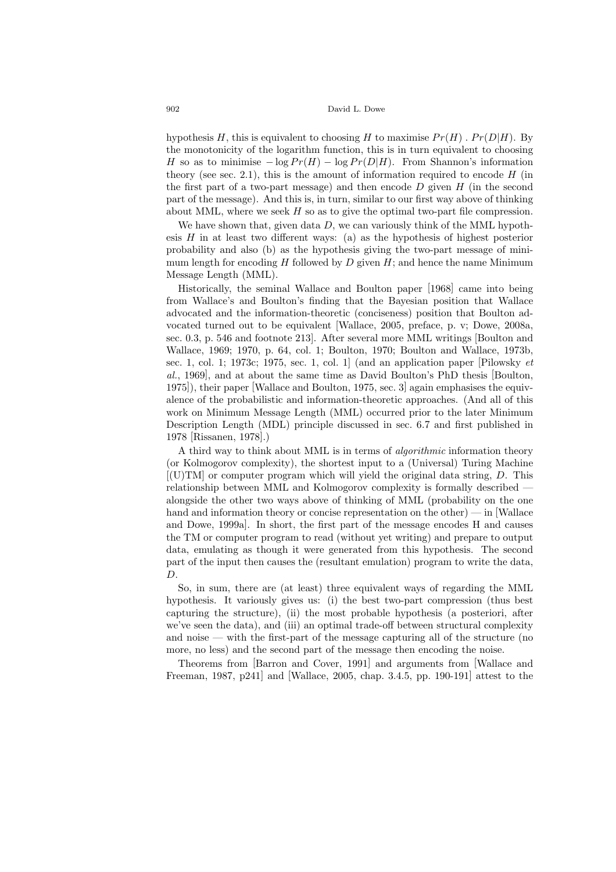hypothesis H, this is equivalent to choosing H to maximise  $Pr(H)$  .  $Pr(D|H)$ . By the monotonicity of the logarithm function, this is in turn equivalent to choosing H so as to minimise  $-\log Pr(H) - \log Pr(D|H)$ . From Shannon's information theory (see sec. 2.1), this is the amount of information required to encode  $H$  (in the first part of a two-part message) and then encode  $D$  given  $H$  (in the second part of the message). And this is, in turn, similar to our first way above of thinking about MML, where we seek  $H$  so as to give the optimal two-part file compression.

We have shown that, given data  $D$ , we can variously think of the MML hypothesis  $H$  in at least two different ways: (a) as the hypothesis of highest posterior probability and also (b) as the hypothesis giving the two-part message of minimum length for encoding  $H$  followed by  $D$  given  $H$ ; and hence the name Minimum Message Length (MML).

Historically, the seminal Wallace and Boulton paper [1968] came into being from Wallace's and Boulton's finding that the Bayesian position that Wallace advocated and the information-theoretic (conciseness) position that Boulton advocated turned out to be equivalent [Wallace, 2005, preface, p. v; Dowe, 2008a, sec. 0.3, p. 546 and footnote 213]. After several more MML writings [Boulton and Wallace, 1969; 1970, p. 64, col. 1; Boulton, 1970; Boulton and Wallace, 1973b, sec. 1, col. 1; 1973c; 1975, sec. 1, col. 1] (and an application paper [Pilowsky et al., 1969], and at about the same time as David Boulton's PhD thesis [Boulton, 1975]), their paper [Wallace and Boulton, 1975, sec. 3] again emphasises the equivalence of the probabilistic and information-theoretic approaches. (And all of this work on Minimum Message Length (MML) occurred prior to the later Minimum Description Length (MDL) principle discussed in sec. 6.7 and first published in 1978 [Rissanen, 1978].)

A third way to think about MML is in terms of algorithmic information theory (or Kolmogorov complexity), the shortest input to a (Universal) Turing Machine  $[(U)TM]$  or computer program which will yield the original data string, D. This relationship between MML and Kolmogorov complexity is formally described alongside the other two ways above of thinking of MML (probability on the one hand and information theory or concise representation on the other) — in [Wallace and Dowe, 1999a]. In short, the first part of the message encodes H and causes the TM or computer program to read (without yet writing) and prepare to output data, emulating as though it were generated from this hypothesis. The second part of the input then causes the (resultant emulation) program to write the data, D.

So, in sum, there are (at least) three equivalent ways of regarding the MML hypothesis. It variously gives us: (i) the best two-part compression (thus best capturing the structure), (ii) the most probable hypothesis (a posteriori, after we've seen the data), and (iii) an optimal trade-off between structural complexity and noise — with the first-part of the message capturing all of the structure (no more, no less) and the second part of the message then encoding the noise.

Theorems from [Barron and Cover, 1991] and arguments from [Wallace and Freeman, 1987, p241] and [Wallace, 2005, chap. 3.4.5, pp. 190-191] attest to the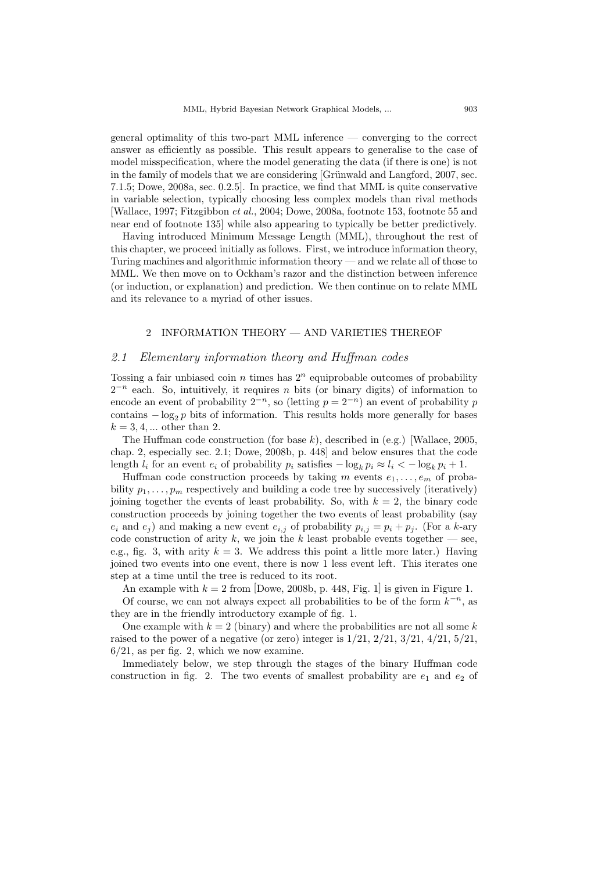general optimality of this two-part MML inference — converging to the correct answer as efficiently as possible. This result appears to generalise to the case of model misspecification, where the model generating the data (if there is one) is not in the family of models that we are considering  $[Gri$ inwald and Langford, 2007, sec. 7.1.5; Dowe, 2008a, sec. 0.2.5]. In practice, we find that MML is quite conservative in variable selection, typically choosing less complex models than rival methods [Wallace, 1997; Fitzgibbon et al., 2004; Dowe, 2008a, footnote 153, footnote 55 and near end of footnote 135] while also appearing to typically be better predictively.

Having introduced Minimum Message Length (MML), throughout the rest of this chapter, we proceed initially as follows. First, we introduce information theory, Turing machines and algorithmic information theory — and we relate all of those to MML. We then move on to Ockham's razor and the distinction between inference (or induction, or explanation) and prediction. We then continue on to relate MML and its relevance to a myriad of other issues.

### 2 INFORMATION THEORY — AND VARIETIES THEREOF

## 2.1 Elementary information theory and Huffman codes

Tossing a fair unbiased coin n times has  $2^n$  equiprobable outcomes of probability  $2^{-n}$  each. So, intuitively, it requires n bits (or binary digits) of information to encode an event of probability  $2^{-n}$ , so (letting  $p = 2^{-n}$ ) an event of probability p contains  $-\log_2 p$  bits of information. This results holds more generally for bases  $k = 3, 4, \dots$  other than 2.

The Huffman code construction (for base  $k$ ), described in (e.g.) [Wallace, 2005, chap. 2, especially sec. 2.1; Dowe, 2008b, p. 448] and below ensures that the code length  $l_i$  for an event  $e_i$  of probability  $p_i$  satisfies  $-\log_k p_i \approx l_i < -\log_k p_i + 1$ .

Huffman code construction proceeds by taking m events  $e_1, \ldots, e_m$  of probability  $p_1, \ldots, p_m$  respectively and building a code tree by successively (iteratively) joining together the events of least probability. So, with  $k = 2$ , the binary code construction proceeds by joining together the two events of least probability (say  $e_i$  and  $e_j$ ) and making a new event  $e_{i,j}$  of probability  $p_{i,j} = p_i + p_j$ . (For a k-ary code construction of arity k, we join the k least probable events together  $-$  see, e.g., fig. 3, with arity  $k = 3$ . We address this point a little more later.) Having joined two events into one event, there is now 1 less event left. This iterates one step at a time until the tree is reduced to its root.

An example with  $k = 2$  from [Dowe, 2008b, p. 448, Fig. 1] is given in Figure 1.

Of course, we can not always expect all probabilities to be of the form  $k^{-n}$ , as they are in the friendly introductory example of fig. 1.

One example with  $k = 2$  (binary) and where the probabilities are not all some k raised to the power of a negative (or zero) integer is  $1/21$ ,  $2/21$ ,  $3/21$ ,  $4/21$ ,  $5/21$ ,  $6/21$ , as per fig. 2, which we now examine.

Immediately below, we step through the stages of the binary Huffman code construction in fig. 2. The two events of smallest probability are  $e_1$  and  $e_2$  of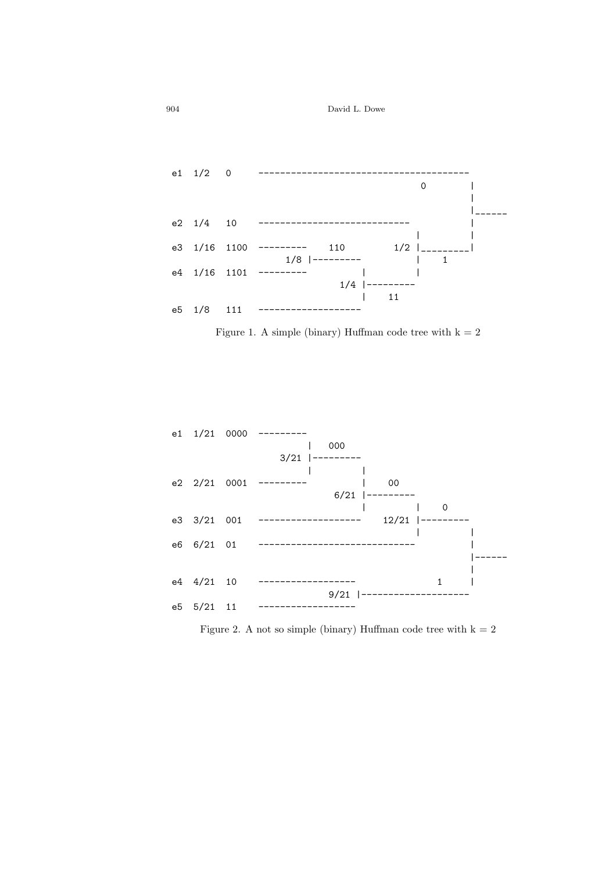

Figure 1. A simple (binary) Huffman code tree with  $k = 2$ 



Figure 2. A not so simple (binary) Huffman code tree with  $k = 2$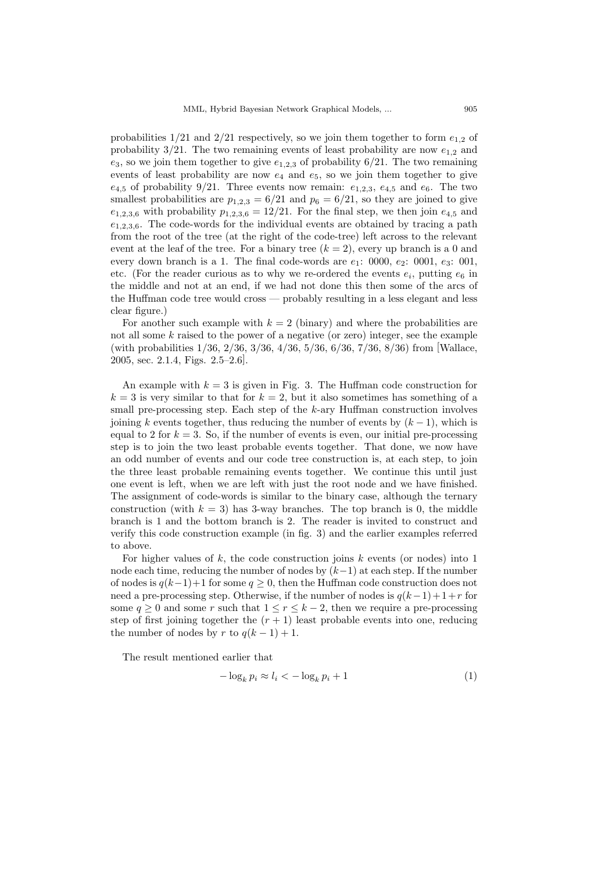probabilities  $1/21$  and  $2/21$  respectively, so we join them together to form  $e_{1,2}$  of probability  $3/21$ . The two remaining events of least probability are now  $e_{1,2}$  and  $e_3$ , so we join them together to give  $e_{1,2,3}$  of probability  $6/21$ . The two remaining events of least probability are now  $e_4$  and  $e_5$ , so we join them together to give  $e_{4,5}$  of probability 9/21. Three events now remain:  $e_{1,2,3}$ ,  $e_{4,5}$  and  $e_6$ . The two smallest probabilities are  $p_{1,2,3} = 6/21$  and  $p_6 = 6/21$ , so they are joined to give  $e_{1,2,3,6}$  with probability  $p_{1,2,3,6} = 12/21$ . For the final step, we then join  $e_{4,5}$  and  $e_{1,2,3,6}$ . The code-words for the individual events are obtained by tracing a path from the root of the tree (at the right of the code-tree) left across to the relevant event at the leaf of the tree. For a binary tree  $(k = 2)$ , every up branch is a 0 and every down branch is a 1. The final code-words are  $e_1$ : 0000,  $e_2$ : 0001,  $e_3$ : 001, etc. (For the reader curious as to why we re-ordered the events  $e_i$ , putting  $e_6$  in the middle and not at an end, if we had not done this then some of the arcs of the Huffman code tree would cross — probably resulting in a less elegant and less clear figure.)

For another such example with  $k = 2$  (binary) and where the probabilities are not all some k raised to the power of a negative (or zero) integer, see the example (with probabilities 1/36, 2/36, 3/36, 4/36, 5/36, 6/36, 7/36, 8/36) from [Wallace, 2005, sec. 2.1.4, Figs. 2.5–2.6].

An example with  $k = 3$  is given in Fig. 3. The Huffman code construction for  $k = 3$  is very similar to that for  $k = 2$ , but it also sometimes has something of a small pre-processing step. Each step of the  $k$ -ary Huffman construction involves joining k events together, thus reducing the number of events by  $(k-1)$ , which is equal to 2 for  $k = 3$ . So, if the number of events is even, our initial pre-processing step is to join the two least probable events together. That done, we now have an odd number of events and our code tree construction is, at each step, to join the three least probable remaining events together. We continue this until just one event is left, when we are left with just the root node and we have finished. The assignment of code-words is similar to the binary case, although the ternary construction (with  $k = 3$ ) has 3-way branches. The top branch is 0, the middle branch is 1 and the bottom branch is 2. The reader is invited to construct and verify this code construction example (in fig. 3) and the earlier examples referred to above.

For higher values of  $k$ , the code construction joins  $k$  events (or nodes) into 1 node each time, reducing the number of nodes by  $(k-1)$  at each step. If the number of nodes is  $q(k-1)+1$  for some  $q \geq 0$ , then the Huffman code construction does not need a pre-processing step. Otherwise, if the number of nodes is  $q(k-1)+1+r$  for some  $q \geq 0$  and some r such that  $1 \leq r \leq k-2$ , then we require a pre-processing step of first joining together the  $(r + 1)$  least probable events into one, reducing the number of nodes by r to  $q(k-1) + 1$ .

The result mentioned earlier that

$$
-\log_k p_i \approx l_i < -\log_k p_i + 1 \tag{1}
$$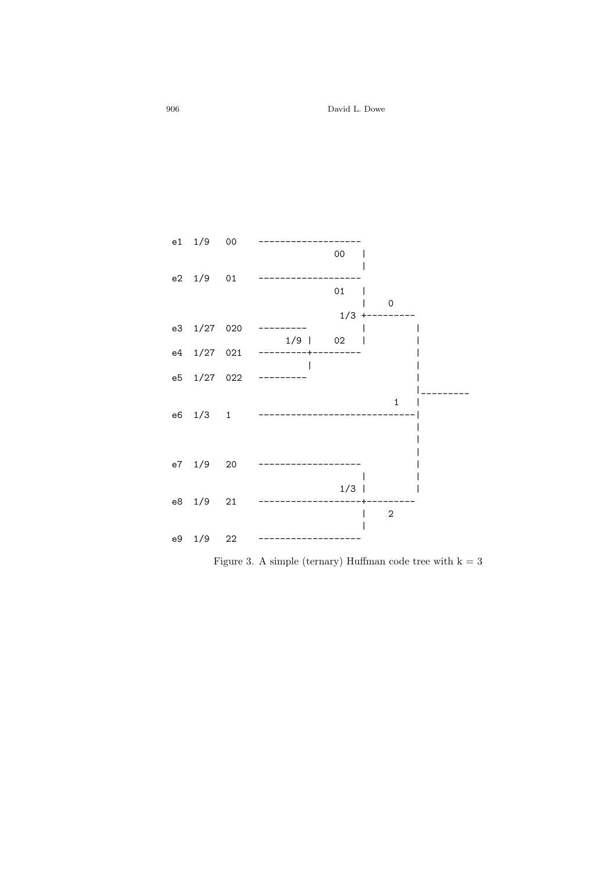

Figure 3. A simple (ternary) Huffman code tree with  $\mathbf{k}=3$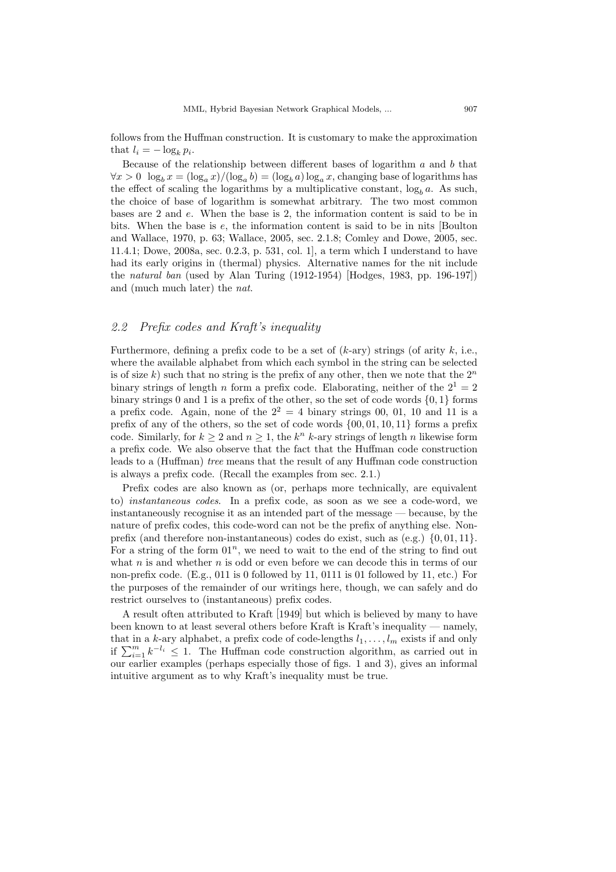follows from the Huffman construction. It is customary to make the approximation that  $l_i = -\log_k p_i$ .

Because of the relationship between different bases of logarithm  $a$  and  $b$  that  $\forall x > 0$   $\log_b x = (\log_a x)/(\log_a b) = (\log_b a) \log_a x$ , changing base of logarithms has the effect of scaling the logarithms by a multiplicative constant,  $\log_b a$ . As such, the choice of base of logarithm is somewhat arbitrary. The two most common bases are 2 and e. When the base is 2, the information content is said to be in bits. When the base is e, the information content is said to be in nits [Boulton and Wallace, 1970, p. 63; Wallace, 2005, sec. 2.1.8; Comley and Dowe, 2005, sec. 11.4.1; Dowe, 2008a, sec. 0.2.3, p. 531, col. 1], a term which I understand to have had its early origins in (thermal) physics. Alternative names for the nit include the natural ban (used by Alan Turing (1912-1954) [Hodges, 1983, pp. 196-197]) and (much much later) the nat.

# 2.2 Prefix codes and Kraft's inequality

Furthermore, defining a prefix code to be a set of  $(k$ -ary) strings (of arity k, i.e., where the available alphabet from which each symbol in the string can be selected is of size k) such that no string is the prefix of any other, then we note that the  $2^n$ binary strings of length n form a prefix code. Elaborating, neither of the  $2^1 = 2$ binary strings 0 and 1 is a prefix of the other, so the set of code words  $\{0, 1\}$  forms a prefix code. Again, none of the  $2^2 = 4$  binary strings 00, 01, 10 and 11 is a prefix of any of the others, so the set of code words {00, 01, 10, 11} forms a prefix code. Similarly, for  $k \geq 2$  and  $n \geq 1$ , the  $k^n$  k-ary strings of length n likewise form a prefix code. We also observe that the fact that the Huffman code construction leads to a (Huffman) tree means that the result of any Huffman code construction is always a prefix code. (Recall the examples from sec. 2.1.)

Prefix codes are also known as (or, perhaps more technically, are equivalent to) instantaneous codes. In a prefix code, as soon as we see a code-word, we instantaneously recognise it as an intended part of the message — because, by the nature of prefix codes, this code-word can not be the prefix of anything else. Nonprefix (and therefore non-instantaneous) codes do exist, such as  $(e.g.,\)$  {0, 01, 11}. For a string of the form  $01^n$ , we need to wait to the end of the string to find out what  $n$  is and whether  $n$  is odd or even before we can decode this in terms of our non-prefix code. (E.g., 011 is 0 followed by 11, 0111 is 01 followed by 11, etc.) For the purposes of the remainder of our writings here, though, we can safely and do restrict ourselves to (instantaneous) prefix codes.

A result often attributed to Kraft [1949] but which is believed by many to have been known to at least several others before Kraft is Kraft's inequality — namely, that in a k-ary alphabet, a prefix code of code-lengths  $l_1, \ldots, l_m$  exists if and only if  $\sum_{i=1}^{m} k^{-l_i} \leq 1$ . The Huffman code construction algorithm, as carried out in our earlier examples (perhaps especially those of figs. 1 and 3), gives an informal intuitive argument as to why Kraft's inequality must be true.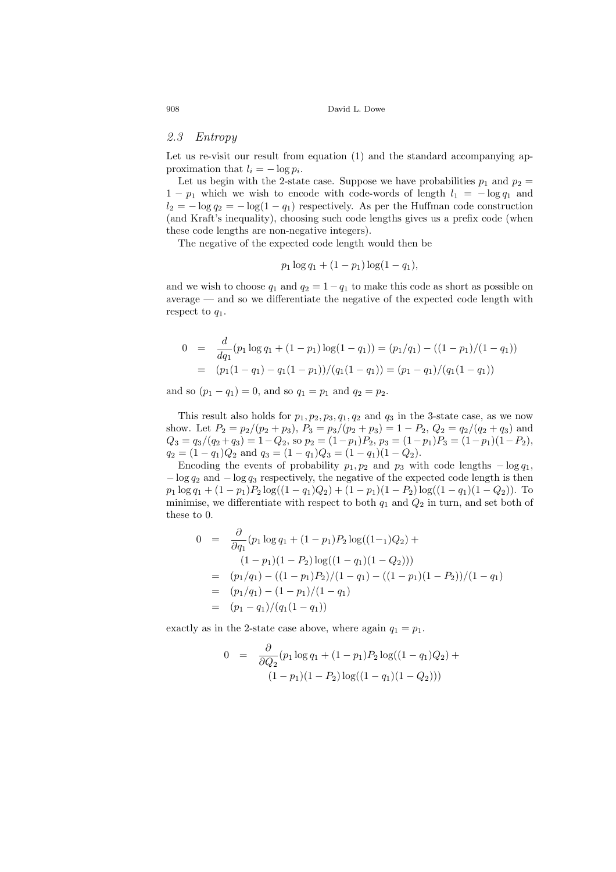## 2.3 Entropy

Let us re-visit our result from equation (1) and the standard accompanying approximation that  $l_i = -\log p_i$ .

Let us begin with the 2-state case. Suppose we have probabilities  $p_1$  and  $p_2 =$  $1 - p_1$  which we wish to encode with code-words of length  $l_1 = -\log q_1$  and  $l_2 = -\log q_2 = -\log(1 - q_1)$  respectively. As per the Huffman code construction (and Kraft's inequality), choosing such code lengths gives us a prefix code (when these code lengths are non-negative integers).

The negative of the expected code length would then be

$$
p_1 \log q_1 + (1 - p_1) \log(1 - q_1),
$$

and we wish to choose  $q_1$  and  $q_2 = 1 - q_1$  to make this code as short as possible on average — and so we differentiate the negative of the expected code length with respect to  $q_1$ .

$$
0 = \frac{d}{dq_1}(p_1 \log q_1 + (1 - p_1) \log(1 - q_1)) = (p_1/q_1) - ((1 - p_1)/(1 - q_1))
$$
  
=  $(p_1(1 - q_1) - q_1(1 - p_1))/(q_1(1 - q_1)) = (p_1 - q_1)/(q_1(1 - q_1))$ 

and so  $(p_1 - q_1) = 0$ , and so  $q_1 = p_1$  and  $q_2 = p_2$ .

This result also holds for  $p_1, p_2, p_3, q_1, q_2$  and  $q_3$  in the 3-state case, as we now show. Let  $P_2 = p_2/(p_2 + p_3)$ ,  $P_3 = p_3/(p_2 + p_3) = 1 - P_2$ ,  $Q_2 = q_2/(q_2 + q_3)$  and  $Q_3 = q_3/(q_2+q_3) = 1-Q_2$ , so  $p_2 = (1-p_1)P_2$ ,  $p_3 = (1-p_1)P_3 = (1-p_1)(1-P_2)$ ,  $q_2 = (1 - q_1)Q_2$  and  $q_3 = (1 - q_1)Q_3 = (1 - q_1)(1 - Q_2)$ .

Encoding the events of probability  $p_1, p_2$  and  $p_3$  with code lengths  $-\log q_1$ ,  $-\log q_2$  and  $-\log q_3$  respectively, the negative of the expected code length is then  $p_1 \log q_1 + (1 - p_1)P_2 \log((1 - q_1)Q_2) + (1 - p_1)(1 - P_2) \log((1 - q_1)(1 - Q_2)).$  To minimise, we differentiate with respect to both  $q_1$  and  $Q_2$  in turn, and set both of these to 0.

$$
0 = \frac{\partial}{\partial q_1}(p_1 \log q_1 + (1 - p_1)P_2 \log((1 - 1)Q_2) +
$$
  
\n
$$
(1 - p_1)(1 - P_2) \log((1 - q_1)(1 - Q_2)))
$$
  
\n
$$
= (p_1/q_1) - ((1 - p_1)P_2)/(1 - q_1) - ((1 - p_1)(1 - P_2))/(1 - q_1)
$$
  
\n
$$
= (p_1/q_1) - (1 - p_1)/(1 - q_1)
$$
  
\n
$$
= (p_1 - q_1)/(q_1(1 - q_1))
$$

exactly as in the 2-state case above, where again  $q_1 = p_1$ .

$$
0 = \frac{\partial}{\partial Q_2}(p_1 \log q_1 + (1 - p_1)P_2 \log((1 - q_1)Q_2) + (1 - p_1)(1 - P_2) \log((1 - q_1)(1 - Q_2)))
$$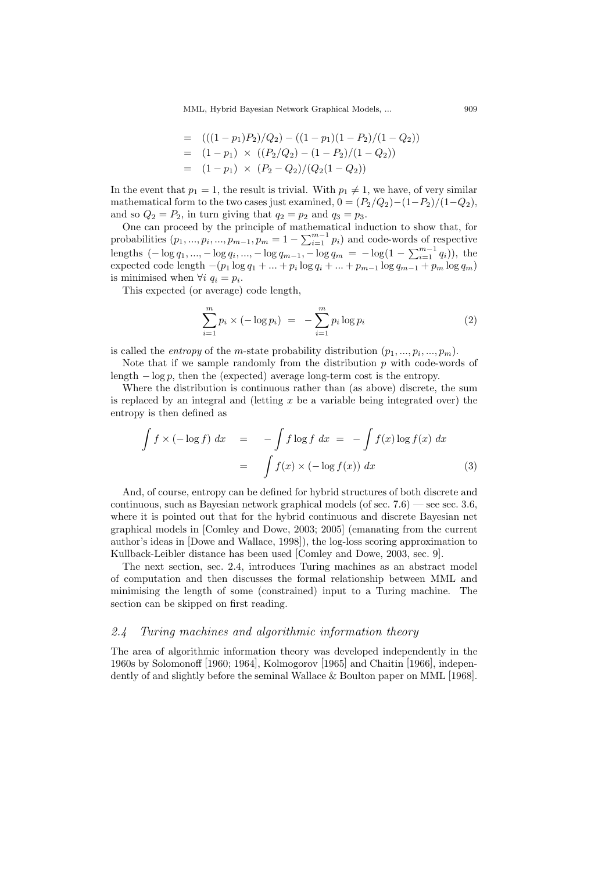MML, Hybrid Bayesian Network Graphical Models, ... 909

$$
= ((((1-p1)P2)/Q2) - ((1-p1)(1-P2)/(1-Q2))\n= (1-p1) × ((P2/Q2) - (1-P2)/(1-Q2))\n= (1-p1) × (P2-Q2)/(Q2(1-Q2))
$$

In the event that  $p_1 = 1$ , the result is trivial. With  $p_1 \neq 1$ , we have, of very similar mathematical form to the two cases just examined,  $0 = (P_2/Q_2)-(1-P_2)/(1-Q_2)$ , and so  $Q_2 = P_2$ , in turn giving that  $q_2 = p_2$  and  $q_3 = p_3$ .

One can proceed by the principle of mathematical induction to show that, for probabilities  $(p_1, ..., p_i, ..., p_{m-1}, p_m = 1 - \sum_{i=1}^{m-1} p_i)$  and code-words of respective lengths  $(-\log q_1, ..., -\log q_i, ..., -\log q_{m-1}, -\log q_m = -\log(1 - \sum_{i=1}^{m-1} q_i)),$  the expected code length  $-(p_1 \log q_1 + ... + p_i \log q_i + ... + p_{m-1} \log q_{m-1} + p_m \log q_m)$ is minimised when  $\forall i \ q_i = p_i$ .

This expected (or average) code length,

$$
\sum_{i=1}^{m} p_i \times (-\log p_i) = -\sum_{i=1}^{m} p_i \log p_i \tag{2}
$$

is called the *entropy* of the *m*-state probability distribution  $(p_1, ..., p_i, ..., p_m)$ .

Note that if we sample randomly from the distribution  $p$  with code-words of length  $-\log p$ , then the (expected) average long-term cost is the entropy.

Where the distribution is continuous rather than (as above) discrete, the sum is replaced by an integral and (letting  $x$  be a variable being integrated over) the entropy is then defined as

$$
\int f \times (-\log f) dx = -\int f \log f dx = -\int f(x) \log f(x) dx
$$

$$
= \int f(x) \times (-\log f(x)) dx
$$
(3)

And, of course, entropy can be defined for hybrid structures of both discrete and continuous, such as Bayesian network graphical models (of sec.  $7.6$ ) — see sec. 3.6, where it is pointed out that for the hybrid continuous and discrete Bayesian net graphical models in [Comley and Dowe, 2003; 2005] (emanating from the current author's ideas in [Dowe and Wallace, 1998]), the log-loss scoring approximation to Kullback-Leibler distance has been used [Comley and Dowe, 2003, sec. 9].

The next section, sec. 2.4, introduces Turing machines as an abstract model of computation and then discusses the formal relationship between MML and minimising the length of some (constrained) input to a Turing machine. The section can be skipped on first reading.

#### 2.4 Turing machines and algorithmic information theory

The area of algorithmic information theory was developed independently in the 1960s by Solomonoff [1960; 1964], Kolmogorov [1965] and Chaitin [1966], independently of and slightly before the seminal Wallace & Boulton paper on MML [1968].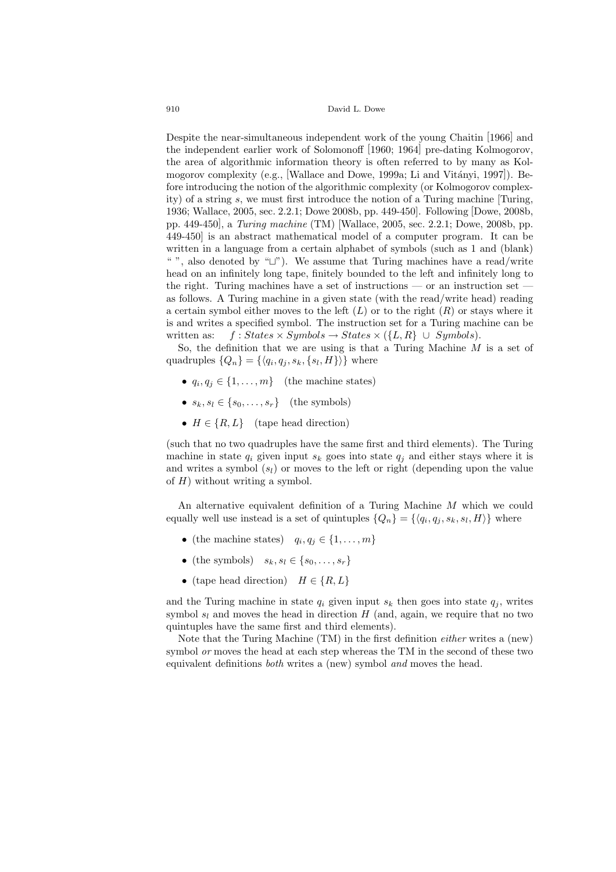Despite the near-simultaneous independent work of the young Chaitin [1966] and the independent earlier work of Solomonoff [1960; 1964] pre-dating Kolmogorov, the area of algorithmic information theory is often referred to by many as Kolmogorov complexity (e.g., [Wallace and Dowe, 1999a; Li and Vitányi, 1997]). Before introducing the notion of the algorithmic complexity (or Kolmogorov complexity) of a string s, we must first introduce the notion of a Turing machine [Turing, 1936; Wallace, 2005, sec. 2.2.1; Dowe 2008b, pp. 449-450]. Following [Dowe, 2008b, pp. 449-450], a Turing machine (TM) [Wallace, 2005, sec. 2.2.1; Dowe, 2008b, pp. 449-450] is an abstract mathematical model of a computer program. It can be written in a language from a certain alphabet of symbols (such as 1 and (blank) " ", also denoted by "⊔"). We assume that Turing machines have a read/write head on an infinitely long tape, finitely bounded to the left and infinitely long to the right. Turing machines have a set of instructions — or an instruction set as follows. A Turing machine in a given state (with the read/write head) reading a certain symbol either moves to the left  $(L)$  or to the right  $(R)$  or stays where it is and writes a specified symbol. The instruction set for a Turing machine can be written as:  $f : States \times Symbols \rightarrow States \times (\{L, R\} \cup Symbols).$ 

So, the definition that we are using is that a Turing Machine  $M$  is a set of quadruples  $\{Q_n\} = \{\langle q_i, q_j, s_k, \{s_l, H\} \rangle\}$  where

- $q_i, q_j \in \{1, \ldots, m\}$  (the machine states)
- $s_k, s_l \in \{s_0, \ldots, s_r\}$  (the symbols)
- $H \in \{R, L\}$  (tape head direction)

(such that no two quadruples have the same first and third elements). The Turing machine in state  $q_i$  given input  $s_k$  goes into state  $q_j$  and either stays where it is and writes a symbol  $(s<sub>l</sub>)$  or moves to the left or right (depending upon the value of  $H$ ) without writing a symbol.

An alternative equivalent definition of a Turing Machine M which we could equally well use instead is a set of quintuples  $\{Q_n\} = \{\langle q_i, q_j, s_k, s_l, H \rangle\}$  where

- (the machine states)  $q_i, q_j \in \{1, \ldots, m\}$
- (the symbols)  $s_k, s_l \in \{s_0, \ldots, s_r\}$
- (tape head direction)  $H \in \{R, L\}$

and the Turing machine in state  $q_i$  given input  $s_k$  then goes into state  $q_i$ , writes symbol  $s_l$  and moves the head in direction H (and, again, we require that no two quintuples have the same first and third elements).

Note that the Turing Machine (TM) in the first definition either writes a (new) symbol or moves the head at each step whereas the TM in the second of these two equivalent definitions both writes a (new) symbol and moves the head.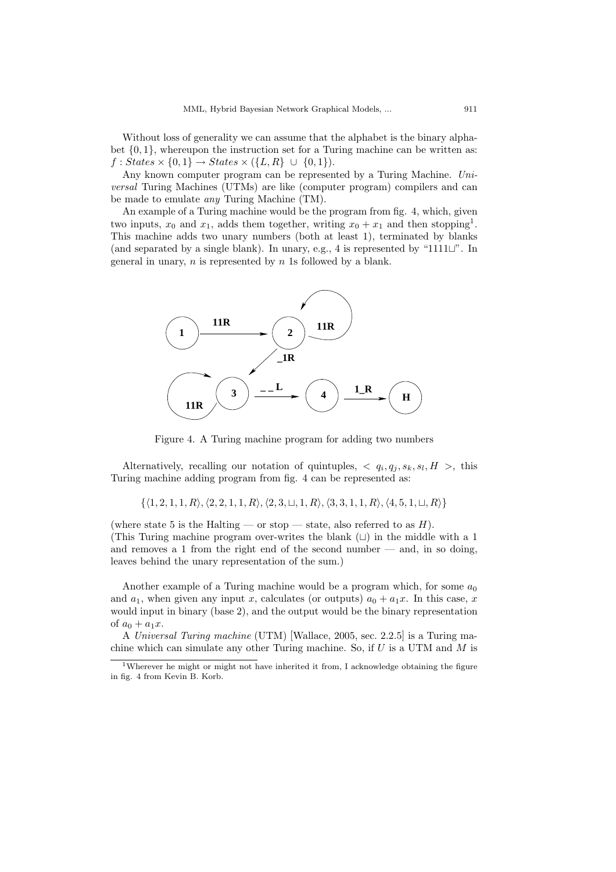Without loss of generality we can assume that the alphabet is the binary alphabet  $\{0, 1\}$ , whereupon the instruction set for a Turing machine can be written as:  $f: States \times \{0, 1\} \rightarrow States \times (\{L, R\} \cup \{0, 1\}).$ 

Any known computer program can be represented by a Turing Machine. Universal Turing Machines (UTMs) are like (computer program) compilers and can be made to emulate any Turing Machine (TM).

An example of a Turing machine would be the program from fig. 4, which, given two inputs,  $x_0$  and  $x_1$ , adds them together, writing  $x_0 + x_1$  and then stopping<sup>1</sup>. This machine adds two unary numbers (both at least 1), terminated by blanks (and separated by a single blank). In unary, e.g., 4 is represented by "1111⊔". In general in unary,  $n$  is represented by  $n$  1s followed by a blank.



Figure 4. A Turing machine program for adding two numbers

Alternatively, recalling our notation of quintuples,  $\langle q_i, q_j, s_k, s_l, H \rangle$ , this Turing machine adding program from fig. 4 can be represented as:

$$
\{\langle 1,2,1,1,R\rangle,\langle 2,2,1,1,R\rangle,\langle 2,3,\sqcup,1,R\rangle,\langle 3,3,1,1,R\rangle,\langle 4,5,1,\sqcup,R\rangle\}
$$

(where state 5 is the Halting — or stop — state, also referred to as  $H$ ).

(This Turing machine program over-writes the blank (⊔) in the middle with a 1 and removes a  $1$  from the right end of the second number  $-$  and, in so doing, leaves behind the unary representation of the sum.)

Another example of a Turing machine would be a program which, for some  $a_0$ and  $a_1$ , when given any input x, calculates (or outputs)  $a_0 + a_1x$ . In this case, x would input in binary (base 2), and the output would be the binary representation of  $a_0 + a_1x$ .

A Universal Turing machine (UTM) [Wallace, 2005, sec. 2.2.5] is a Turing machine which can simulate any other Turing machine. So, if  $U$  is a UTM and  $M$  is

<sup>&</sup>lt;sup>1</sup>Wherever he might or might not have inherited it from, I acknowledge obtaining the figure in fig. 4 from Kevin B. Korb.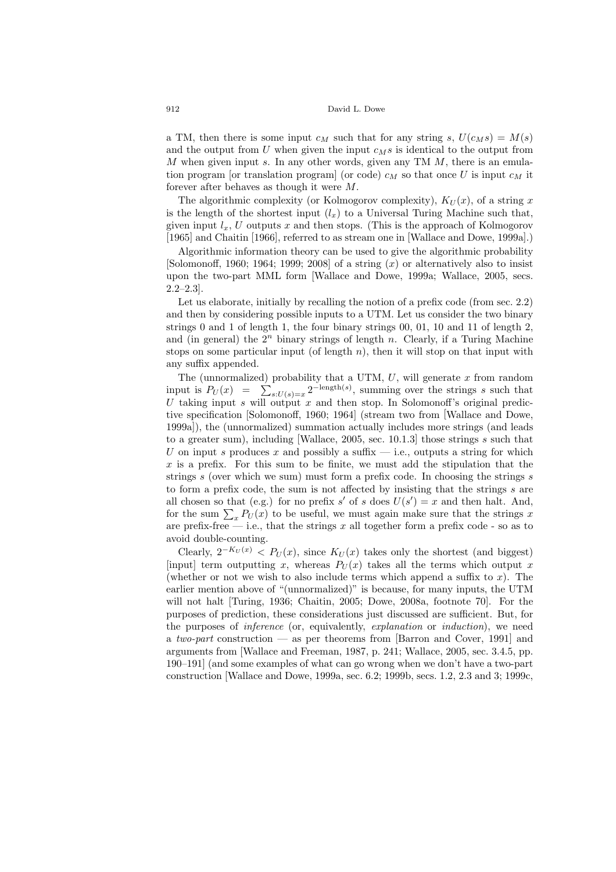a TM, then there is some input  $c_M$  such that for any string s,  $U(c_M s) = M(s)$ and the output from U when given the input  $c_M s$  is identical to the output from M when given input s. In any other words, given any TM  $M$ , there is an emulation program [or translation program] (or code)  $c_M$  so that once U is input  $c_M$  it forever after behaves as though it were M.

The algorithmic complexity (or Kolmogorov complexity),  $K_U(x)$ , of a string x is the length of the shortest input  $(l_x)$  to a Universal Turing Machine such that, given input  $l_x$ , U outputs x and then stops. (This is the approach of Kolmogorov [1965] and Chaitin [1966], referred to as stream one in [Wallace and Dowe, 1999a].)

Algorithmic information theory can be used to give the algorithmic probability [Solomonoff, 1960; 1964; 1999; 2008] of a string  $(x)$  or alternatively also to insist upon the two-part MML form [Wallace and Dowe, 1999a; Wallace, 2005, secs. 2.2–2.3].

Let us elaborate, initially by recalling the notion of a prefix code (from sec. 2.2) and then by considering possible inputs to a UTM. Let us consider the two binary strings 0 and 1 of length 1, the four binary strings 00, 01, 10 and 11 of length 2, and (in general) the  $2^n$  binary strings of length n. Clearly, if a Turing Machine stops on some particular input (of length  $n$ ), then it will stop on that input with any suffix appended.

The (unnormalized) probability that a UTM,  $U$ , will generate  $x$  from random input is  $P_U(x) = \sum_{s: U(s)=x} 2^{-\text{length}(s)}$ , summing over the strings s such that U taking input s will output x and then stop. In Solomonoff's original predictive specification [Solomonoff, 1960; 1964] (stream two from [Wallace and Dowe, 1999a]), the (unnormalized) summation actually includes more strings (and leads to a greater sum), including [Wallace, 2005, sec. 10.1.3] those strings s such that U on input s produces x and possibly a suffix  $-$  i.e., outputs a string for which  $x$  is a prefix. For this sum to be finite, we must add the stipulation that the strings s (over which we sum) must form a prefix code. In choosing the strings s to form a prefix code, the sum is not affected by insisting that the strings s are all chosen so that (e.g.) for no prefix s' of s does  $U(s') = x$  and then halt. And, for the sum  $\sum_{x} P_U(x)$  to be useful, we must again make sure that the strings x are prefix-free  $-$  i.e., that the strings x all together form a prefix code - so as to avoid double-counting.

Clearly,  $2^{-K_U(x)} < P_U(x)$ , since  $K_U(x)$  takes only the shortest (and biggest) [input] term outputting x, whereas  $P_U(x)$  takes all the terms which output x (whether or not we wish to also include terms which append a suffix to  $x$ ). The earlier mention above of "(unnormalized)" is because, for many inputs, the UTM will not halt [Turing, 1936; Chaitin, 2005; Dowe, 2008a, footnote 70]. For the purposes of prediction, these considerations just discussed are sufficient. But, for the purposes of inference (or, equivalently, explanation or induction), we need a two-part construction — as per theorems from [Barron and Cover, 1991] and arguments from [Wallace and Freeman, 1987, p. 241; Wallace, 2005, sec. 3.4.5, pp. 190–191] (and some examples of what can go wrong when we don't have a two-part construction [Wallace and Dowe, 1999a, sec. 6.2; 1999b, secs. 1.2, 2.3 and 3; 1999c,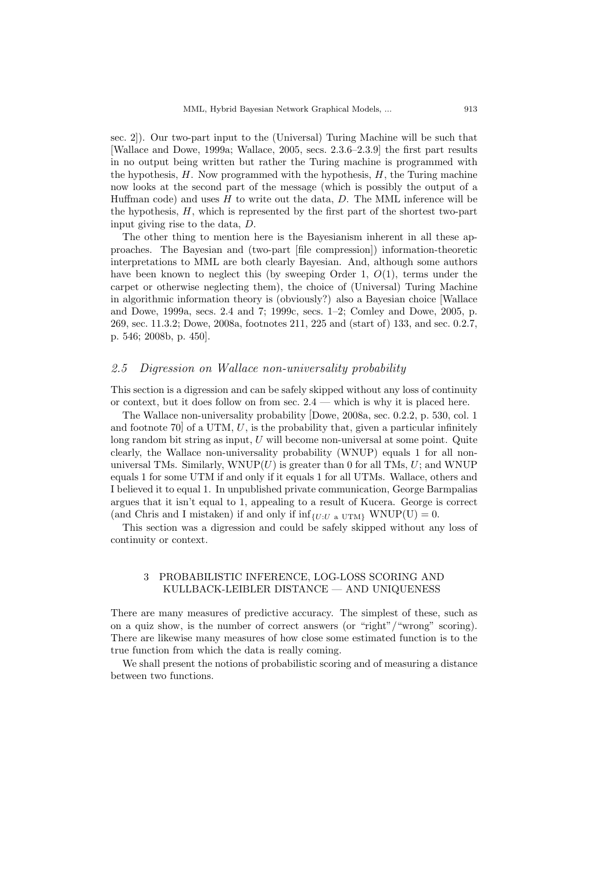sec. 2]). Our two-part input to the (Universal) Turing Machine will be such that [Wallace and Dowe, 1999a; Wallace, 2005, secs. 2.3.6–2.3.9] the first part results in no output being written but rather the Turing machine is programmed with the hypothesis,  $H$ . Now programmed with the hypothesis,  $H$ , the Turing machine now looks at the second part of the message (which is possibly the output of a Huffman code) and uses  $H$  to write out the data,  $D$ . The MML inference will be the hypothesis,  $H$ , which is represented by the first part of the shortest two-part input giving rise to the data, D.

The other thing to mention here is the Bayesianism inherent in all these approaches. The Bayesian and (two-part [file compression]) information-theoretic interpretations to MML are both clearly Bayesian. And, although some authors have been known to neglect this (by sweeping Order 1,  $O(1)$ , terms under the carpet or otherwise neglecting them), the choice of (Universal) Turing Machine in algorithmic information theory is (obviously?) also a Bayesian choice [Wallace and Dowe, 1999a, secs. 2.4 and 7; 1999c, secs. 1–2; Comley and Dowe, 2005, p. 269, sec. 11.3.2; Dowe, 2008a, footnotes 211, 225 and (start of) 133, and sec. 0.2.7, p. 546; 2008b, p. 450].

# 2.5 Digression on Wallace non-universality probability

This section is a digression and can be safely skipped without any loss of continuity or context, but it does follow on from sec. 2.4 — which is why it is placed here.

The Wallace non-universality probability [Dowe, 2008a, sec. 0.2.2, p. 530, col. 1 and footnote 70 of a UTM, U, is the probability that, given a particular infinitely long random bit string as input, U will become non-universal at some point. Quite clearly, the Wallace non-universality probability (WNUP) equals 1 for all nonuniversal TMs. Similarly,  $WNUP(U)$  is greater than 0 for all TMs, U; and WNUP equals 1 for some UTM if and only if it equals 1 for all UTMs. Wallace, others and I believed it to equal 1. In unpublished private communication, George Barmpalias argues that it isn't equal to 1, appealing to a result of Kucera. George is correct (and Chris and I mistaken) if and only if  $\inf_{\{U:U \text{ a } U \subset \mathbb{M}\}} WNUP(U) = 0.$ 

This section was a digression and could be safely skipped without any loss of continuity or context.

### 3 PROBABILISTIC INFERENCE, LOG-LOSS SCORING AND KULLBACK-LEIBLER DISTANCE — AND UNIQUENESS

There are many measures of predictive accuracy. The simplest of these, such as on a quiz show, is the number of correct answers (or "right"/"wrong" scoring). There are likewise many measures of how close some estimated function is to the true function from which the data is really coming.

We shall present the notions of probabilistic scoring and of measuring a distance between two functions.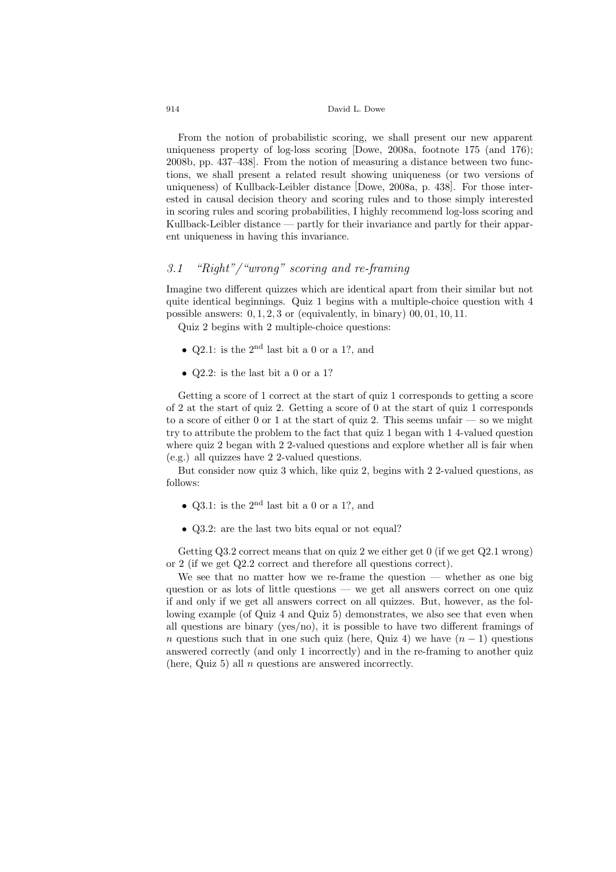From the notion of probabilistic scoring, we shall present our new apparent uniqueness property of log-loss scoring [Dowe, 2008a, footnote 175 (and 176); 2008b, pp. 437–438]. From the notion of measuring a distance between two functions, we shall present a related result showing uniqueness (or two versions of uniqueness) of Kullback-Leibler distance [Dowe, 2008a, p. 438]. For those interested in causal decision theory and scoring rules and to those simply interested in scoring rules and scoring probabilities, I highly recommend log-loss scoring and Kullback-Leibler distance — partly for their invariance and partly for their apparent uniqueness in having this invariance.

# 3.1 "Right"/"wrong" scoring and re-framing

Imagine two different quizzes which are identical apart from their similar but not quite identical beginnings. Quiz 1 begins with a multiple-choice question with 4 possible answers:  $0, 1, 2, 3$  or (equivalently, in binary)  $00, 01, 10, 11$ .

Quiz 2 begins with 2 multiple-choice questions:

- Q2.1: is the  $2<sup>nd</sup>$  last bit a 0 or a 1?, and
- Q2.2: is the last bit a 0 or a 1?

Getting a score of 1 correct at the start of quiz 1 corresponds to getting a score of 2 at the start of quiz 2. Getting a score of 0 at the start of quiz 1 corresponds to a score of either 0 or 1 at the start of quiz 2. This seems unfair — so we might try to attribute the problem to the fact that quiz 1 began with 1 4-valued question where quiz 2 began with 2 2-valued questions and explore whether all is fair when (e.g.) all quizzes have 2 2-valued questions.

But consider now quiz 3 which, like quiz 2, begins with 2 2-valued questions, as follows:

- $Q3.1$ : is the 2<sup>nd</sup> last bit a 0 or a 1?, and
- Q3.2: are the last two bits equal or not equal?

Getting  $Q3.2$  correct means that on quiz 2 we either get 0 (if we get  $Q2.1$  wrong) or 2 (if we get Q2.2 correct and therefore all questions correct).

We see that no matter how we re-frame the question  $-$  whether as one big question or as lots of little questions — we get all answers correct on one quiz if and only if we get all answers correct on all quizzes. But, however, as the following example (of Quiz 4 and Quiz 5) demonstrates, we also see that even when all questions are binary (yes/no), it is possible to have two different framings of n questions such that in one such quiz (here, Quiz 4) we have  $(n - 1)$  questions answered correctly (and only 1 incorrectly) and in the re-framing to another quiz (here, Quiz 5) all  $n$  questions are answered incorrectly.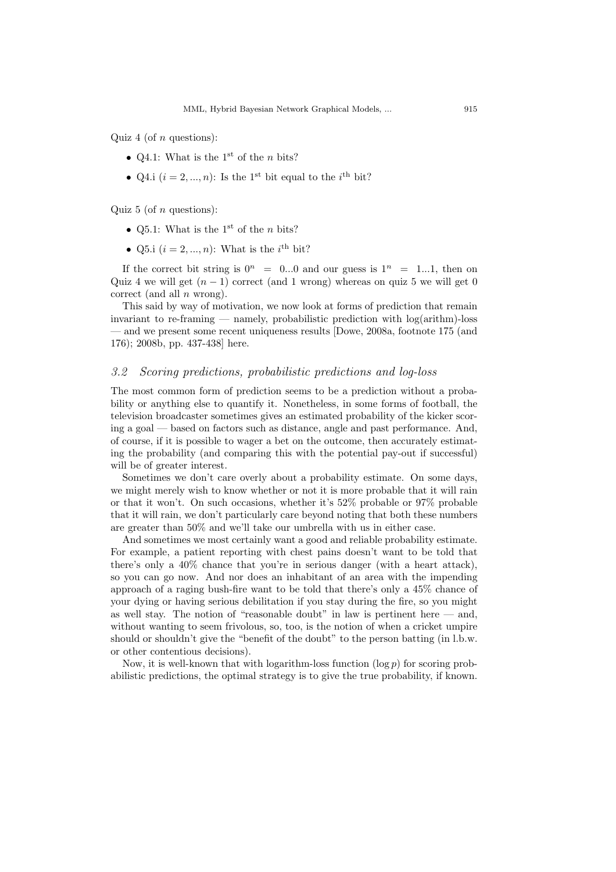Quiz 4 (of  $n$  questions):

- Q4.1: What is the 1<sup>st</sup> of the *n* bits?
- Q4.i  $(i = 2, ..., n)$ : Is the 1<sup>st</sup> bit equal to the *i*<sup>th</sup> bit?

Quiz  $5$  (of  $n$  questions):

- Q5.1: What is the 1<sup>st</sup> of the *n* bits?
- Q5.i  $(i = 2, ..., n)$ : What is the *i*<sup>th</sup> bit?

If the correct bit string is  $0^n = 0...0$  and our guess is  $1^n = 1...1$ , then on Quiz 4 we will get  $(n - 1)$  correct (and 1 wrong) whereas on quiz 5 we will get 0 correct (and all  $n$  wrong).

This said by way of motivation, we now look at forms of prediction that remain invariant to re-framing — namely, probabilistic prediction with log(arithm)-loss — and we present some recent uniqueness results [Dowe, 2008a, footnote 175 (and 176); 2008b, pp. 437-438] here.

### 3.2 Scoring predictions, probabilistic predictions and log-loss

The most common form of prediction seems to be a prediction without a probability or anything else to quantify it. Nonetheless, in some forms of football, the television broadcaster sometimes gives an estimated probability of the kicker scoring a goal — based on factors such as distance, angle and past performance. And, of course, if it is possible to wager a bet on the outcome, then accurately estimating the probability (and comparing this with the potential pay-out if successful) will be of greater interest.

Sometimes we don't care overly about a probability estimate. On some days, we might merely wish to know whether or not it is more probable that it will rain or that it won't. On such occasions, whether it's 52% probable or 97% probable that it will rain, we don't particularly care beyond noting that both these numbers are greater than 50% and we'll take our umbrella with us in either case.

And sometimes we most certainly want a good and reliable probability estimate. For example, a patient reporting with chest pains doesn't want to be told that there's only a 40% chance that you're in serious danger (with a heart attack), so you can go now. And nor does an inhabitant of an area with the impending approach of a raging bush-fire want to be told that there's only a 45% chance of your dying or having serious debilitation if you stay during the fire, so you might as well stay. The notion of "reasonable doubt" in law is pertinent here  $-$  and, without wanting to seem frivolous, so, too, is the notion of when a cricket umpire should or shouldn't give the "benefit of the doubt" to the person batting (in l.b.w. or other contentious decisions).

Now, it is well-known that with logarithm-loss function  $(\log p)$  for scoring probabilistic predictions, the optimal strategy is to give the true probability, if known.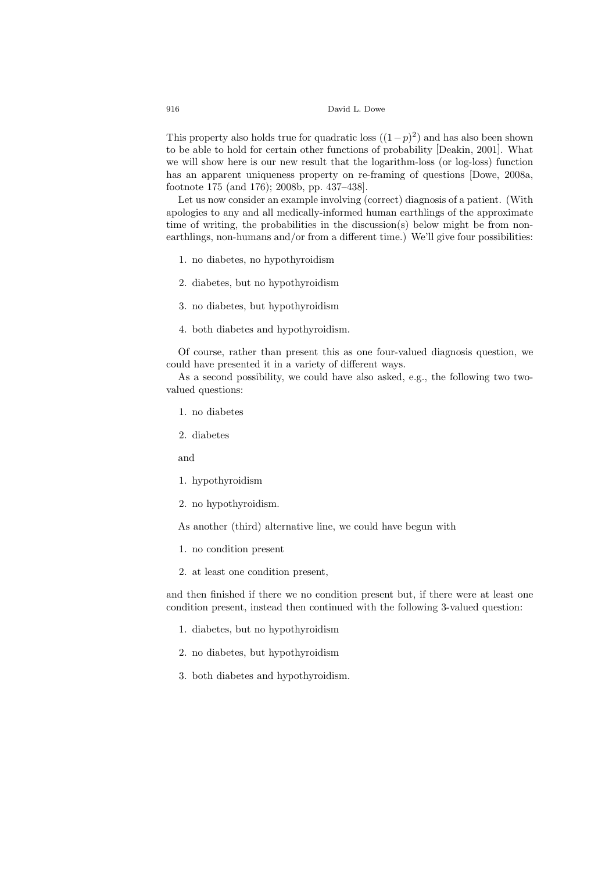This property also holds true for quadratic loss  $((1-p)^2)$  and has also been shown to be able to hold for certain other functions of probability [Deakin, 2001]. What we will show here is our new result that the logarithm-loss (or log-loss) function has an apparent uniqueness property on re-framing of questions [Dowe, 2008a, footnote 175 (and 176); 2008b, pp. 437–438].

Let us now consider an example involving (correct) diagnosis of a patient. (With apologies to any and all medically-informed human earthlings of the approximate time of writing, the probabilities in the discussion(s) below might be from nonearthlings, non-humans and/or from a different time.) We'll give four possibilities:

- 1. no diabetes, no hypothyroidism
- 2. diabetes, but no hypothyroidism
- 3. no diabetes, but hypothyroidism
- 4. both diabetes and hypothyroidism.

Of course, rather than present this as one four-valued diagnosis question, we could have presented it in a variety of different ways.

As a second possibility, we could have also asked, e.g., the following two twovalued questions:

- 1. no diabetes
- 2. diabetes

and

- 1. hypothyroidism
- 2. no hypothyroidism.

As another (third) alternative line, we could have begun with

- 1. no condition present
- 2. at least one condition present,

and then finished if there we no condition present but, if there were at least one condition present, instead then continued with the following 3-valued question:

- 1. diabetes, but no hypothyroidism
- 2. no diabetes, but hypothyroidism
- 3. both diabetes and hypothyroidism.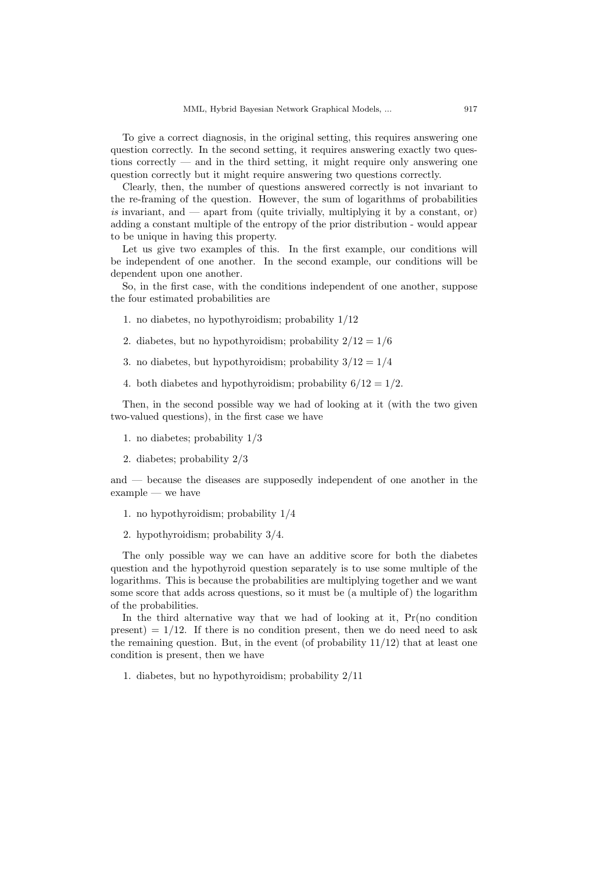To give a correct diagnosis, in the original setting, this requires answering one question correctly. In the second setting, it requires answering exactly two questions correctly — and in the third setting, it might require only answering one question correctly but it might require answering two questions correctly.

Clearly, then, the number of questions answered correctly is not invariant to the re-framing of the question. However, the sum of logarithms of probabilities is invariant, and — apart from (quite trivially, multiplying it by a constant, or) adding a constant multiple of the entropy of the prior distribution - would appear to be unique in having this property.

Let us give two examples of this. In the first example, our conditions will be independent of one another. In the second example, our conditions will be dependent upon one another.

So, in the first case, with the conditions independent of one another, suppose the four estimated probabilities are

- 1. no diabetes, no hypothyroidism; probability 1/12
- 2. diabetes, but no hypothyroidism; probability  $2/12 = 1/6$
- 3. no diabetes, but hypothyroidism; probability  $3/12 = 1/4$
- 4. both diabetes and hypothyroidism; probability  $6/12 = 1/2$ .

Then, in the second possible way we had of looking at it (with the two given two-valued questions), in the first case we have

- 1. no diabetes; probability 1/3
- 2. diabetes; probability 2/3

and — because the diseases are supposedly independent of one another in the example — we have

- 1. no hypothyroidism; probability 1/4
- 2. hypothyroidism; probability 3/4.

The only possible way we can have an additive score for both the diabetes question and the hypothyroid question separately is to use some multiple of the logarithms. This is because the probabilities are multiplying together and we want some score that adds across questions, so it must be (a multiple of) the logarithm of the probabilities.

In the third alternative way that we had of looking at it, Pr(no condition present)  $= 1/12$ . If there is no condition present, then we do need need to ask the remaining question. But, in the event (of probability  $11/12$ ) that at least one condition is present, then we have

1. diabetes, but no hypothyroidism; probability 2/11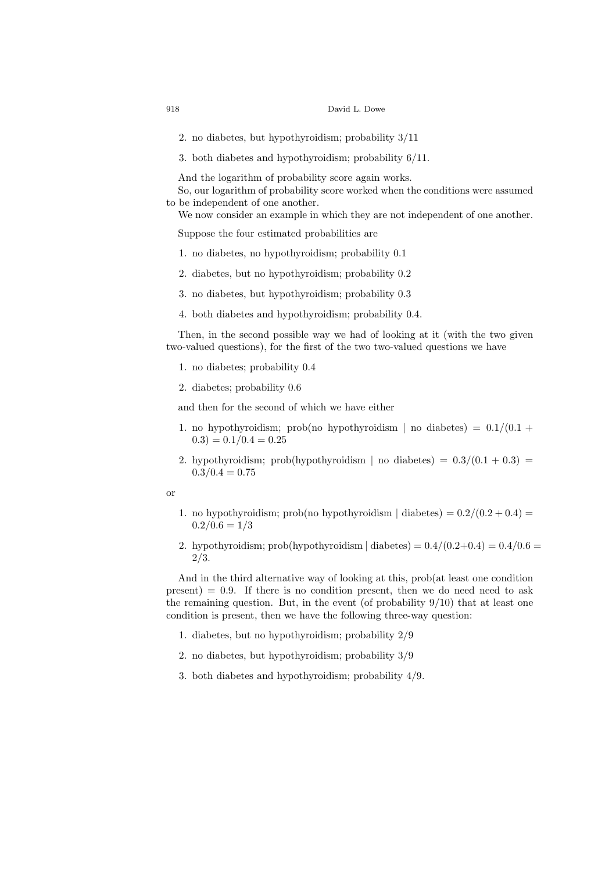2. no diabetes, but hypothyroidism; probability 3/11

3. both diabetes and hypothyroidism; probability 6/11.

And the logarithm of probability score again works.

So, our logarithm of probability score worked when the conditions were assumed to be independent of one another.

We now consider an example in which they are not independent of one another.

Suppose the four estimated probabilities are

- 1. no diabetes, no hypothyroidism; probability 0.1
- 2. diabetes, but no hypothyroidism; probability 0.2
- 3. no diabetes, but hypothyroidism; probability 0.3
- 4. both diabetes and hypothyroidism; probability 0.4.

Then, in the second possible way we had of looking at it (with the two given two-valued questions), for the first of the two two-valued questions we have

1. no diabetes; probability 0.4

2. diabetes; probability 0.6

and then for the second of which we have either

- 1. no hypothyroidism; prob(no hypothyroidism | no diabetes) =  $0.1/(0.1 +$  $(0.3) = 0.1/0.4 = 0.25$
- 2. hypothyroidism; prob(hypothyroidism | no diabetes) =  $0.3/(0.1 + 0.3)$  =  $0.3/0.4 = 0.75$

or

- 1. no hypothyroidism; prob(no hypothyroidism | diabetes) =  $0.2/(0.2 + 0.4)$  =  $0.2/0.6 = 1/3$
- 2. hypothyroidism; prob(hypothyroidism  $\vert$  diabetes) =  $0.4/(0.2+0.4) = 0.4/0.6$  = 2/3.

And in the third alternative way of looking at this, prob(at least one condition  $present) = 0.9$ . If there is no condition present, then we do need need to ask the remaining question. But, in the event (of probability  $9/10$ ) that at least one condition is present, then we have the following three-way question:

- 1. diabetes, but no hypothyroidism; probability 2/9
- 2. no diabetes, but hypothyroidism; probability 3/9
- 3. both diabetes and hypothyroidism; probability 4/9.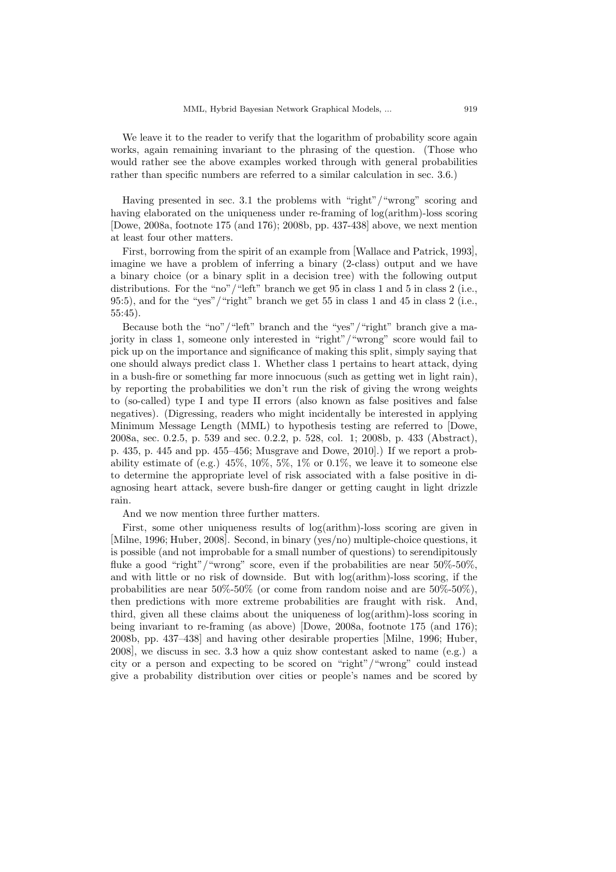We leave it to the reader to verify that the logarithm of probability score again works, again remaining invariant to the phrasing of the question. (Those who would rather see the above examples worked through with general probabilities rather than specific numbers are referred to a similar calculation in sec. 3.6.)

Having presented in sec. 3.1 the problems with "right"/"wrong" scoring and having elaborated on the uniqueness under re-framing of log(arithm)-loss scoring [Dowe, 2008a, footnote 175 (and 176); 2008b, pp. 437-438] above, we next mention at least four other matters.

First, borrowing from the spirit of an example from [Wallace and Patrick, 1993], imagine we have a problem of inferring a binary (2-class) output and we have a binary choice (or a binary split in a decision tree) with the following output distributions. For the "no"/"left" branch we get 95 in class 1 and 5 in class 2 (i.e., 95:5), and for the "yes"/"right" branch we get  $55$  in class 1 and  $45$  in class 2 (i.e., 55:45).

Because both the "no"/"left" branch and the "yes"/"right" branch give a majority in class 1, someone only interested in "right"/"wrong" score would fail to pick up on the importance and significance of making this split, simply saying that one should always predict class 1. Whether class 1 pertains to heart attack, dying in a bush-fire or something far more innocuous (such as getting wet in light rain), by reporting the probabilities we don't run the risk of giving the wrong weights to (so-called) type I and type II errors (also known as false positives and false negatives). (Digressing, readers who might incidentally be interested in applying Minimum Message Length (MML) to hypothesis testing are referred to [Dowe, 2008a, sec. 0.2.5, p. 539 and sec. 0.2.2, p. 528, col. 1; 2008b, p. 433 (Abstract), p. 435, p. 445 and pp. 455–456; Musgrave and Dowe, 2010].) If we report a probability estimate of (e.g.)  $45\%, 10\%, 5\%, 1\%$  or 0.1%, we leave it to someone else to determine the appropriate level of risk associated with a false positive in diagnosing heart attack, severe bush-fire danger or getting caught in light drizzle rain.

And we now mention three further matters.

First, some other uniqueness results of log(arithm)-loss scoring are given in [Milne, 1996; Huber, 2008]. Second, in binary (yes/no) multiple-choice questions, it is possible (and not improbable for a small number of questions) to serendipitously fluke a good "right"/"wrong" score, even if the probabilities are near 50%-50%, and with little or no risk of downside. But with log(arithm)-loss scoring, if the probabilities are near  $50\%$ -50% (or come from random noise and are  $50\%$ -50%), then predictions with more extreme probabilities are fraught with risk. And, third, given all these claims about the uniqueness of log(arithm)-loss scoring in being invariant to re-framing (as above) [Dowe, 2008a, footnote 175 (and 176); 2008b, pp. 437–438] and having other desirable properties [Milne, 1996; Huber, 2008], we discuss in sec. 3.3 how a quiz show contestant asked to name (e.g.) a city or a person and expecting to be scored on "right"/"wrong" could instead give a probability distribution over cities or people's names and be scored by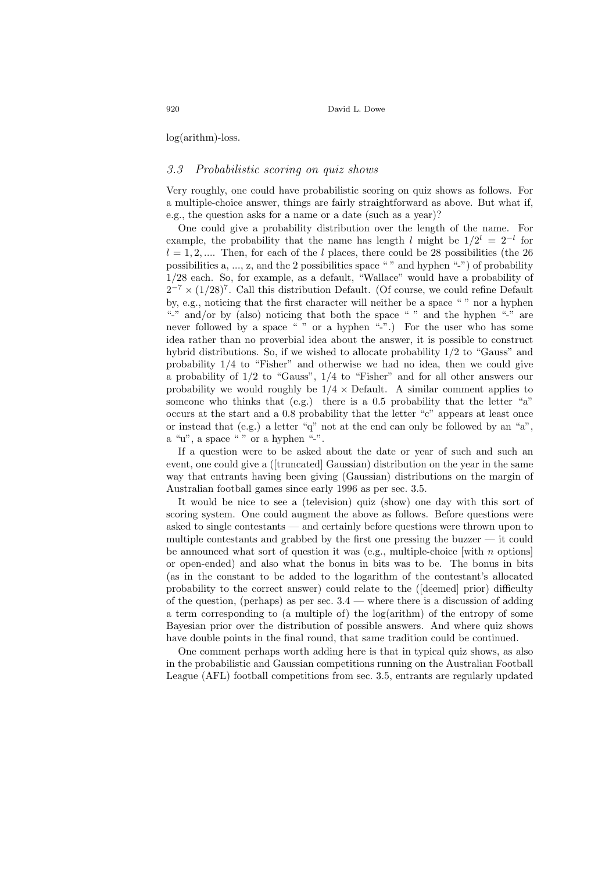log(arithm)-loss.

### 3.3 Probabilistic scoring on quiz shows

Very roughly, one could have probabilistic scoring on quiz shows as follows. For a multiple-choice answer, things are fairly straightforward as above. But what if, e.g., the question asks for a name or a date (such as a year)?

One could give a probability distribution over the length of the name. For example, the probability that the name has length l might be  $1/2^l = 2^{-l}$  for  $l = 1, 2, \dots$  Then, for each of the l places, there could be 28 possibilities (the 26 possibilities a, ..., z, and the 2 possibilities space " " and hyphen "-") of probability 1/28 each. So, for example, as a default, "Wallace" would have a probability of  $2^{-7} \times (1/28)^7$ . Call this distribution Default. (Of course, we could refine Default by, e.g., noticing that the first character will neither be a space " " nor a hyphen "-" and/or by (also) noticing that both the space " " and the hyphen "-" are never followed by a space " " or a hyphen "-".) For the user who has some idea rather than no proverbial idea about the answer, it is possible to construct hybrid distributions. So, if we wished to allocate probability 1/2 to "Gauss" and probability 1/4 to "Fisher" and otherwise we had no idea, then we could give a probability of 1/2 to "Gauss", 1/4 to "Fisher" and for all other answers our probability we would roughly be  $1/4 \times$  Default. A similar comment applies to someone who thinks that (e.g.) there is a 0.5 probability that the letter "a" occurs at the start and a 0.8 probability that the letter "c" appears at least once or instead that (e.g.) a letter "q" not at the end can only be followed by an "a",  $a "u", a space " " or a hyphen "-'".$ 

If a question were to be asked about the date or year of such and such an event, one could give a ([truncated] Gaussian) distribution on the year in the same way that entrants having been giving (Gaussian) distributions on the margin of Australian football games since early 1996 as per sec. 3.5.

It would be nice to see a (television) quiz (show) one day with this sort of scoring system. One could augment the above as follows. Before questions were asked to single contestants — and certainly before questions were thrown upon to multiple contestants and grabbed by the first one pressing the buzzer — it could be announced what sort of question it was (e.g., multiple-choice [with  $n$  options] or open-ended) and also what the bonus in bits was to be. The bonus in bits (as in the constant to be added to the logarithm of the contestant's allocated probability to the correct answer) could relate to the ([deemed] prior) difficulty of the question, (perhaps) as per sec.  $3.4$  — where there is a discussion of adding a term corresponding to (a multiple of) the log(arithm) of the entropy of some Bayesian prior over the distribution of possible answers. And where quiz shows have double points in the final round, that same tradition could be continued.

One comment perhaps worth adding here is that in typical quiz shows, as also in the probabilistic and Gaussian competitions running on the Australian Football League (AFL) football competitions from sec. 3.5, entrants are regularly updated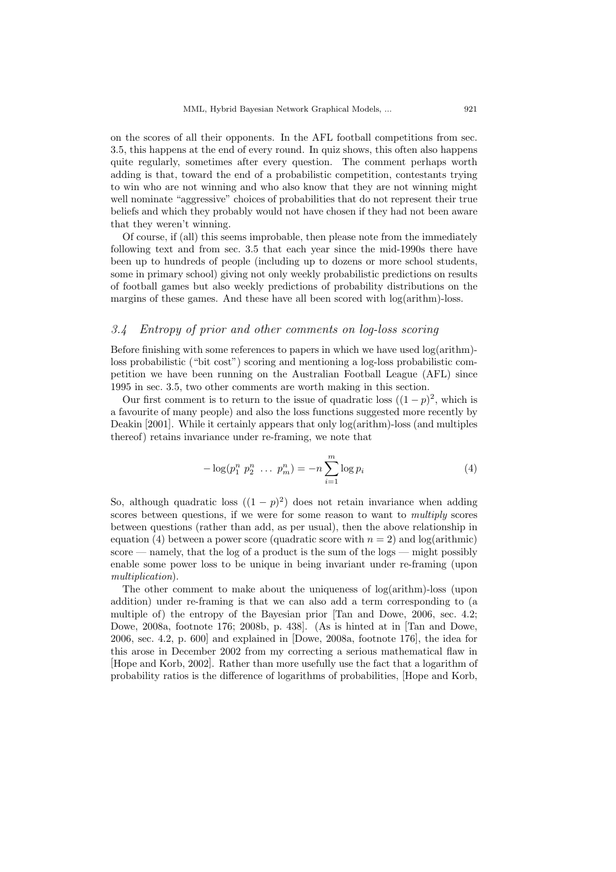on the scores of all their opponents. In the AFL football competitions from sec. 3.5, this happens at the end of every round. In quiz shows, this often also happens quite regularly, sometimes after every question. The comment perhaps worth adding is that, toward the end of a probabilistic competition, contestants trying to win who are not winning and who also know that they are not winning might well nominate "aggressive" choices of probabilities that do not represent their true beliefs and which they probably would not have chosen if they had not been aware that they weren't winning.

Of course, if (all) this seems improbable, then please note from the immediately following text and from sec. 3.5 that each year since the mid-1990s there have been up to hundreds of people (including up to dozens or more school students, some in primary school) giving not only weekly probabilistic predictions on results of football games but also weekly predictions of probability distributions on the margins of these games. And these have all been scored with log(arithm)-loss.

# 3.4 Entropy of prior and other comments on log-loss scoring

Before finishing with some references to papers in which we have used log(arithm) loss probabilistic ("bit cost") scoring and mentioning a log-loss probabilistic competition we have been running on the Australian Football League (AFL) since 1995 in sec. 3.5, two other comments are worth making in this section.

Our first comment is to return to the issue of quadratic loss  $((1-p)^2)$ , which is a favourite of many people) and also the loss functions suggested more recently by Deakin [2001]. While it certainly appears that only log(arithm)-loss (and multiples thereof) retains invariance under re-framing, we note that

$$
-\log(p_1^n \ p_2^n \ \ldots \ p_m^n) = -n \sum_{i=1}^m \log p_i \tag{4}
$$

So, although quadratic loss  $((1 - p)^2)$  does not retain invariance when adding scores between questions, if we were for some reason to want to *multiply* scores between questions (rather than add, as per usual), then the above relationship in equation (4) between a power score (quadratic score with  $n = 2$ ) and log(arithmic) score — namely, that the log of a product is the sum of the logs — might possibly enable some power loss to be unique in being invariant under re-framing (upon multiplication).

The other comment to make about the uniqueness of log(arithm)-loss (upon addition) under re-framing is that we can also add a term corresponding to (a multiple of) the entropy of the Bayesian prior [Tan and Dowe, 2006, sec. 4.2; Dowe, 2008a, footnote 176; 2008b, p. 438]. (As is hinted at in [Tan and Dowe, 2006, sec. 4.2, p. 600] and explained in [Dowe, 2008a, footnote 176], the idea for this arose in December 2002 from my correcting a serious mathematical flaw in [Hope and Korb, 2002]. Rather than more usefully use the fact that a logarithm of probability ratios is the difference of logarithms of probabilities, [Hope and Korb,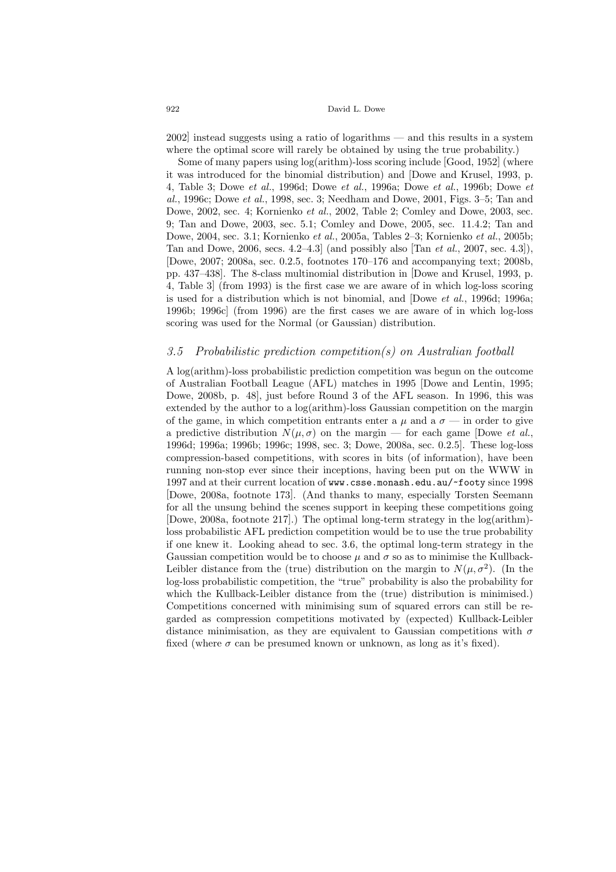2002] instead suggests using a ratio of logarithms — and this results in a system where the optimal score will rarely be obtained by using the true probability.)

Some of many papers using log(arithm)-loss scoring include [Good, 1952] (where it was introduced for the binomial distribution) and [Dowe and Krusel, 1993, p. 4, Table 3; Dowe et al., 1996d; Dowe et al., 1996a; Dowe et al., 1996b; Dowe et al., 1996c; Dowe et al., 1998, sec. 3; Needham and Dowe, 2001, Figs. 3–5; Tan and Dowe, 2002, sec. 4; Kornienko et al., 2002, Table 2; Comley and Dowe, 2003, sec. 9; Tan and Dowe, 2003, sec. 5.1; Comley and Dowe, 2005, sec. 11.4.2; Tan and Dowe, 2004, sec. 3.1; Kornienko et al., 2005a, Tables 2–3; Kornienko et al., 2005b; Tan and Dowe, 2006, secs.  $4.2-4.3$  (and possibly also  $\lfloor \text{Tan } et \ al., \ 2007, \ \text{sec. } 4.3 \rfloor$ ), [Dowe, 2007; 2008a, sec. 0.2.5, footnotes 170–176 and accompanying text; 2008b, pp. 437–438]. The 8-class multinomial distribution in [Dowe and Krusel, 1993, p. 4, Table 3] (from 1993) is the first case we are aware of in which log-loss scoring is used for a distribution which is not binomial, and [Dowe et al., 1996d; 1996a; 1996b; 1996c] (from 1996) are the first cases we are aware of in which log-loss scoring was used for the Normal (or Gaussian) distribution.

#### 3.5 Probabilistic prediction competition(s) on Australian football

A log(arithm)-loss probabilistic prediction competition was begun on the outcome of Australian Football League (AFL) matches in 1995 [Dowe and Lentin, 1995; Dowe, 2008b, p. 48], just before Round 3 of the AFL season. In 1996, this was extended by the author to a log(arithm)-loss Gaussian competition on the margin of the game, in which competition entrants enter a  $\mu$  and a  $\sigma$  — in order to give a predictive distribution  $N(\mu, \sigma)$  on the margin — for each game [Dowe *et al.*, 1996d; 1996a; 1996b; 1996c; 1998, sec. 3; Dowe, 2008a, sec. 0.2.5]. These log-loss compression-based competitions, with scores in bits (of information), have been running non-stop ever since their inceptions, having been put on the WWW in 1997 and at their current location of www.csse.monash.edu.au/~footy since 1998 [Dowe, 2008a, footnote 173]. (And thanks to many, especially Torsten Seemann for all the unsung behind the scenes support in keeping these competitions going [Dowe, 2008a, footnote 217].) The optimal long-term strategy in the log(arithm) loss probabilistic AFL prediction competition would be to use the true probability if one knew it. Looking ahead to sec. 3.6, the optimal long-term strategy in the Gaussian competition would be to choose  $\mu$  and  $\sigma$  so as to minimise the Kullback-Leibler distance from the (true) distribution on the margin to  $N(\mu, \sigma^2)$ . (In the log-loss probabilistic competition, the "true" probability is also the probability for which the Kullback-Leibler distance from the (true) distribution is minimised.) Competitions concerned with minimising sum of squared errors can still be regarded as compression competitions motivated by (expected) Kullback-Leibler distance minimisation, as they are equivalent to Gaussian competitions with  $\sigma$ fixed (where  $\sigma$  can be presumed known or unknown, as long as it's fixed).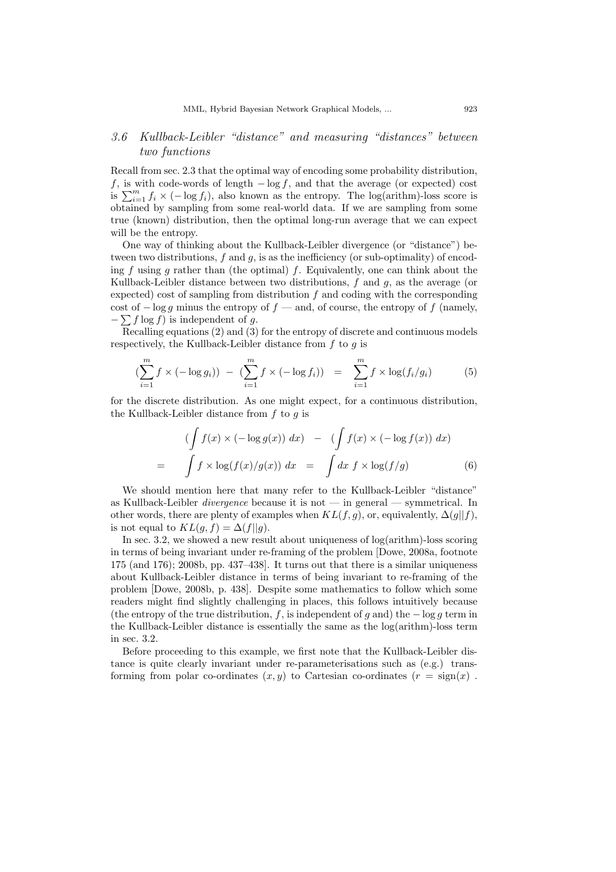# 3.6 Kullback-Leibler "distance" and measuring "distances" between two functions

Recall from sec. 2.3 that the optimal way of encoding some probability distribution, f, is with code-words of length  $-\log f$ , and that the average (or expected) cost is  $\sum_{i=1}^{m} f_i \times (-\log f_i)$ , also known as the entropy. The log(arithm)-loss score is obtained by sampling from some real-world data. If we are sampling from some true (known) distribution, then the optimal long-run average that we can expect will be the entropy.

One way of thinking about the Kullback-Leibler divergence (or "distance") between two distributions,  $f$  and  $g$ , is as the inefficiency (or sub-optimality) of encoding f using q rather than (the optimal) f. Equivalently, one can think about the Kullback-Leibler distance between two distributions,  $f$  and  $g$ , as the average (or expected) cost of sampling from distribution  $f$  and coding with the corresponding cost of  $-\log q$  minus the entropy of  $f$  — and, of course, the entropy of f (namely,  $-\sum f \log f$ ) is independent of g.

Recalling equations (2) and (3) for the entropy of discrete and continuous models respectively, the Kullback-Leibler distance from  $f$  to  $g$  is

$$
\left(\sum_{i=1}^{m} f \times (-\log g_i)\right) - \left(\sum_{i=1}^{m} f \times (-\log f_i)\right) = \sum_{i=1}^{m} f \times \log(f_i/g_i) \tag{5}
$$

for the discrete distribution. As one might expect, for a continuous distribution, the Kullback-Leibler distance from  $f$  to  $g$  is

$$
\left(\int f(x) \times (-\log g(x)) dx\right) - \left(\int f(x) \times (-\log f(x)) dx\right)
$$
\n
$$
= \int f \times \log(f(x)/g(x)) dx = \int dx f \times \log(f/g) \tag{6}
$$

We should mention here that many refer to the Kullback-Leibler "distance" as Kullback-Leibler *divergence* because it is not — in general — symmetrical. In other words, there are plenty of examples when  $KL(f, g)$ , or, equivalently,  $\Delta(g||f)$ , is not equal to  $KL(g, f) = \Delta(f||g)$ .

In sec. 3.2, we showed a new result about uniqueness of  $log(arithm)$ -loss scoring in terms of being invariant under re-framing of the problem [Dowe, 2008a, footnote 175 (and 176); 2008b, pp. 437–438]. It turns out that there is a similar uniqueness about Kullback-Leibler distance in terms of being invariant to re-framing of the problem [Dowe, 2008b, p. 438]. Despite some mathematics to follow which some readers might find slightly challenging in places, this follows intuitively because (the entropy of the true distribution, f, is independent of g and) the  $-\log q$  term in the Kullback-Leibler distance is essentially the same as the log(arithm)-loss term in sec. 3.2.

Before proceeding to this example, we first note that the Kullback-Leibler distance is quite clearly invariant under re-parameterisations such as (e.g.) transforming from polar co-ordinates  $(x, y)$  to Cartesian co-ordinates  $(r = sign(x))$ .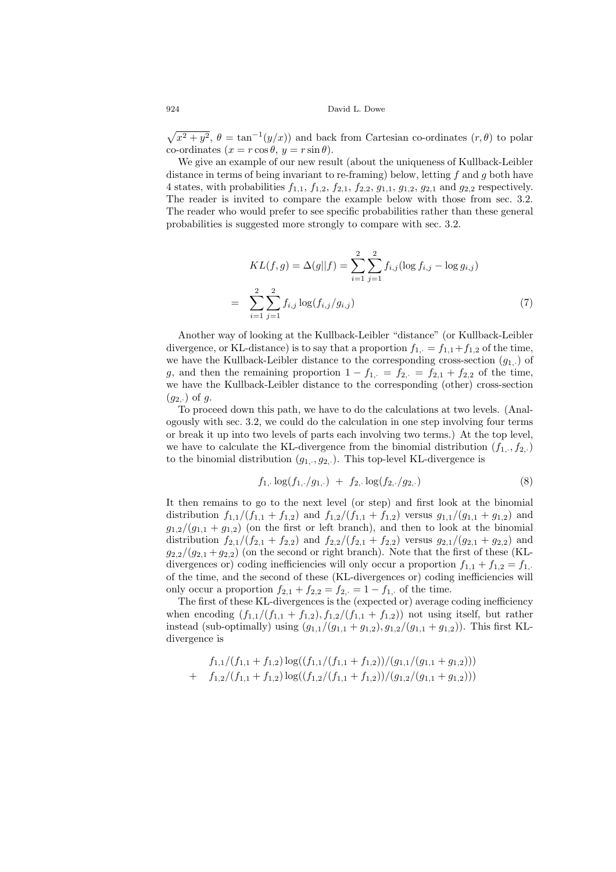$\sqrt{x^2 + y^2}$ ,  $\theta = \tan^{-1}(y/x)$  and back from Cartesian co-ordinates  $(r, \theta)$  to polar co-ordinates  $(x = r \cos \theta, y = r \sin \theta)$ .

We give an example of our new result (about the uniqueness of Kullback-Leibler distance in terms of being invariant to re-framing) below, letting  $f$  and  $g$  both have 4 states, with probabilities  $f_{1,1}, f_{1,2}, f_{2,1}, f_{2,2}, g_{1,1}, g_{1,2}, g_{2,1}$  and  $g_{2,2}$  respectively. The reader is invited to compare the example below with those from sec. 3.2. The reader who would prefer to see specific probabilities rather than these general probabilities is suggested more strongly to compare with sec. 3.2.

$$
KL(f,g) = \Delta(g||f) = \sum_{i=1}^{2} \sum_{j=1}^{2} f_{i,j} (\log f_{i,j} - \log g_{i,j})
$$
  
= 
$$
\sum_{i=1}^{2} \sum_{j=1}^{2} f_{i,j} \log(f_{i,j}/g_{i,j})
$$
 (7)

Another way of looking at the Kullback-Leibler "distance" (or Kullback-Leibler divergence, or KL-distance) is to say that a proportion  $f_1:=f_{1,1}+f_{1,2}$  of the time, we have the Kullback-Leibler distance to the corresponding cross-section  $(g_{1,\cdot})$  of g, and then the remaining proportion  $1 - f_{1, \cdot} = f_{2, \cdot} = f_{2,1} + f_{2,2}$  of the time, we have the Kullback-Leibler distance to the corresponding (other) cross-section  $(g_{2,.})$  of g.

To proceed down this path, we have to do the calculations at two levels. (Analogously with sec. 3.2, we could do the calculation in one step involving four terms or break it up into two levels of parts each involving two terms.) At the top level, we have to calculate the KL-divergence from the binomial distribution  $(f_{1,\cdot}, f_{2,\cdot})$ to the binomial distribution  $(g_1, g_2)$ . This top-level KL-divergence is

$$
f_{1,1} \log(f_{1,1}/g_{1,1}) + f_{2,1} \log(f_{2,1}/g_{2,1}) \tag{8}
$$

It then remains to go to the next level (or step) and first look at the binomial distribution  $f_{1,1}/(f_{1,1} + f_{1,2})$  and  $f_{1,2}/(f_{1,1} + f_{1,2})$  versus  $g_{1,1}/(g_{1,1} + g_{1,2})$  and  $g_{1,2}/(g_{1,1}+g_{1,2})$  (on the first or left branch), and then to look at the binomial distribution  $f_{2,1}/(f_{2,1} + f_{2,2})$  and  $f_{2,2}/(f_{2,1} + f_{2,2})$  versus  $g_{2,1}/(g_{2,1} + g_{2,2})$  and  $g_{2,2}/(g_{2,1}+g_{2,2})$  (on the second or right branch). Note that the first of these (KLdivergences or) coding inefficiencies will only occur a proportion  $f_{1,1} + f_{1,2} = f_{1,1}$ . of the time, and the second of these (KL-divergences or) coding inefficiencies will only occur a proportion  $f_{2,1} + f_{2,2} = f_{2,-} = 1 - f_{1,-}$  of the time.

The first of these KL-divergences is the (expected or) average coding inefficiency when encoding  $(f_{1,1}/(f_{1,1} + f_{1,2}), f_{1,2}/(f_{1,1} + f_{1,2}))$  not using itself, but rather instead (sub-optimally) using  $(g_{1,1}/(g_{1,1}+g_{1,2}), g_{1,2}/(g_{1,1}+g_{1,2}))$ . This first KLdivergence is

$$
f_{1,1}/(f_{1,1}+f_{1,2})\log((f_{1,1}/(f_{1,1}+f_{1,2}))/(g_{1,1}/(g_{1,1}+g_{1,2})))
$$
  
+  $f_{1,2}/(f_{1,1}+f_{1,2})\log((f_{1,2}/(f_{1,1}+f_{1,2}))/(g_{1,2}/(g_{1,1}+g_{1,2})))$ 

=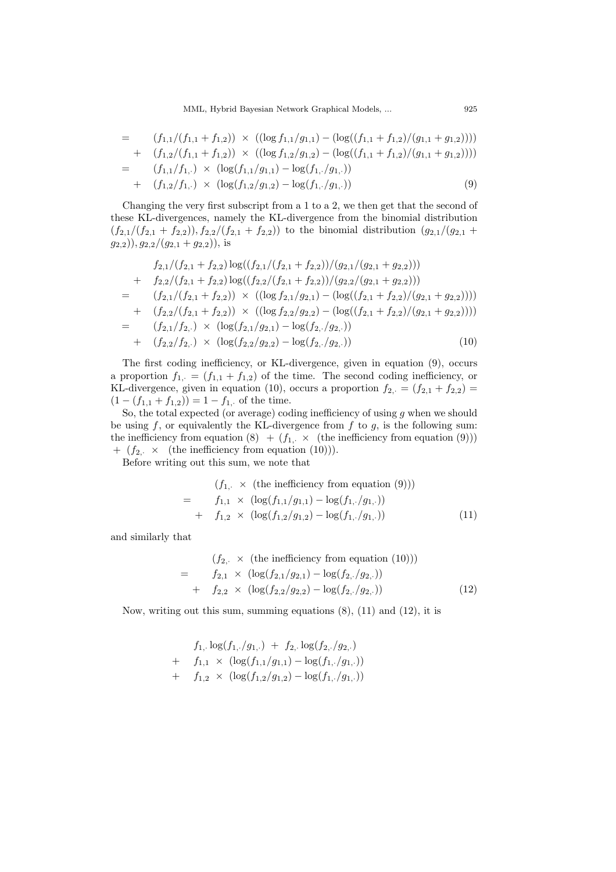MML, Hybrid Bayesian Network Graphical Models, ... 925

$$
= (f_{1,1}/(f_{1,1} + f_{1,2})) \times ((\log f_{1,1}/g_{1,1}) - (\log((f_{1,1} + f_{1,2})/(g_{1,1} + g_{1,2}))))
$$
  
+ 
$$
(f_{1,2}/(f_{1,1} + f_{1,2})) \times ((\log f_{1,2}/g_{1,2}) - (\log((f_{1,1} + f_{1,2})/(g_{1,1} + g_{1,2}))))
$$
  
= 
$$
(f_{1,1}/f_{1,\cdot}) \times (\log(f_{1,1}/g_{1,1}) - \log(f_{1,\cdot}/g_{1,\cdot}))
$$
  
+ 
$$
(f_{1,2}/f_{1,\cdot}) \times (\log(f_{1,2}/g_{1,2}) - \log(f_{1,\cdot}/g_{1,\cdot}))
$$
 (9)

Changing the very first subscript from a 1 to a 2, we then get that the second of these KL-divergences, namely the KL-divergence from the binomial distribution  $(f_{2,1}/(f_{2,1} + f_{2,2})), f_{2,2}/(f_{2,1} + f_{2,2})$  to the binomial distribution  $(g_{2,1}/(g_{2,1} + f_{2,2}))$  $(g_{2,2}$ ),  $g_{2,2}/(g_{2,1}+g_{2,2})$ ), is

$$
f_{2,1}/(f_{2,1} + f_{2,2}) \log((f_{2,1}/(f_{2,1} + f_{2,2}))/(g_{2,1}/(g_{2,1} + g_{2,2})))
$$
  
+ 
$$
f_{2,2}/(f_{2,1} + f_{2,2}) \log((f_{2,2}/(f_{2,1} + f_{2,2}))/(g_{2,2}/(g_{2,1} + g_{2,2})))
$$
  
= 
$$
(f_{2,1}/(f_{2,1} + f_{2,2})) \times ((\log f_{2,1}/g_{2,1}) - (\log((f_{2,1} + f_{2,2})/(g_{2,1} + g_{2,2}))))
$$
  
+ 
$$
(f_{2,2}/(f_{2,1} + f_{2,2})) \times ((\log f_{2,2}/g_{2,2}) - (\log((f_{2,1} + f_{2,2})/(g_{2,1} + g_{2,2}))))
$$
  
= 
$$
(f_{2,1}/f_{2,1}) \times (\log(f_{2,1}/g_{2,1}) - \log(f_{2,1}/g_{2,1}))
$$
  
+ 
$$
(f_{2,2}/f_{2,1}) \times (\log(f_{2,2}/g_{2,2}) - \log(f_{2,1}/g_{2,1}))
$$
(10)

The first coding inefficiency, or KL-divergence, given in equation (9), occurs a proportion  $f_{1,1} = (f_{1,1} + f_{1,2})$  of the time. The second coding inefficiency, or KL-divergence, given in equation (10), occurs a proportion  $f_{2,} = (f_{2,1} + f_{2,2}) =$  $(1 - (f_{1,1} + f_{1,2})) = 1 - f_{1,1}$  of the time.

So, the total expected (or average) coding inefficiency of using  $g$  when we should be using f, or equivalently the KL-divergence from  $f$  to  $g$ , is the following sum: the inefficiency from equation (8) +  $(f_1, \times)$  (the inefficiency from equation (9))) +  $(f_2, \times)$  (the inefficiency from equation (10))).

Before writing out this sum, we note that

$$
(f_{1, \cdot} \times (\text{the inefficiency from equation (9)))
$$
  
=  $f_{1,1} \times (\log(f_{1,1}/g_{1,1}) - \log(f_{1, \cdot}/g_{1, \cdot}))$   
+  $f_{1,2} \times (\log(f_{1,2}/g_{1,2}) - \log(f_{1, \cdot}/g_{1, \cdot}))$  (11)

and similarly that

$$
(f_{2, \cdot} \times (\text{the inefficiency from equation (10)}))
$$
  
=  $f_{2,1} \times (\log(f_{2,1}/g_{2,1}) - \log(f_{2, \cdot}/g_{2, \cdot}))$   
+  $f_{2,2} \times (\log(f_{2,2}/g_{2,2}) - \log(f_{2, \cdot}/g_{2, \cdot}))$  (12)

Now, writing out this sum, summing equations (8), (11) and (12), it is

$$
f_{1,\cdot} \log(f_{1,\cdot}/g_{1,\cdot}) + f_{2,\cdot} \log(f_{2,\cdot}/g_{2,\cdot})
$$
  
+ 
$$
f_{1,1} \times (\log(f_{1,1}/g_{1,1}) - \log(f_{1,\cdot}/g_{1,\cdot}))
$$
  
+ 
$$
f_{1,2} \times (\log(f_{1,2}/g_{1,2}) - \log(f_{1,\cdot}/g_{1,\cdot}))
$$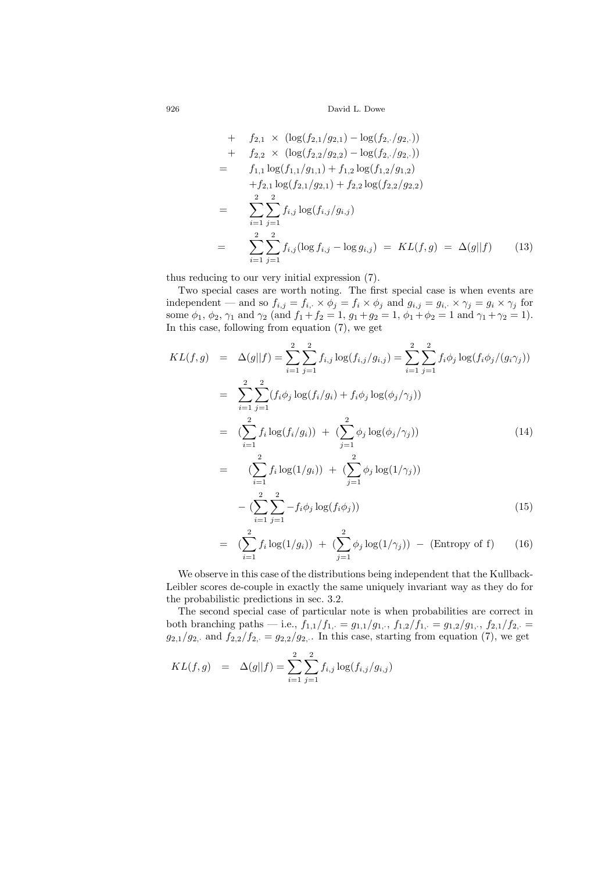+ 
$$
f_{2,1}
$$
 ×  $(\log(f_{2,1}/g_{2,1}) - \log(f_{2,1}/g_{2,1}))$   
\n+  $f_{2,2}$  ×  $(\log(f_{2,2}/g_{2,2}) - \log(f_{2,1}/g_{2,1}))$   
\n=  $f_{1,1} \log(f_{1,1}/g_{1,1}) + f_{1,2} \log(f_{1,2}/g_{1,2})$   
\n+  $f_{2,1} \log(f_{2,1}/g_{2,1}) + f_{2,2} \log(f_{2,2}/g_{2,2})$   
\n= 
$$
\sum_{i=1}^{2} \sum_{j=1}^{2} f_{i,j} \log(f_{i,j}/g_{i,j})
$$
  
\n= 
$$
\sum_{i=1}^{2} \sum_{j=1}^{2} f_{i,j} (\log f_{i,j} - \log g_{i,j}) = KL(f,g) = \Delta(g||f)
$$
 (13)

thus reducing to our very initial expression (7).

Two special cases are worth noting. The first special case is when events are independent — and so  $f_{i,j} = f_i$ ,  $\times \phi_j = f_i \times \phi_j$  and  $g_{i,j} = g_i$ ,  $\times \gamma_j = g_i \times \gamma_j$  for some  $\phi_1$ ,  $\phi_2$ ,  $\gamma_1$  and  $\gamma_2$  (and  $f_1 + f_2 = 1$ ,  $g_1 + g_2 = 1$ ,  $\phi_1 + \phi_2 = 1$  and  $\gamma_1 + \gamma_2 = 1$ ). In this case, following from equation (7), we get

$$
KL(f,g) = \Delta(g||f) = \sum_{i=1}^{2} \sum_{j=1}^{2} f_{i,j} \log(f_{i,j}/g_{i,j}) = \sum_{i=1}^{2} \sum_{j=1}^{2} f_i \phi_j \log(f_i \phi_j/(g_i \gamma_j))
$$
  
\n
$$
= \sum_{i=1}^{2} \sum_{j=1}^{2} (f_i \phi_j \log(f_i/g_i) + f_i \phi_j \log(\phi_j/\gamma_j))
$$
  
\n
$$
= (\sum_{i=1}^{2} f_i \log(f_i/g_i)) + (\sum_{j=1}^{2} \phi_j \log(\phi_j/\gamma_j))
$$
  
\n
$$
= (\sum_{i=1}^{2} f_i \log(1/g_i)) + (\sum_{j=1}^{2} \phi_j \log(1/\gamma_j))
$$
  
\n
$$
- (\sum_{i=1}^{2} \sum_{j=1}^{2} -f_i \phi_j \log(f_i \phi_j))
$$
  
\n(15)

$$
= \left( \sum_{i=1} f_i \log(1/g_i) \right) + \left( \sum_{j=1} \phi_j \log(1/\gamma_j) \right) - \left( \text{Entropy of f} \right) \tag{16}
$$

We observe in this case of the distributions being independent that the Kullback-Leibler scores de-couple in exactly the same uniquely invariant way as they do for the probabilistic predictions in sec. 3.2.

The second special case of particular note is when probabilities are correct in both branching paths — i.e.,  $f_{1,1}/f_{1,1} = g_{1,1}/g_{1,1}$ ,  $f_{1,2}/f_{1,1} = g_{1,2}/g_{1,1}$ ,  $f_{2,1}/f_{2,1} =$  $g_{2,1}/g_{2,1}$  and  $f_{2,2}/f_{2,1} = g_{2,2}/g_{2,1}$ . In this case, starting from equation (7), we get

$$
KL(f,g) = \Delta(g||f) = \sum_{i=1}^{2} \sum_{j=1}^{2} f_{i,j} \log(f_{i,j}/g_{i,j})
$$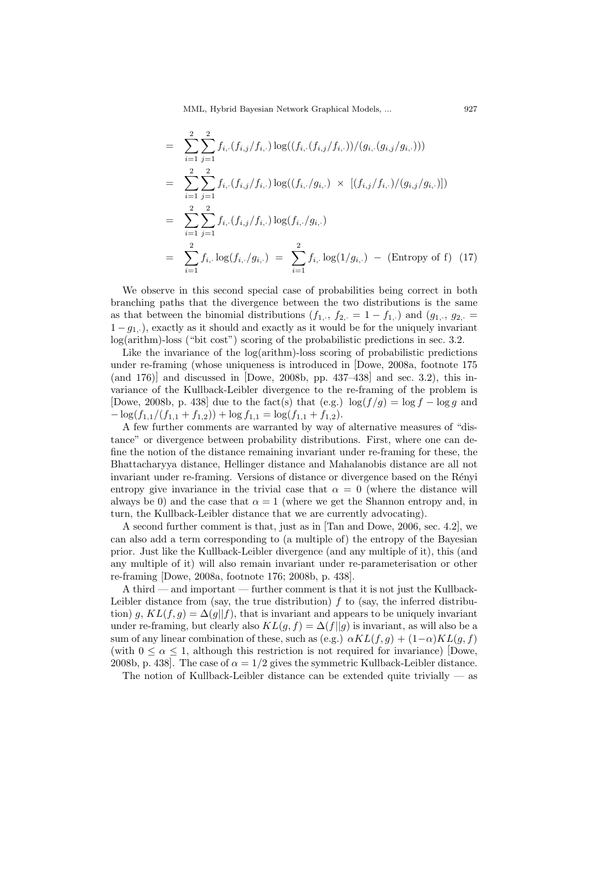MML, Hybrid Bayesian Network Graphical Models, ... 927

$$
= \sum_{i=1}^{2} \sum_{j=1}^{2} f_{i, \cdot}(f_{i, j}/f_{i, \cdot}) \log((f_{i, \cdot}(f_{i, j}/f_{i, \cdot}))/(g_{i, \cdot}(g_{i, j}/g_{i, \cdot})))
$$
  
\n
$$
= \sum_{i=1}^{2} \sum_{j=1}^{2} f_{i, \cdot}(f_{i, j}/f_{i, \cdot}) \log((f_{i, \cdot}/g_{i, \cdot}) \times [(f_{i, j}/f_{i, \cdot})/(g_{i, j}/g_{i, \cdot})])
$$
  
\n
$$
= \sum_{i=1}^{2} \sum_{j=1}^{2} f_{i, \cdot}(f_{i, j}/f_{i, \cdot}) \log(f_{i, \cdot}/g_{i, \cdot})
$$
  
\n
$$
= \sum_{i=1}^{2} f_{i, \cdot} \log(f_{i, \cdot}/g_{i, \cdot}) = \sum_{i=1}^{2} f_{i, \cdot} \log(1/g_{i, \cdot}) - (\text{Entropy of f}) (17)
$$

We observe in this second special case of probabilities being correct in both branching paths that the divergence between the two distributions is the same as that between the binomial distributions  $(f_1, f_2, = 1 - f_1)$  and  $(g_1, g_2, =$  $1 - g_{1,:}$ , exactly as it should and exactly as it would be for the uniquely invariant log(arithm)-loss ("bit cost") scoring of the probabilistic predictions in sec. 3.2.

Like the invariance of the log(arithm)-loss scoring of probabilistic predictions under re-framing (whose uniqueness is introduced in [Dowe, 2008a, footnote 175 (and 176)] and discussed in  $[$ Dowe, 2008b, pp. 437–438 $]$  and sec. 3.2 $)$ , this invariance of the Kullback-Leibler divergence to the re-framing of the problem is [Dowe, 2008b, p. 438] due to the fact(s) that (e.g.)  $\log(f/g) = \log f - \log g$  and  $-\log(f_{1,1}/(f_{1,1} + f_{1,2})) + \log f_{1,1} = \log(f_{1,1} + f_{1,2}).$ 

A few further comments are warranted by way of alternative measures of "distance" or divergence between probability distributions. First, where one can define the notion of the distance remaining invariant under re-framing for these, the Bhattacharyya distance, Hellinger distance and Mahalanobis distance are all not invariant under re-framing. Versions of distance or divergence based on the Rényi entropy give invariance in the trivial case that  $\alpha = 0$  (where the distance will always be 0) and the case that  $\alpha = 1$  (where we get the Shannon entropy and, in turn, the Kullback-Leibler distance that we are currently advocating).

A second further comment is that, just as in [Tan and Dowe, 2006, sec. 4.2], we can also add a term corresponding to (a multiple of) the entropy of the Bayesian prior. Just like the Kullback-Leibler divergence (and any multiple of it), this (and any multiple of it) will also remain invariant under re-parameterisation or other re-framing [Dowe, 2008a, footnote 176; 2008b, p. 438].

A third — and important — further comment is that it is not just the Kullback-Leibler distance from (say, the true distribution)  $f$  to (say, the inferred distribution) g,  $KL(f, g) = \Delta(g||f)$ , that is invariant and appears to be uniquely invariant under re-framing, but clearly also  $KL(g, f) = \Delta(f||g)$  is invariant, as will also be a sum of any linear combination of these, such as (e.g.)  $\alpha KL(f,g) + (1-\alpha)KL(g,f)$ (with  $0 \le \alpha \le 1$ , although this restriction is not required for invariance) [Dowe, 2008b, p. 438. The case of  $\alpha = 1/2$  gives the symmetric Kullback-Leibler distance.

The notion of Kullback-Leibler distance can be extended quite trivially — as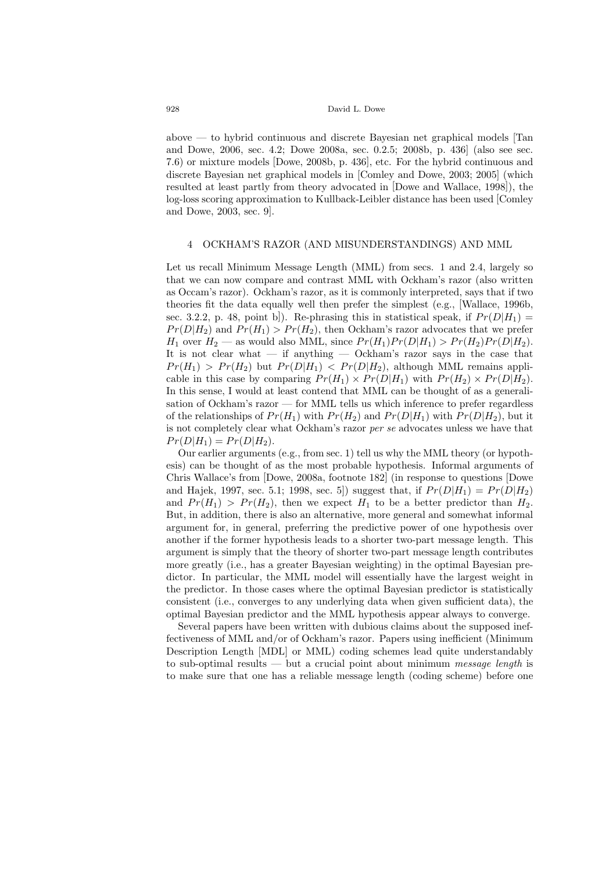above — to hybrid continuous and discrete Bayesian net graphical models [Tan and Dowe, 2006, sec. 4.2; Dowe 2008a, sec. 0.2.5; 2008b, p. 436] (also see sec. 7.6) or mixture models [Dowe, 2008b, p. 436], etc. For the hybrid continuous and discrete Bayesian net graphical models in [Comley and Dowe, 2003; 2005] (which resulted at least partly from theory advocated in [Dowe and Wallace, 1998]), the log-loss scoring approximation to Kullback-Leibler distance has been used [Comley and Dowe, 2003, sec. 9].

### 4 OCKHAM'S RAZOR (AND MISUNDERSTANDINGS) AND MML

Let us recall Minimum Message Length (MML) from secs. 1 and 2.4, largely so that we can now compare and contrast MML with Ockham's razor (also written as Occam's razor). Ockham's razor, as it is commonly interpreted, says that if two theories fit the data equally well then prefer the simplest (e.g., [Wallace, 1996b, sec. 3.2.2, p. 48, point b]). Re-phrasing this in statistical speak, if  $Pr(D|H_1)$  =  $Pr(D|H_2)$  and  $Pr(H_1) > Pr(H_2)$ , then Ockham's razor advocates that we prefer  $H_1$  over  $H_2$  — as would also MML, since  $Pr(H_1)Pr(D|H_1) > Pr(H_2)Pr(D|H_2)$ . It is not clear what  $-$  if anything  $-$  Ockham's razor says in the case that  $Pr(H_1) > Pr(H_2)$  but  $Pr(D|H_1) < Pr(D|H_2)$ , although MML remains applicable in this case by comparing  $Pr(H_1) \times Pr(D|H_1)$  with  $Pr(H_2) \times Pr(D|H_2)$ . In this sense, I would at least contend that MML can be thought of as a generalisation of Ockham's razor — for MML tells us which inference to prefer regardless of the relationships of  $Pr(H_1)$  with  $Pr(H_2)$  and  $Pr(D|H_1)$  with  $Pr(D|H_2)$ , but it is not completely clear what Ockham's razor per se advocates unless we have that  $Pr(D|H_1) = Pr(D|H_2).$ 

Our earlier arguments (e.g., from sec. 1) tell us why the MML theory (or hypothesis) can be thought of as the most probable hypothesis. Informal arguments of Chris Wallace's from [Dowe, 2008a, footnote 182] (in response to questions [Dowe and Hajek, 1997, sec. 5.1; 1998, sec. 5) suggest that, if  $Pr(D|H_1) = Pr(D|H_2)$ and  $Pr(H_1) > Pr(H_2)$ , then we expect  $H_1$  to be a better predictor than  $H_2$ . But, in addition, there is also an alternative, more general and somewhat informal argument for, in general, preferring the predictive power of one hypothesis over another if the former hypothesis leads to a shorter two-part message length. This argument is simply that the theory of shorter two-part message length contributes more greatly (i.e., has a greater Bayesian weighting) in the optimal Bayesian predictor. In particular, the MML model will essentially have the largest weight in the predictor. In those cases where the optimal Bayesian predictor is statistically consistent (i.e., converges to any underlying data when given sufficient data), the optimal Bayesian predictor and the MML hypothesis appear always to converge.

Several papers have been written with dubious claims about the supposed ineffectiveness of MML and/or of Ockham's razor. Papers using inefficient (Minimum Description Length [MDL] or MML) coding schemes lead quite understandably to sub-optimal results — but a crucial point about minimum message length is to make sure that one has a reliable message length (coding scheme) before one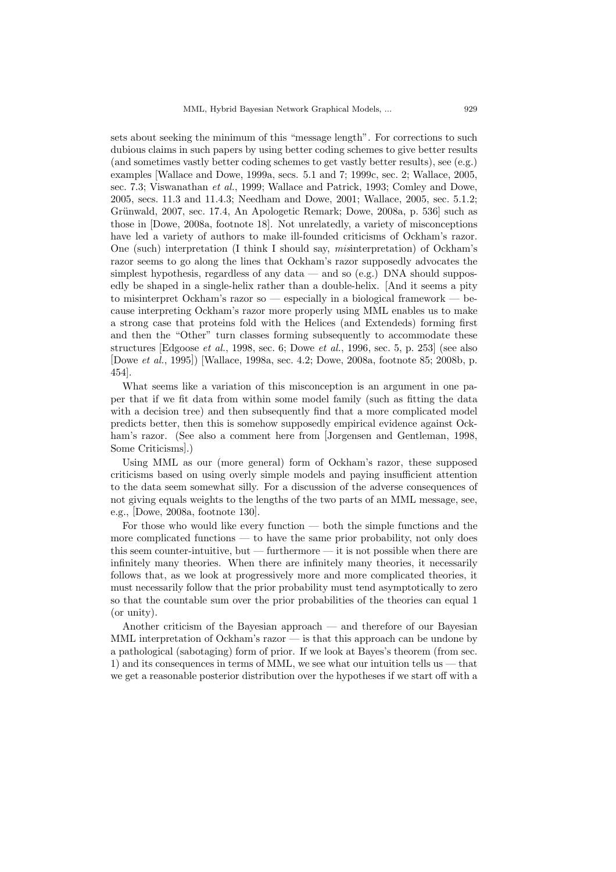sets about seeking the minimum of this "message length". For corrections to such dubious claims in such papers by using better coding schemes to give better results (and sometimes vastly better coding schemes to get vastly better results), see (e.g.) examples [Wallace and Dowe, 1999a, secs. 5.1 and 7; 1999c, sec. 2; Wallace, 2005, sec. 7.3; Viswanathan et al., 1999; Wallace and Patrick, 1993; Comley and Dowe, 2005, secs. 11.3 and 11.4.3; Needham and Dowe, 2001; Wallace, 2005, sec. 5.1.2; Grünwald, 2007, sec. 17.4, An Apologetic Remark; Dowe, 2008a, p. 536 such as those in [Dowe, 2008a, footnote 18]. Not unrelatedly, a variety of misconceptions have led a variety of authors to make ill-founded criticisms of Ockham's razor. One (such) interpretation (I think I should say, misinterpretation) of Ockham's razor seems to go along the lines that Ockham's razor supposedly advocates the simplest hypothesis, regardless of any data — and so (e.g.) DNA should supposedly be shaped in a single-helix rather than a double-helix. [And it seems a pity to misinterpret Ockham's razor so — especially in a biological framework — because interpreting Ockham's razor more properly using MML enables us to make a strong case that proteins fold with the Helices (and Extendeds) forming first and then the "Other" turn classes forming subsequently to accommodate these structures [Edgoose *et al.*, 1998, sec. 6; Dowe *et al.*, 1996, sec. 5, p. 253] (see also [Dowe et al., 1995]) [Wallace, 1998a, sec. 4.2; Dowe, 2008a, footnote 85; 2008b, p. 454].

What seems like a variation of this misconception is an argument in one paper that if we fit data from within some model family (such as fitting the data with a decision tree) and then subsequently find that a more complicated model predicts better, then this is somehow supposedly empirical evidence against Ockham's razor. (See also a comment here from [Jorgensen and Gentleman, 1998, Some Criticisms].)

Using MML as our (more general) form of Ockham's razor, these supposed criticisms based on using overly simple models and paying insufficient attention to the data seem somewhat silly. For a discussion of the adverse consequences of not giving equals weights to the lengths of the two parts of an MML message, see, e.g., [Dowe, 2008a, footnote 130].

For those who would like every function — both the simple functions and the more complicated functions — to have the same prior probability, not only does this seem counter-intuitive, but — furthermore — it is not possible when there are infinitely many theories. When there are infinitely many theories, it necessarily follows that, as we look at progressively more and more complicated theories, it must necessarily follow that the prior probability must tend asymptotically to zero so that the countable sum over the prior probabilities of the theories can equal 1 (or unity).

Another criticism of the Bayesian approach — and therefore of our Bayesian MML interpretation of Ockham's razor — is that this approach can be undone by a pathological (sabotaging) form of prior. If we look at Bayes's theorem (from sec. 1) and its consequences in terms of MML, we see what our intuition tells us — that we get a reasonable posterior distribution over the hypotheses if we start off with a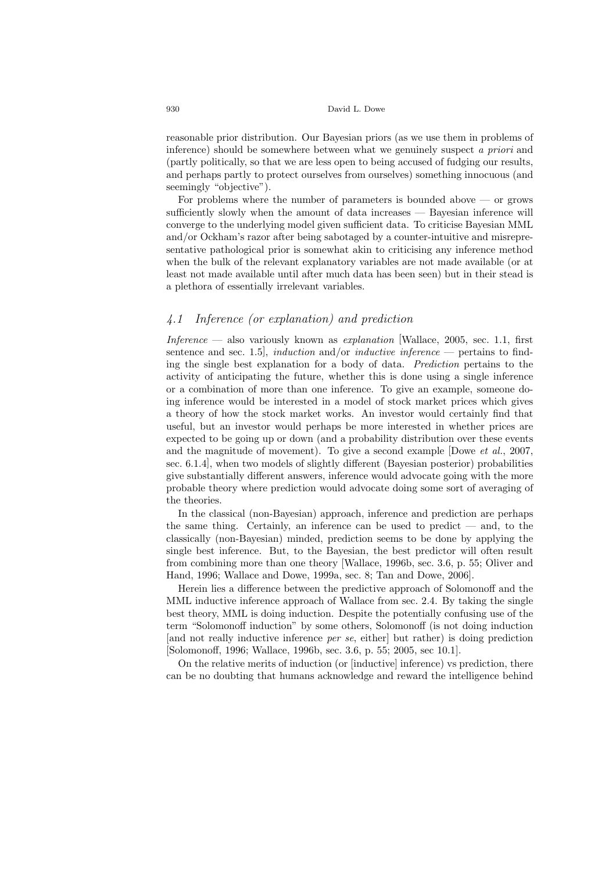reasonable prior distribution. Our Bayesian priors (as we use them in problems of inference) should be somewhere between what we genuinely suspect a priori and (partly politically, so that we are less open to being accused of fudging our results, and perhaps partly to protect ourselves from ourselves) something innocuous (and seemingly "objective").

For problems where the number of parameters is bounded above  $-$  or grows sufficiently slowly when the amount of data increases — Bayesian inference will converge to the underlying model given sufficient data. To criticise Bayesian MML and/or Ockham's razor after being sabotaged by a counter-intuitive and misrepresentative pathological prior is somewhat akin to criticising any inference method when the bulk of the relevant explanatory variables are not made available (or at least not made available until after much data has been seen) but in their stead is a plethora of essentially irrelevant variables.

# 4.1 Inference (or explanation) and prediction

Inference — also variously known as *explanation* [Wallace, 2005, sec. 1.1, first sentence and sec. 1.5, *induction* and/or *inductive inference* — pertains to finding the single best explanation for a body of data. Prediction pertains to the activity of anticipating the future, whether this is done using a single inference or a combination of more than one inference. To give an example, someone doing inference would be interested in a model of stock market prices which gives a theory of how the stock market works. An investor would certainly find that useful, but an investor would perhaps be more interested in whether prices are expected to be going up or down (and a probability distribution over these events and the magnitude of movement). To give a second example [Dowe et al., 2007, sec. 6.1.4], when two models of slightly different (Bayesian posterior) probabilities give substantially different answers, inference would advocate going with the more probable theory where prediction would advocate doing some sort of averaging of the theories.

In the classical (non-Bayesian) approach, inference and prediction are perhaps the same thing. Certainly, an inference can be used to predict — and, to the classically (non-Bayesian) minded, prediction seems to be done by applying the single best inference. But, to the Bayesian, the best predictor will often result from combining more than one theory [Wallace, 1996b, sec. 3.6, p. 55; Oliver and Hand, 1996; Wallace and Dowe, 1999a, sec. 8; Tan and Dowe, 2006].

Herein lies a difference between the predictive approach of Solomonoff and the MML inductive inference approach of Wallace from sec. 2.4. By taking the single best theory, MML is doing induction. Despite the potentially confusing use of the term "Solomonoff induction" by some others, Solomonoff (is not doing induction [and not really inductive inference per se, either] but rather) is doing prediction [Solomonoff, 1996; Wallace, 1996b, sec. 3.6, p. 55; 2005, sec 10.1].

On the relative merits of induction (or [inductive] inference) vs prediction, there can be no doubting that humans acknowledge and reward the intelligence behind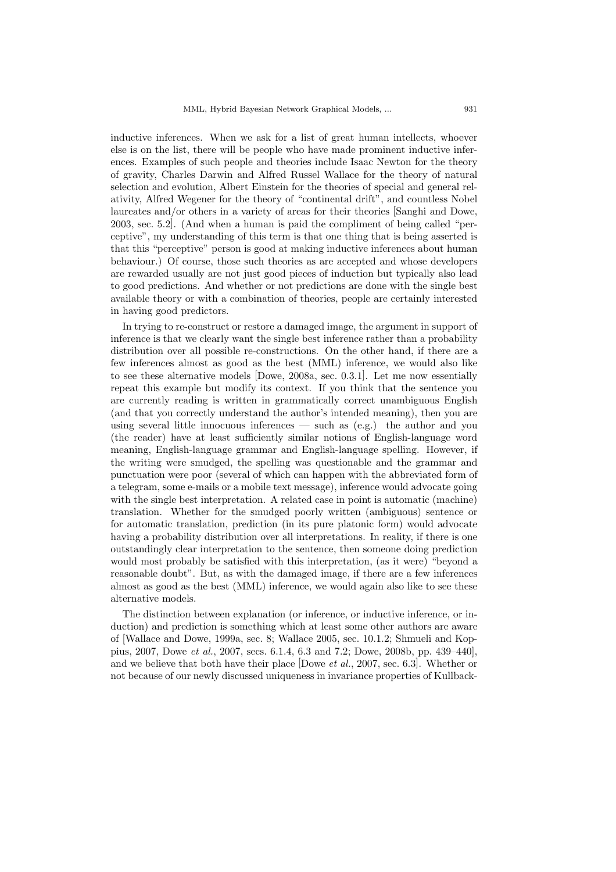inductive inferences. When we ask for a list of great human intellects, whoever else is on the list, there will be people who have made prominent inductive inferences. Examples of such people and theories include Isaac Newton for the theory of gravity, Charles Darwin and Alfred Russel Wallace for the theory of natural selection and evolution, Albert Einstein for the theories of special and general relativity, Alfred Wegener for the theory of "continental drift", and countless Nobel laureates and/or others in a variety of areas for their theories [Sanghi and Dowe, 2003, sec. 5.2]. (And when a human is paid the compliment of being called "perceptive", my understanding of this term is that one thing that is being asserted is that this "perceptive" person is good at making inductive inferences about human behaviour.) Of course, those such theories as are accepted and whose developers are rewarded usually are not just good pieces of induction but typically also lead to good predictions. And whether or not predictions are done with the single best available theory or with a combination of theories, people are certainly interested in having good predictors.

In trying to re-construct or restore a damaged image, the argument in support of inference is that we clearly want the single best inference rather than a probability distribution over all possible re-constructions. On the other hand, if there are a few inferences almost as good as the best (MML) inference, we would also like to see these alternative models [Dowe, 2008a, sec. 0.3.1]. Let me now essentially repeat this example but modify its context. If you think that the sentence you are currently reading is written in grammatically correct unambiguous English (and that you correctly understand the author's intended meaning), then you are using several little innocuous inferences — such as  $(e.g.)$  the author and you (the reader) have at least sufficiently similar notions of English-language word meaning, English-language grammar and English-language spelling. However, if the writing were smudged, the spelling was questionable and the grammar and punctuation were poor (several of which can happen with the abbreviated form of a telegram, some e-mails or a mobile text message), inference would advocate going with the single best interpretation. A related case in point is automatic (machine) translation. Whether for the smudged poorly written (ambiguous) sentence or for automatic translation, prediction (in its pure platonic form) would advocate having a probability distribution over all interpretations. In reality, if there is one outstandingly clear interpretation to the sentence, then someone doing prediction would most probably be satisfied with this interpretation, (as it were) "beyond a reasonable doubt". But, as with the damaged image, if there are a few inferences almost as good as the best (MML) inference, we would again also like to see these alternative models.

The distinction between explanation (or inference, or inductive inference, or induction) and prediction is something which at least some other authors are aware of [Wallace and Dowe, 1999a, sec. 8; Wallace 2005, sec. 10.1.2; Shmueli and Koppius, 2007, Dowe et al., 2007, secs. 6.1.4, 6.3 and 7.2; Dowe, 2008b, pp. 439–440], and we believe that both have their place [Dowe et al., 2007, sec. 6.3]. Whether or not because of our newly discussed uniqueness in invariance properties of Kullback-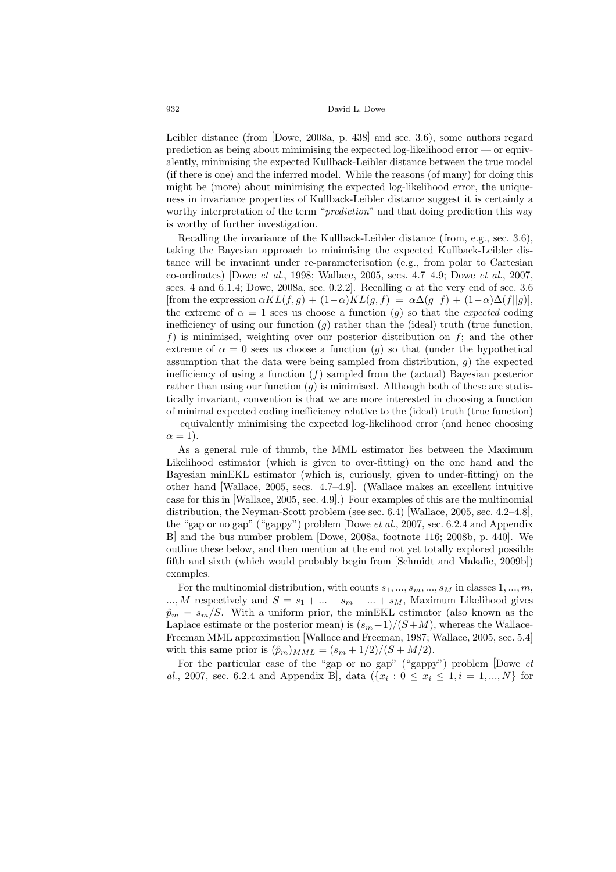Leibler distance (from [Dowe, 2008a, p. 438] and sec. 3.6), some authors regard prediction as being about minimising the expected log-likelihood error — or equivalently, minimising the expected Kullback-Leibler distance between the true model (if there is one) and the inferred model. While the reasons (of many) for doing this might be (more) about minimising the expected log-likelihood error, the uniqueness in invariance properties of Kullback-Leibler distance suggest it is certainly a worthy interpretation of the term "*prediction*" and that doing prediction this way is worthy of further investigation.

Recalling the invariance of the Kullback-Leibler distance (from, e.g., sec. 3.6), taking the Bayesian approach to minimising the expected Kullback-Leibler distance will be invariant under re-parameterisation (e.g., from polar to Cartesian co-ordinates) [Dowe *et al.*, 1998; Wallace, 2005, secs.  $4.7-4.9$ ; Dowe *et al.*, 2007, secs. 4 and 6.1.4; Dowe, 2008a, sec. 0.2.2]. Recalling  $\alpha$  at the very end of sec. 3.6 [from the expression  $\alpha KL(f, g) + (1-\alpha)KL(g, f) = \alpha \Delta(g||f) + (1-\alpha)\Delta(f||g)$ ], the extreme of  $\alpha = 1$  sees us choose a function (q) so that the *expected* coding inefficiency of using our function  $(q)$  rather than the (ideal) truth (true function, f) is minimised, weighting over our posterior distribution on  $f$ ; and the other extreme of  $\alpha = 0$  sees us choose a function (g) so that (under the hypothetical assumption that the data were being sampled from distribution,  $q$ ) the expected inefficiency of using a function  $(f)$  sampled from the (actual) Bayesian posterior rather than using our function  $(g)$  is minimised. Although both of these are statistically invariant, convention is that we are more interested in choosing a function of minimal expected coding inefficiency relative to the (ideal) truth (true function) — equivalently minimising the expected log-likelihood error (and hence choosing  $\alpha = 1$ ).

As a general rule of thumb, the MML estimator lies between the Maximum Likelihood estimator (which is given to over-fitting) on the one hand and the Bayesian minEKL estimator (which is, curiously, given to under-fitting) on the other hand [Wallace, 2005, secs. 4.7–4.9]. (Wallace makes an excellent intuitive case for this in [Wallace, 2005, sec. 4.9].) Four examples of this are the multinomial distribution, the Neyman-Scott problem (see sec. 6.4) [Wallace, 2005, sec. 4.2–4.8], the "gap or no gap" ("gappy") problem [Dowe et al., 2007, sec. 6.2.4 and Appendix B] and the bus number problem [Dowe, 2008a, footnote 116; 2008b, p. 440]. We outline these below, and then mention at the end not yet totally explored possible fifth and sixth (which would probably begin from [Schmidt and Makalic, 2009b]) examples.

For the multinomial distribution, with counts  $s_1, ..., s_m, ..., s_M$  in classes  $1, ..., m$ ,  $..., M$  respectively and  $S = s_1 + ... + s_m + ... + s_M$ , Maximum Likelihood gives  $\hat{p}_m = s_m/S$ . With a uniform prior, the minEKL estimator (also known as the Laplace estimate or the posterior mean) is  $(s_m+1)/(S+M)$ , whereas the Wallace-Freeman MML approximation [Wallace and Freeman, 1987; Wallace, 2005, sec. 5.4] with this same prior is  $(\hat{p}_m)_{MML} = (s_m + 1/2)/(S + M/2)$ .

For the particular case of the "gap or no gap" ("gappy") problem [Dowe  $et$ al., 2007, sec. 6.2.4 and Appendix B, data  $({x_i : 0 \le x_i \le 1, i = 1, ..., N}$  for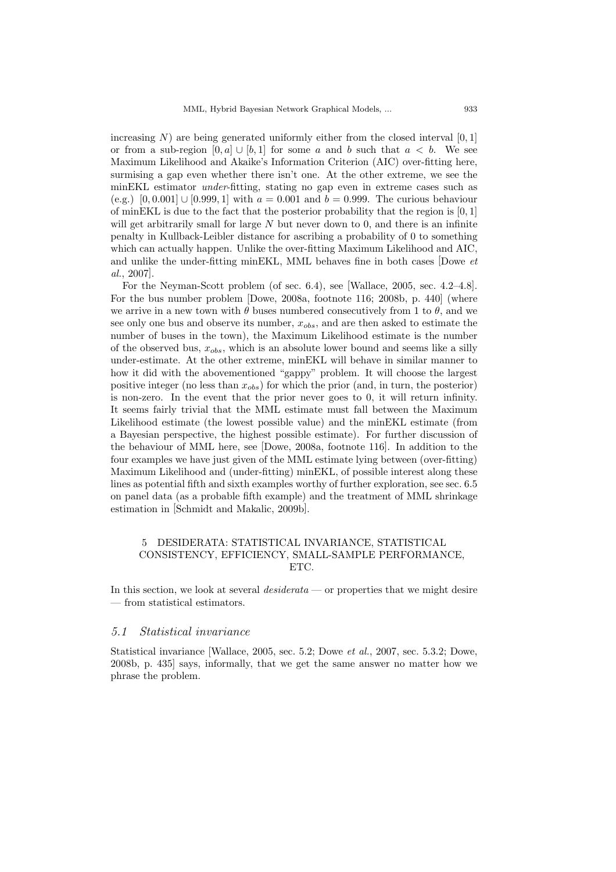increasing  $N$ ) are being generated uniformly either from the closed interval  $[0, 1]$ or from a sub-region  $[0, a] \cup [b, 1]$  for some a and b such that  $a < b$ . We see Maximum Likelihood and Akaike's Information Criterion (AIC) over-fitting here, surmising a gap even whether there isn't one. At the other extreme, we see the minEKL estimator under-fitting, stating no gap even in extreme cases such as (e.g.)  $[0, 0.001] \cup [0.999, 1]$  with  $a = 0.001$  and  $b = 0.999$ . The curious behaviour of minEKL is due to the fact that the posterior probability that the region is  $[0, 1]$ will get arbitrarily small for large  $N$  but never down to 0, and there is an infinite penalty in Kullback-Leibler distance for ascribing a probability of 0 to something which can actually happen. Unlike the over-fitting Maximum Likelihood and AIC, and unlike the under-fitting minEKL, MML behaves fine in both cases [Dowe et al., 2007].

For the Neyman-Scott problem (of sec. 6.4), see [Wallace, 2005, sec. 4.2–4.8]. For the bus number problem [Dowe, 2008a, footnote 116; 2008b, p. 440] (where we arrive in a new town with  $\theta$  buses numbered consecutively from 1 to  $\theta$ , and we see only one bus and observe its number,  $x_{obs}$ , and are then asked to estimate the number of buses in the town), the Maximum Likelihood estimate is the number of the observed bus,  $x_{obs}$ , which is an absolute lower bound and seems like a silly under-estimate. At the other extreme, minEKL will behave in similar manner to how it did with the abovementioned "gappy" problem. It will choose the largest positive integer (no less than  $x_{obs}$ ) for which the prior (and, in turn, the posterior) is non-zero. In the event that the prior never goes to 0, it will return infinity. It seems fairly trivial that the MML estimate must fall between the Maximum Likelihood estimate (the lowest possible value) and the minEKL estimate (from a Bayesian perspective, the highest possible estimate). For further discussion of the behaviour of MML here, see [Dowe, 2008a, footnote 116]. In addition to the four examples we have just given of the MML estimate lying between (over-fitting) Maximum Likelihood and (under-fitting) minEKL, of possible interest along these lines as potential fifth and sixth examples worthy of further exploration, see sec. 6.5 on panel data (as a probable fifth example) and the treatment of MML shrinkage estimation in [Schmidt and Makalic, 2009b].

# 5 DESIDERATA: STATISTICAL INVARIANCE, STATISTICAL CONSISTENCY, EFFICIENCY, SMALL-SAMPLE PERFORMANCE, ETC.

In this section, we look at several  $desired$  — or properties that we might desire — from statistical estimators.

#### 5.1 Statistical invariance

Statistical invariance [Wallace, 2005, sec. 5.2; Dowe et al., 2007, sec. 5.3.2; Dowe, 2008b, p. 435] says, informally, that we get the same answer no matter how we phrase the problem.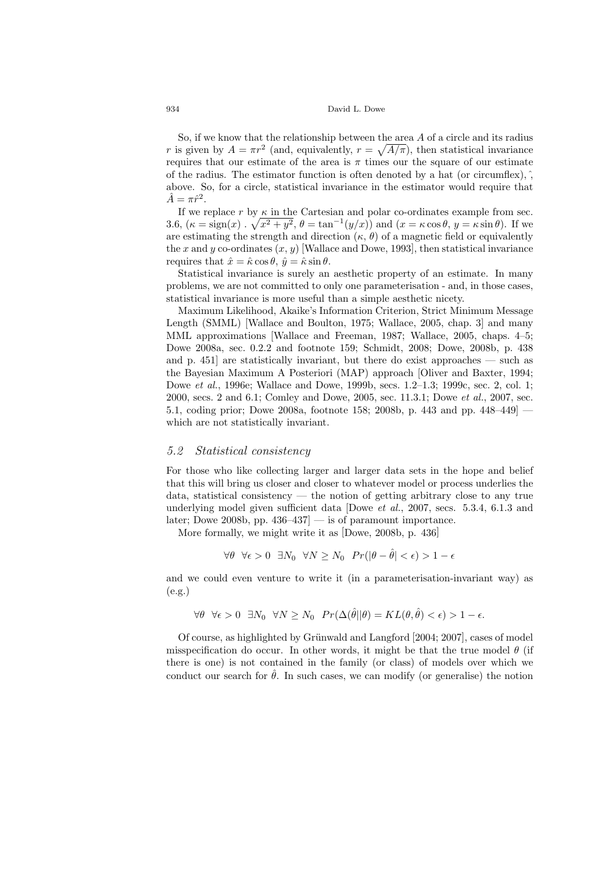So, if we know that the relationship between the area  $A$  of a circle and its radius r is given by  $A = \pi r^2$  (and, equivalently,  $r = \sqrt{A/\pi}$ ), then statistical invariance requires that our estimate of the area is  $\pi$  times our the square of our estimate of the radius. The estimator function is often denoted by a hat (or circumflex),ˆ, above. So, for a circle, statistical invariance in the estimator would require that  $\hat{A} = \pi \hat{r}^2.$ 

If we replace r by  $\kappa$  in the Cartesian and polar co-ordinates example from sec. 3.6,  $(\kappa = \text{sign}(x) \cdot \sqrt{x^2 + y^2}, \theta = \tan^{-1}(y/x))$  and  $(x = \kappa \cos \theta, y = \kappa \sin \theta)$ . If we are estimating the strength and direction  $(\kappa, \theta)$  of a magnetic field or equivalently the x and y co-ordinates  $(x, y)$  [Wallace and Dowe, 1993], then statistical invariance requires that  $\hat{x} = \hat{\kappa} \cos \theta$ ,  $\hat{y} = \hat{\kappa} \sin \theta$ .

Statistical invariance is surely an aesthetic property of an estimate. In many problems, we are not committed to only one parameterisation - and, in those cases, statistical invariance is more useful than a simple aesthetic nicety.

Maximum Likelihood, Akaike's Information Criterion, Strict Minimum Message Length (SMML) [Wallace and Boulton, 1975; Wallace, 2005, chap. 3] and many MML approximations [Wallace and Freeman, 1987; Wallace, 2005, chaps. 4–5; Dowe 2008a, sec. 0.2.2 and footnote 159; Schmidt, 2008; Dowe, 2008b, p. 438 and p. 451] are statistically invariant, but there do exist approaches — such as the Bayesian Maximum A Posteriori (MAP) approach [Oliver and Baxter, 1994; Dowe et al., 1996e; Wallace and Dowe, 1999b, secs. 1.2–1.3; 1999c, sec. 2, col. 1; 2000, secs. 2 and 6.1; Comley and Dowe, 2005, sec. 11.3.1; Dowe et al., 2007, sec. 5.1, coding prior; Dowe 2008a, footnote 158; 2008b, p. 443 and pp. 448–449] which are not statistically invariant.

### 5.2 Statistical consistency

For those who like collecting larger and larger data sets in the hope and belief that this will bring us closer and closer to whatever model or process underlies the data, statistical consistency — the notion of getting arbitrary close to any true underlying model given sufficient data [Dowe et al., 2007, secs. 5.3.4, 6.1.3 and later; Dowe 2008b, pp.  $436-437$  — is of paramount importance.

More formally, we might write it as [Dowe, 2008b, p. 436]

$$
\forall \theta \ \forall \epsilon > 0 \ \exists N_0 \ \forall N \ge N_0 \ P r(|\theta - \hat{\theta}| < \epsilon) > 1 - \epsilon
$$

and we could even venture to write it (in a parameterisation-invariant way) as (e.g.)

 $\forall \theta \ \forall \epsilon > 0 \ \exists N_0 \ \forall N \ge N_0 \ \ Pr(\Delta(\hat{\theta}||\theta) = KL(\theta, \hat{\theta}) < \epsilon) > 1 - \epsilon.$ 

Of course, as highlighted by Grünwald and Langford [2004; 2007], cases of model misspecification do occur. In other words, it might be that the true model  $\theta$  (if there is one) is not contained in the family (or class) of models over which we conduct our search for  $\hat{\theta}$ . In such cases, we can modify (or generalise) the notion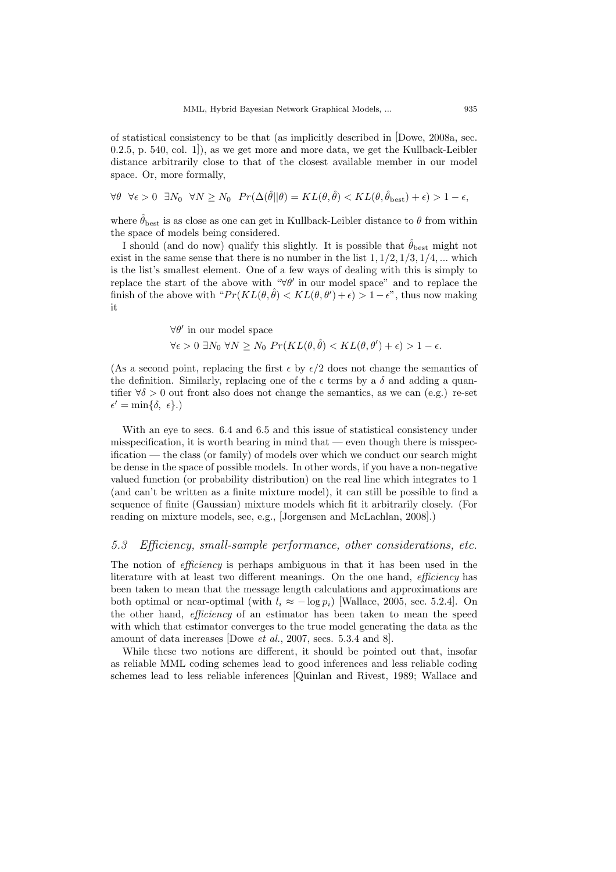of statistical consistency to be that (as implicitly described in [Dowe, 2008a, sec.  $(0.2.5, p. 540, col. 1)$ , as we get more and more data, we get the Kullback-Leibler distance arbitrarily close to that of the closest available member in our model space. Or, more formally,

$$
\forall \theta \ \forall \epsilon > 0 \ \exists N_0 \ \forall N \ge N_0 \ P r(\Delta(\hat{\theta}||\theta) = KL(\theta, \hat{\theta}) < KL(\theta, \hat{\theta}_{\text{best}}) + \epsilon) > 1 - \epsilon,
$$

where  $\hat{\theta}_{\text{best}}$  is as close as one can get in Kullback-Leibler distance to  $\theta$  from within the space of models being considered.

I should (and do now) qualify this slightly. It is possible that  $\hat{\theta}_{\text{best}}$  might not exist in the same sense that there is no number in the list  $1, 1/2, 1/3, 1/4, \dots$  which is the list's smallest element. One of a few ways of dealing with this is simply to replace the start of the above with " $\forall \theta'$  in our model space" and to replace the finish of the above with " $Pr(KL(\theta, \hat{\theta}) < KL(\theta, \theta') + \epsilon) > 1 - \epsilon$ ", thus now making it

$$
\forall \theta' \text{ in our model space}
$$
  
\n
$$
\forall \epsilon > 0 \ \exists N_0 \ \forall N \ge N_0 \ Pr(KL(\theta, \hat{\theta}) < KL(\theta, \theta') + \epsilon) > 1 - \epsilon.
$$

(As a second point, replacing the first  $\epsilon$  by  $\epsilon/2$  does not change the semantics of the definition. Similarly, replacing one of the  $\epsilon$  terms by a  $\delta$  and adding a quantifier  $\forall \delta > 0$  out front also does not change the semantics, as we can (e.g.) re-set  $\epsilon' = \min\{\delta, \epsilon\}.$ 

With an eye to secs. 6.4 and 6.5 and this issue of statistical consistency under misspecification, it is worth bearing in mind that — even though there is misspecification — the class (or family) of models over which we conduct our search might be dense in the space of possible models. In other words, if you have a non-negative valued function (or probability distribution) on the real line which integrates to 1 (and can't be written as a finite mixture model), it can still be possible to find a sequence of finite (Gaussian) mixture models which fit it arbitrarily closely. (For reading on mixture models, see, e.g., [Jorgensen and McLachlan, 2008].)

# 5.3 Efficiency, small-sample performance, other considerations, etc.

The notion of *efficiency* is perhaps ambiguous in that it has been used in the literature with at least two different meanings. On the one hand, *efficiency* has been taken to mean that the message length calculations and approximations are both optimal or near-optimal (with  $l_i \approx -\log p_i$ ) [Wallace, 2005, sec. 5.2.4]. On the other hand, efficiency of an estimator has been taken to mean the speed with which that estimator converges to the true model generating the data as the amount of data increases [Dowe et al., 2007, secs. 5.3.4 and 8].

While these two notions are different, it should be pointed out that, insofar as reliable MML coding schemes lead to good inferences and less reliable coding schemes lead to less reliable inferences [Quinlan and Rivest, 1989; Wallace and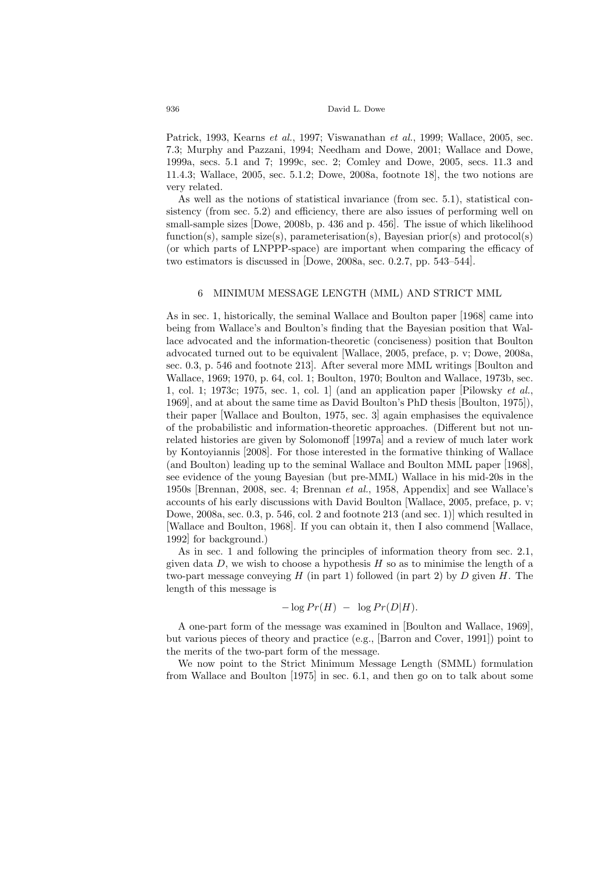Patrick, 1993, Kearns et al., 1997; Viswanathan et al., 1999; Wallace, 2005, sec. 7.3; Murphy and Pazzani, 1994; Needham and Dowe, 2001; Wallace and Dowe, 1999a, secs. 5.1 and 7; 1999c, sec. 2; Comley and Dowe, 2005, secs. 11.3 and 11.4.3; Wallace, 2005, sec. 5.1.2; Dowe, 2008a, footnote 18], the two notions are very related.

As well as the notions of statistical invariance (from sec. 5.1), statistical consistency (from sec. 5.2) and efficiency, there are also issues of performing well on small-sample sizes [Dowe, 2008b, p. 436 and p. 456]. The issue of which likelihood function(s), sample size(s), parameterisation(s), Bayesian prior(s) and protocol(s) (or which parts of LNPPP-space) are important when comparing the efficacy of two estimators is discussed in [Dowe, 2008a, sec. 0.2.7, pp. 543–544].

#### 6 MINIMUM MESSAGE LENGTH (MML) AND STRICT MML

As in sec. 1, historically, the seminal Wallace and Boulton paper [1968] came into being from Wallace's and Boulton's finding that the Bayesian position that Wallace advocated and the information-theoretic (conciseness) position that Boulton advocated turned out to be equivalent [Wallace, 2005, preface, p. v; Dowe, 2008a, sec. 0.3, p. 546 and footnote 213]. After several more MML writings [Boulton and Wallace, 1969; 1970, p. 64, col. 1; Boulton, 1970; Boulton and Wallace, 1973b, sec. 1, col. 1; 1973c; 1975, sec. 1, col. 1] (and an application paper [Pilowsky et al., 1969], and at about the same time as David Boulton's PhD thesis [Boulton, 1975]), their paper [Wallace and Boulton, 1975, sec. 3] again emphasises the equivalence of the probabilistic and information-theoretic approaches. (Different but not unrelated histories are given by Solomonoff [1997a] and a review of much later work by Kontoyiannis [2008]. For those interested in the formative thinking of Wallace (and Boulton) leading up to the seminal Wallace and Boulton MML paper [1968], see evidence of the young Bayesian (but pre-MML) Wallace in his mid-20s in the 1950s [Brennan, 2008, sec. 4; Brennan et al., 1958, Appendix] and see Wallace's accounts of his early discussions with David Boulton [Wallace, 2005, preface, p. v; Dowe, 2008a, sec. 0.3, p. 546, col. 2 and footnote 213 (and sec. 1)] which resulted in [Wallace and Boulton, 1968]. If you can obtain it, then I also commend [Wallace, 1992] for background.)

As in sec. 1 and following the principles of information theory from sec. 2.1, given data  $D$ , we wish to choose a hypothesis  $H$  so as to minimise the length of a two-part message conveying  $H$  (in part 1) followed (in part 2) by  $D$  given  $H$ . The length of this message is

$$
-\log Pr(H) - \log Pr(D|H).
$$

A one-part form of the message was examined in [Boulton and Wallace, 1969], but various pieces of theory and practice (e.g., [Barron and Cover, 1991]) point to the merits of the two-part form of the message.

We now point to the Strict Minimum Message Length (SMML) formulation from Wallace and Boulton [1975] in sec. 6.1, and then go on to talk about some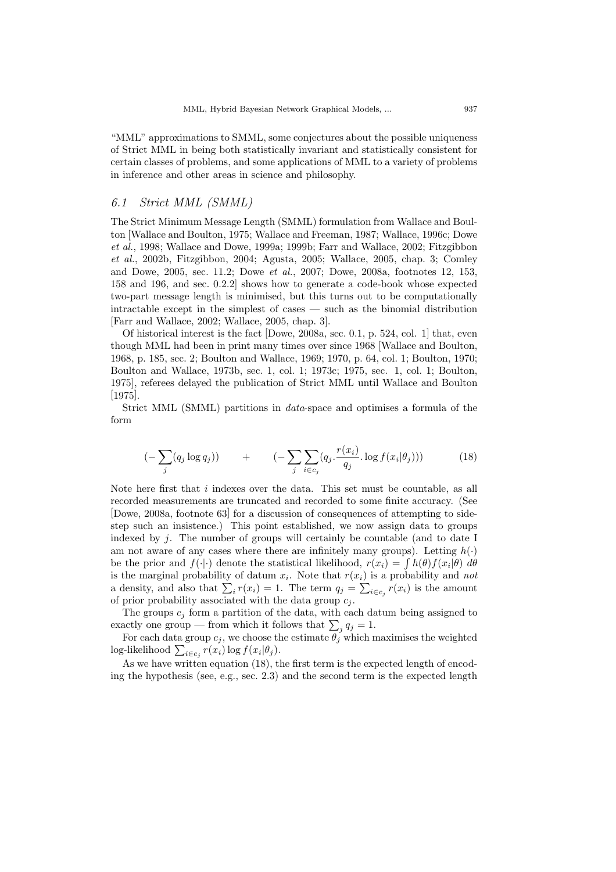"MML" approximations to SMML, some conjectures about the possible uniqueness of Strict MML in being both statistically invariant and statistically consistent for certain classes of problems, and some applications of MML to a variety of problems in inference and other areas in science and philosophy.

## 6.1 Strict MML (SMML)

The Strict Minimum Message Length (SMML) formulation from Wallace and Boulton [Wallace and Boulton, 1975; Wallace and Freeman, 1987; Wallace, 1996c; Dowe et al., 1998; Wallace and Dowe, 1999a; 1999b; Farr and Wallace, 2002; Fitzgibbon et al., 2002b, Fitzgibbon, 2004; Agusta, 2005; Wallace, 2005, chap. 3; Comley and Dowe, 2005, sec. 11.2; Dowe et al., 2007; Dowe, 2008a, footnotes 12, 153, 158 and 196, and sec. 0.2.2] shows how to generate a code-book whose expected two-part message length is minimised, but this turns out to be computationally intractable except in the simplest of cases — such as the binomial distribution [Farr and Wallace, 2002; Wallace, 2005, chap. 3].

Of historical interest is the fact [Dowe, 2008a, sec. 0.1, p. 524, col. 1] that, even though MML had been in print many times over since 1968 [Wallace and Boulton, 1968, p. 185, sec. 2; Boulton and Wallace, 1969; 1970, p. 64, col. 1; Boulton, 1970; Boulton and Wallace, 1973b, sec. 1, col. 1; 1973c; 1975, sec. 1, col. 1; Boulton, 1975], referees delayed the publication of Strict MML until Wallace and Boulton [1975].

Strict MML (SMML) partitions in data-space and optimises a formula of the form

$$
(-\sum_{j}(q_j \log q_j)) + (-\sum_{j} \sum_{i \in c_j} (q_j \cdot \frac{r(x_i)}{q_j} \cdot \log f(x_i | \theta_j))) \tag{18}
$$

Note here first that  $i$  indexes over the data. This set must be countable, as all recorded measurements are truncated and recorded to some finite accuracy. (See [Dowe, 2008a, footnote 63] for a discussion of consequences of attempting to sidestep such an insistence.) This point established, we now assign data to groups indexed by  $j$ . The number of groups will certainly be countable (and to date I am not aware of any cases where there are infinitely many groups). Letting  $h(\cdot)$ be the prior and  $f(\cdot|\cdot)$  denote the statistical likelihood,  $r(x_i) = \int h(\theta) f(x_i|\theta) d\theta$ is the marginal probability of datum  $x_i$ . Note that  $r(x_i)$  is a probability and not a density, and also that  $\sum_i r(x_i) = 1$ . The term  $q_j = \sum_{i \in c_j} r(x_i)$  is the amount of prior probability associated with the data group  $c_j$ .

The groups  $c_i$  form a partition of the data, with each datum being assigned to exactly one group — from which it follows that  $\sum_j q_j = 1$ .

For each data group  $c_j$ , we choose the estimate  $\theta_j$  which maximises the weighted log-likelihood  $\sum_{i \in c_j} r(x_i) \log f(x_i | \theta_j)$ .

As we have written equation (18), the first term is the expected length of encoding the hypothesis (see, e.g., sec. 2.3) and the second term is the expected length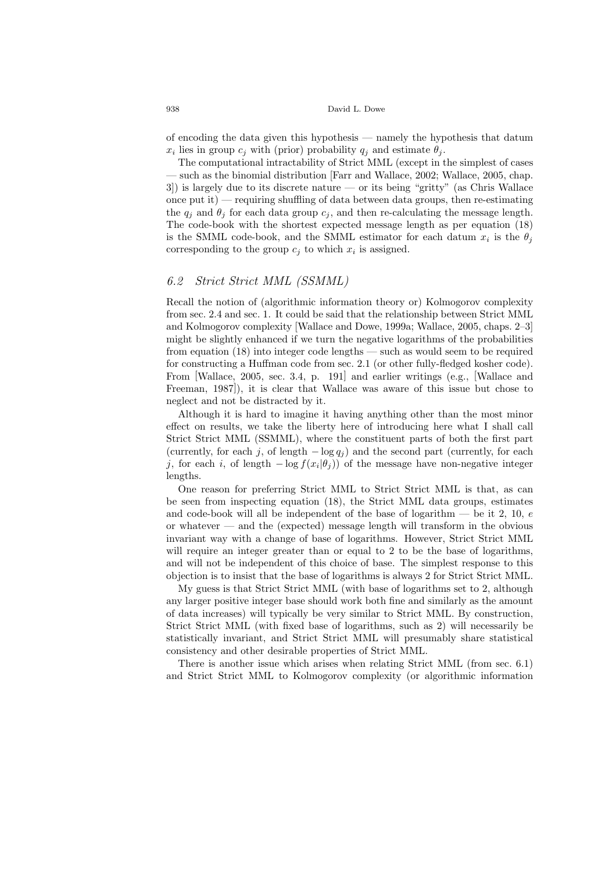of encoding the data given this hypothesis — namely the hypothesis that datum  $x_i$  lies in group  $c_j$  with (prior) probability  $q_j$  and estimate  $\theta_j$ .

The computational intractability of Strict MML (except in the simplest of cases — such as the binomial distribution [Farr and Wallace, 2002; Wallace, 2005, chap. 3]) is largely due to its discrete nature — or its being "gritty" (as Chris Wallace once put it) — requiring shuffling of data between data groups, then re-estimating the  $q_i$  and  $\theta_i$  for each data group  $c_i$ , and then re-calculating the message length. The code-book with the shortest expected message length as per equation (18) is the SMML code-book, and the SMML estimator for each datum  $x_i$  is the  $\theta_j$ corresponding to the group  $c_j$  to which  $x_i$  is assigned.

## 6.2 Strict Strict MML (SSMML)

Recall the notion of (algorithmic information theory or) Kolmogorov complexity from sec. 2.4 and sec. 1. It could be said that the relationship between Strict MML and Kolmogorov complexity [Wallace and Dowe, 1999a; Wallace, 2005, chaps. 2–3] might be slightly enhanced if we turn the negative logarithms of the probabilities from equation (18) into integer code lengths — such as would seem to be required for constructing a Huffman code from sec. 2.1 (or other fully-fledged kosher code). From [Wallace, 2005, sec. 3.4, p. 191] and earlier writings (e.g., [Wallace and Freeman, 1987]), it is clear that Wallace was aware of this issue but chose to neglect and not be distracted by it.

Although it is hard to imagine it having anything other than the most minor effect on results, we take the liberty here of introducing here what I shall call Strict Strict MML (SSMML), where the constituent parts of both the first part (currently, for each j, of length  $-\log q_i$ ) and the second part (currently, for each j, for each i, of length  $-\log f(x_i|\theta_j)$  of the message have non-negative integer lengths.

One reason for preferring Strict MML to Strict Strict MML is that, as can be seen from inspecting equation (18), the Strict MML data groups, estimates and code-book will all be independent of the base of logarithm  $-$  be it 2, 10,  $e$ or whatever — and the (expected) message length will transform in the obvious invariant way with a change of base of logarithms. However, Strict Strict MML will require an integer greater than or equal to 2 to be the base of logarithms, and will not be independent of this choice of base. The simplest response to this objection is to insist that the base of logarithms is always 2 for Strict Strict MML.

My guess is that Strict Strict MML (with base of logarithms set to 2, although any larger positive integer base should work both fine and similarly as the amount of data increases) will typically be very similar to Strict MML. By construction, Strict Strict MML (with fixed base of logarithms, such as 2) will necessarily be statistically invariant, and Strict Strict MML will presumably share statistical consistency and other desirable properties of Strict MML.

There is another issue which arises when relating Strict MML (from sec. 6.1) and Strict Strict MML to Kolmogorov complexity (or algorithmic information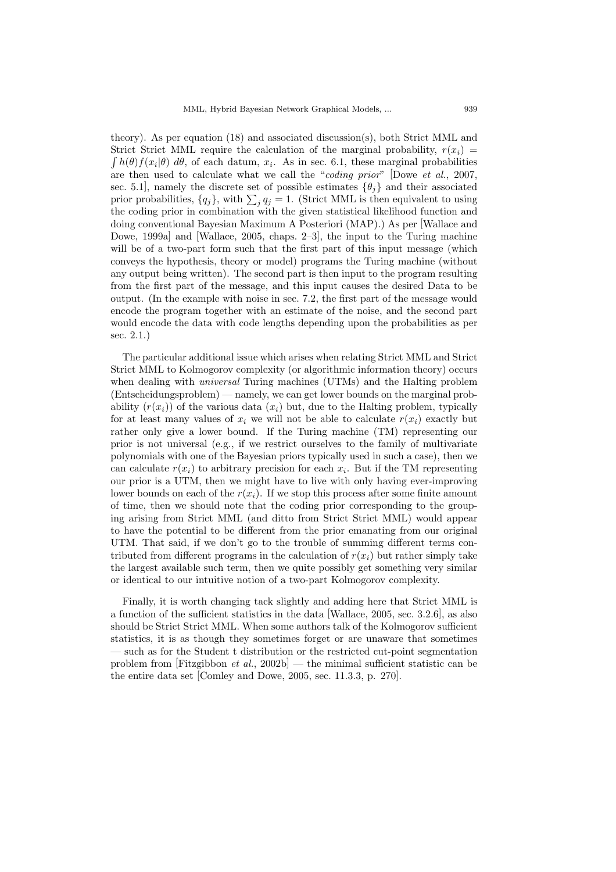theory). As per equation  $(18)$  and associated discussion(s), both Strict MML and Strict Strict MML require the calculation of the marginal probability,  $r(x_i)$  =  $\int h(\theta) f(x_i|\theta) d\theta$ , of each datum,  $x_i$ . As in sec. 6.1, these marginal probabilities are then used to calculate what we call the "coding prior" [Dowe et al., 2007, sec. 5.1], namely the discrete set of possible estimates  $\{\theta_i\}$  and their associated prior probabilities,  $\{q_j\}$ , with  $\sum_j q_j = 1$ . (Strict MML is then equivalent to using the coding prior in combination with the given statistical likelihood function and doing conventional Bayesian Maximum A Posteriori (MAP).) As per [Wallace and Dowe, 1999a] and [Wallace, 2005, chaps. 2–3], the input to the Turing machine will be of a two-part form such that the first part of this input message (which conveys the hypothesis, theory or model) programs the Turing machine (without any output being written). The second part is then input to the program resulting from the first part of the message, and this input causes the desired Data to be output. (In the example with noise in sec. 7.2, the first part of the message would encode the program together with an estimate of the noise, and the second part would encode the data with code lengths depending upon the probabilities as per sec. 2.1.)

The particular additional issue which arises when relating Strict MML and Strict Strict MML to Kolmogorov complexity (or algorithmic information theory) occurs when dealing with *universal* Turing machines (UTMs) and the Halting problem (Entscheidungsproblem) — namely, we can get lower bounds on the marginal probability  $(r(x_i))$  of the various data  $(x_i)$  but, due to the Halting problem, typically for at least many values of  $x_i$  we will not be able to calculate  $r(x_i)$  exactly but rather only give a lower bound. If the Turing machine (TM) representing our prior is not universal (e.g., if we restrict ourselves to the family of multivariate polynomials with one of the Bayesian priors typically used in such a case), then we can calculate  $r(x_i)$  to arbitrary precision for each  $x_i$ . But if the TM representing our prior is a UTM, then we might have to live with only having ever-improving lower bounds on each of the  $r(x_i)$ . If we stop this process after some finite amount of time, then we should note that the coding prior corresponding to the grouping arising from Strict MML (and ditto from Strict Strict MML) would appear to have the potential to be different from the prior emanating from our original UTM. That said, if we don't go to the trouble of summing different terms contributed from different programs in the calculation of  $r(x_i)$  but rather simply take the largest available such term, then we quite possibly get something very similar or identical to our intuitive notion of a two-part Kolmogorov complexity.

Finally, it is worth changing tack slightly and adding here that Strict MML is a function of the sufficient statistics in the data [Wallace, 2005, sec. 3.2.6], as also should be Strict Strict MML. When some authors talk of the Kolmogorov sufficient statistics, it is as though they sometimes forget or are unaware that sometimes — such as for the Student t distribution or the restricted cut-point segmentation problem from [Fitzgibbon *et al.*,  $2002b$ ] — the minimal sufficient statistic can be the entire data set [Comley and Dowe, 2005, sec. 11.3.3, p. 270].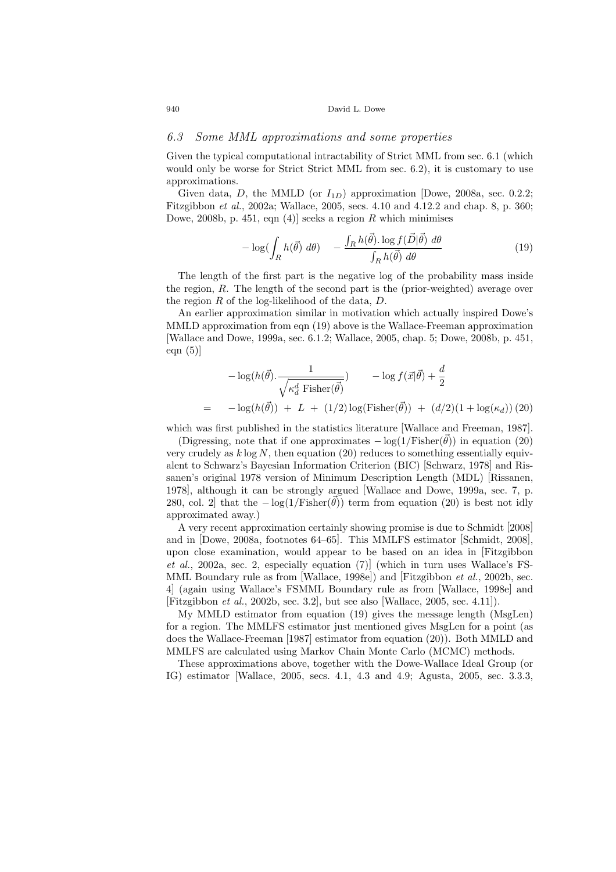## 6.3 Some MML approximations and some properties

Given the typical computational intractability of Strict MML from sec. 6.1 (which would only be worse for Strict Strict MML from sec. 6.2), it is customary to use approximations.

Given data, D, the MMLD (or  $I_{1D}$ ) approximation Dowe, 2008a, sec. 0.2.2; Fitzgibbon et al., 2002a; Wallace, 2005, secs. 4.10 and 4.12.2 and chap. 8, p. 360; Dowe, 2008b, p. 451, eqn  $(4)$ ] seeks a region R which minimises

$$
-\log\left(\int_{R} h(\vec{\theta}) \, d\theta\right) \quad -\frac{\int_{R} h(\vec{\theta}) \cdot \log f(\vec{D}|\vec{\theta}) \, d\theta}{\int_{R} h(\vec{\theta}) \, d\theta} \tag{19}
$$

The length of the first part is the negative log of the probability mass inside the region, R. The length of the second part is the (prior-weighted) average over the region  $R$  of the log-likelihood of the data,  $D$ .

An earlier approximation similar in motivation which actually inspired Dowe's MMLD approximation from eqn (19) above is the Wallace-Freeman approximation [Wallace and Dowe, 1999a, sec. 6.1.2; Wallace, 2005, chap. 5; Dowe, 2008b, p. 451, eqn  $(5)$ ]

$$
-\log(h(\vec{\theta}) \cdot \frac{1}{\sqrt{\kappa_d^d \text{ Fisher}(\vec{\theta})}}) - \log f(\vec{x}|\vec{\theta}) + \frac{d}{2}
$$
  
= 
$$
-\log(h(\vec{\theta})) + L + (1/2)\log(\text{Fisher}(\vec{\theta})) + (d/2)(1 + \log(\kappa_d)) (20)
$$

which was first published in the statistics literature [Wallace and Freeman, 1987].

(Digressing, note that if one approximates  $-\log(1/\text{Fisher}(\theta))$  in equation (20) very crudely as  $k \log N$ , then equation (20) reduces to something essentially equivalent to Schwarz's Bayesian Information Criterion (BIC) [Schwarz, 1978] and Rissanen's original 1978 version of Minimum Description Length (MDL) [Rissanen, 1978], although it can be strongly argued [Wallace and Dowe, 1999a, sec. 7, p. 280, col. 2] that the  $-\log(1/\text{Fisher}(\vec{\theta}))$  term from equation (20) is best not idly approximated away.)

A very recent approximation certainly showing promise is due to Schmidt [2008] and in [Dowe, 2008a, footnotes 64–65]. This MMLFS estimator [Schmidt, 2008], upon close examination, would appear to be based on an idea in [Fitzgibbon et al., 2002a, sec. 2, especially equation (7)] (which in turn uses Wallace's FS-MML Boundary rule as from [Wallace, 1998e]) and [Fitzgibbon et al., 2002b, sec. 4] (again using Wallace's FSMML Boundary rule as from [Wallace, 1998e] and [Fitzgibbon *et al.*, 2002b, sec. 3.2], but see also [Wallace, 2005, sec. 4.11]).

My MMLD estimator from equation (19) gives the message length (MsgLen) for a region. The MMLFS estimator just mentioned gives MsgLen for a point (as does the Wallace-Freeman [1987] estimator from equation (20)). Both MMLD and MMLFS are calculated using Markov Chain Monte Carlo (MCMC) methods.

These approximations above, together with the Dowe-Wallace Ideal Group (or IG) estimator [Wallace, 2005, secs. 4.1, 4.3 and 4.9; Agusta, 2005, sec. 3.3.3,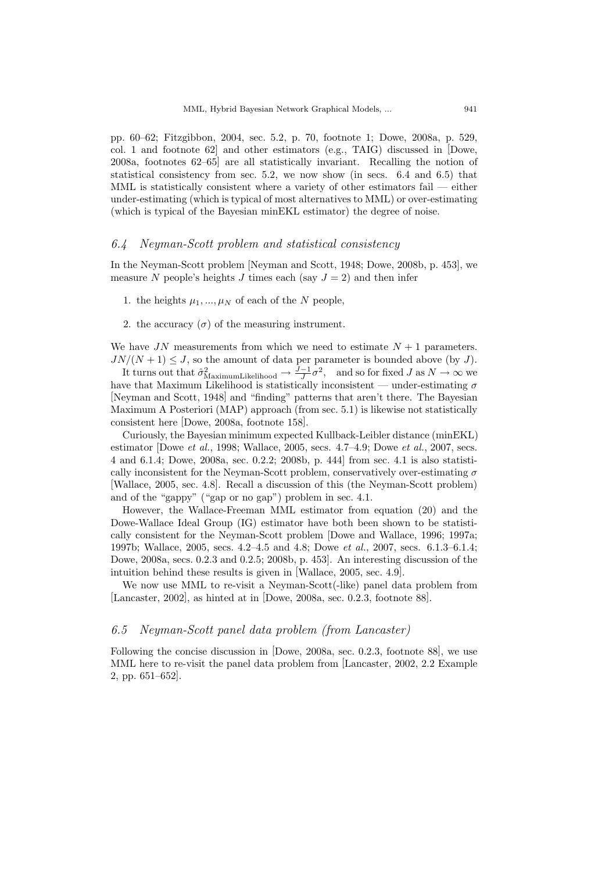pp. 60–62; Fitzgibbon, 2004, sec. 5.2, p. 70, footnote 1; Dowe, 2008a, p. 529, col. 1 and footnote 62] and other estimators (e.g., TAIG) discussed in [Dowe, 2008a, footnotes 62–65] are all statistically invariant. Recalling the notion of statistical consistency from sec. 5.2, we now show (in secs. 6.4 and 6.5) that MML is statistically consistent where a variety of other estimators fail — either under-estimating (which is typical of most alternatives to MML) or over-estimating (which is typical of the Bayesian minEKL estimator) the degree of noise.

## 6.4 Neyman-Scott problem and statistical consistency

In the Neyman-Scott problem [Neyman and Scott, 1948; Dowe, 2008b, p. 453], we measure N people's heights J times each (say  $J = 2$ ) and then infer

- 1. the heights  $\mu_1, ..., \mu_N$  of each of the N people,
- 2. the accuracy  $(\sigma)$  of the measuring instrument.

We have JN measurements from which we need to estimate  $N+1$  parameters.  $JN/(N+1) \leq J$ , so the amount of data per parameter is bounded above (by J).

It turns out that  $\hat{\sigma}_{\text{MaximumLikelihood}}^2 \to \frac{J-1}{J}\sigma^2$ , and so for fixed  $J$  as  $N \to \infty$  we have that Maximum Likelihood is statistically inconsistent — under-estimating  $\sigma$ [Neyman and Scott, 1948] and "finding" patterns that aren't there. The Bayesian Maximum A Posteriori (MAP) approach (from sec. 5.1) is likewise not statistically consistent here [Dowe, 2008a, footnote 158].

Curiously, the Bayesian minimum expected Kullback-Leibler distance (minEKL) estimator [Dowe *et al.*, 1998; Wallace, 2005, secs.  $4.7-4.9$ ; Dowe *et al.*, 2007, secs. 4 and 6.1.4; Dowe, 2008a, sec. 0.2.2; 2008b, p. 444] from sec. 4.1 is also statistically inconsistent for the Neyman-Scott problem, conservatively over-estimating  $\sigma$ [Wallace, 2005, sec. 4.8]. Recall a discussion of this (the Neyman-Scott problem) and of the "gappy" ("gap or no gap") problem in sec. 4.1.

However, the Wallace-Freeman MML estimator from equation (20) and the Dowe-Wallace Ideal Group (IG) estimator have both been shown to be statistically consistent for the Neyman-Scott problem [Dowe and Wallace, 1996; 1997a; 1997b; Wallace, 2005, secs. 4.2–4.5 and 4.8; Dowe et al., 2007, secs. 6.1.3–6.1.4; Dowe, 2008a, secs. 0.2.3 and 0.2.5; 2008b, p. 453]. An interesting discussion of the intuition behind these results is given in [Wallace, 2005, sec. 4.9].

We now use MML to re-visit a Neyman-Scott(-like) panel data problem from [Lancaster, 2002], as hinted at in [Dowe, 2008a, sec. 0.2.3, footnote 88].

## 6.5 Neyman-Scott panel data problem (from Lancaster)

Following the concise discussion in [Dowe, 2008a, sec. 0.2.3, footnote 88], we use MML here to re-visit the panel data problem from [Lancaster, 2002, 2.2 Example 2, pp. 651–652].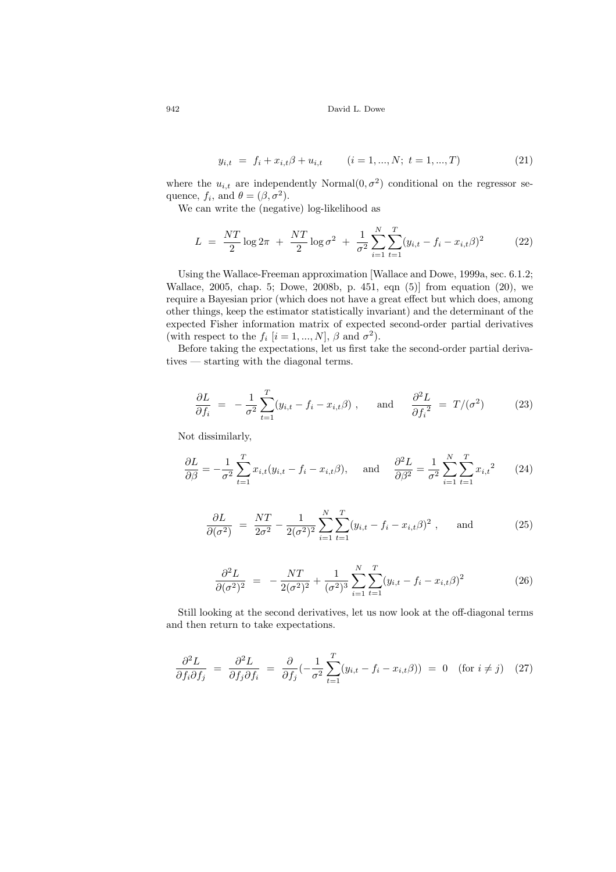$$
y_{i,t} = f_i + x_{i,t}\beta + u_{i,t} \qquad (i = 1, ..., N; t = 1, ..., T)
$$
 (21)

where the  $u_{i,t}$  are independently Normal $(0, \sigma^2)$  conditional on the regressor sequence,  $f_i$ , and  $\theta = (\beta, \sigma^2)$ .

We can write the (negative) log-likelihood as

$$
L = \frac{NT}{2} \log 2\pi + \frac{NT}{2} \log \sigma^2 + \frac{1}{\sigma^2} \sum_{i=1}^{N} \sum_{t=1}^{T} (y_{i,t} - f_i - x_{i,t}\beta)^2 \tag{22}
$$

Using the Wallace-Freeman approximation [Wallace and Dowe, 1999a, sec. 6.1.2; Wallace, 2005, chap. 5; Dowe, 2008b, p. 451, eqn (5)] from equation (20), we require a Bayesian prior (which does not have a great effect but which does, among other things, keep the estimator statistically invariant) and the determinant of the expected Fisher information matrix of expected second-order partial derivatives (with respect to the  $f_i$  [ $i = 1, ..., N$ ],  $\beta$  and  $\sigma^2$ ).

Before taking the expectations, let us first take the second-order partial derivatives — starting with the diagonal terms.

$$
\frac{\partial L}{\partial f_i} = -\frac{1}{\sigma^2} \sum_{t=1}^T (y_{i,t} - f_i - x_{i,t}\beta) , \quad \text{and} \quad \frac{\partial^2 L}{\partial f_i^2} = T/(\sigma^2) \tag{23}
$$

Not dissimilarly,

$$
\frac{\partial L}{\partial \beta} = -\frac{1}{\sigma^2} \sum_{t=1}^{T} x_{i,t} (y_{i,t} - f_i - x_{i,t} \beta), \quad \text{and} \quad \frac{\partial^2 L}{\partial \beta^2} = \frac{1}{\sigma^2} \sum_{i=1}^{N} \sum_{t=1}^{T} x_{i,t}^2 \qquad (24)
$$

$$
\frac{\partial L}{\partial(\sigma^2)} = \frac{NT}{2\sigma^2} - \frac{1}{2(\sigma^2)^2} \sum_{i=1}^N \sum_{t=1}^T (y_{i,t} - f_i - x_{i,t}\beta)^2 , \quad \text{and} \quad (25)
$$

$$
\frac{\partial^2 L}{\partial (\sigma^2)^2} = -\frac{NT}{2(\sigma^2)^2} + \frac{1}{(\sigma^2)^3} \sum_{i=1}^N \sum_{t=1}^T (y_{i,t} - f_i - x_{i,t}\beta)^2
$$
(26)

Still looking at the second derivatives, let us now look at the off-diagonal terms and then return to take expectations.

$$
\frac{\partial^2 L}{\partial f_i \partial f_j} = \frac{\partial^2 L}{\partial f_j \partial f_i} = \frac{\partial}{\partial f_j} \left( -\frac{1}{\sigma^2} \sum_{t=1}^T (y_{i,t} - f_i - x_{i,t} \beta) \right) = 0 \quad \text{(for } i \neq j \tag{27}
$$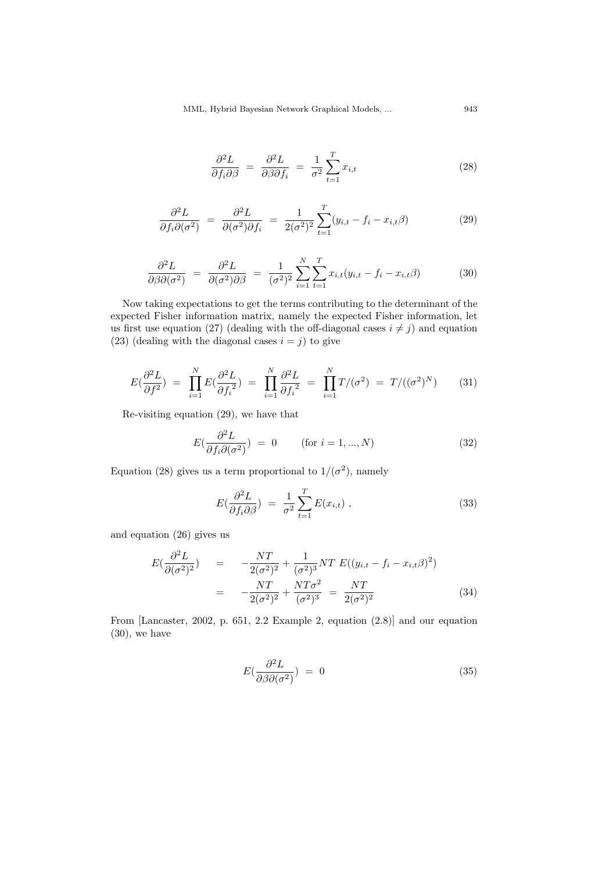MML, Hybrid Bayesian Network Graphical Models, ... 943

$$
\frac{\partial^2 L}{\partial f_i \partial \beta} = \frac{\partial^2 L}{\partial \beta \partial f_i} = \frac{1}{\sigma^2} \sum_{t=1}^T x_{i,t}
$$
 (28)

$$
\frac{\partial^2 L}{\partial f_i \partial(\sigma^2)} = \frac{\partial^2 L}{\partial(\sigma^2) \partial f_i} = \frac{1}{2(\sigma^2)^2} \sum_{t=1}^T (y_{i,t} - f_i - x_{i,t} \beta)
$$
(29)

$$
\frac{\partial^2 L}{\partial \beta \partial (\sigma^2)} = \frac{\partial^2 L}{\partial (\sigma^2) \partial \beta} = \frac{1}{(\sigma^2)^2} \sum_{i=1}^N \sum_{t=1}^T x_{i,t} (y_{i,t} - f_i - x_{i,t} \beta) \tag{30}
$$

Now taking expectations to get the terms contributing to the determinant of the expected Fisher information matrix, namely the expected Fisher information, let us first use equation (27) (dealing with the off-diagonal cases  $i \neq j$ ) and equation (23) (dealing with the diagonal cases  $i = j$ ) to give

$$
E(\frac{\partial^2 L}{\partial f^2}) = \prod_{i=1}^N E(\frac{\partial^2 L}{\partial f_i^2}) = \prod_{i=1}^N \frac{\partial^2 L}{\partial f_i^2} = \prod_{i=1}^N T/(\sigma^2) = T/((\sigma^2)^N) \tag{31}
$$

Re-visiting equation (29), we have that

$$
E\left(\frac{\partial^2 L}{\partial f_i \partial(\sigma^2)}\right) = 0 \qquad \text{(for } i = 1, ..., N\text{)}
$$
\n(32)

Equation (28) gives us a term proportional to  $1/(\sigma^2)$ , namely

$$
E\left(\frac{\partial^2 L}{\partial f_i \partial \beta}\right) = \frac{1}{\sigma^2} \sum_{t=1}^T E(x_{i,t}), \qquad (33)
$$

and equation (26) gives us

$$
E\left(\frac{\partial^2 L}{\partial(\sigma^2)^2}\right) = -\frac{NT}{2(\sigma^2)^2} + \frac{1}{(\sigma^2)^3}NT \ E((y_{i,t} - f_i - x_{i,t}\beta)^2)
$$
  

$$
= -\frac{NT}{2(\sigma^2)^2} + \frac{NT\sigma^2}{(\sigma^2)^3} = \frac{NT}{2(\sigma^2)^2}
$$
(34)

From [Lancaster, 2002, p. 651, 2.2 Example 2, equation (2.8)] and our equation (30), we have

$$
E\left(\frac{\partial^2 L}{\partial \beta \partial (\sigma^2)}\right) = 0 \tag{35}
$$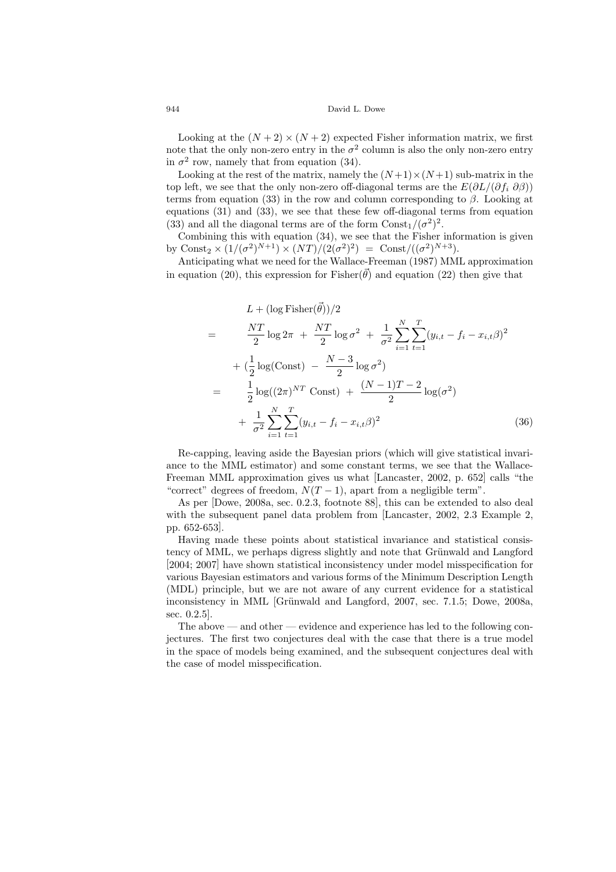Looking at the  $(N + 2) \times (N + 2)$  expected Fisher information matrix, we first note that the only non-zero entry in the  $\sigma^2$  column is also the only non-zero entry in  $\sigma^2$  row, namely that from equation (34).

Looking at the rest of the matrix, namely the  $(N+1) \times (N+1)$  sub-matrix in the top left, we see that the only non-zero off-diagonal terms are the  $E(\partial L/(\partial f_i \partial \beta))$ terms from equation (33) in the row and column corresponding to  $\beta$ . Looking at equations (31) and (33), we see that these few off-diagonal terms from equation (33) and all the diagonal terms are of the form  $\text{Const}_1/(\sigma^2)^2$ .

Combining this with equation (34), we see that the Fisher information is given by Const<sub>2</sub> ×  $(1/(\sigma^2)^{N+1}) \times (NT)/(2(\sigma^2)^2) = \text{Const}/((\sigma^2)^{N+3})$ .

Anticipating what we need for the Wallace-Freeman (1987) MML approximation in equation (20), this expression for Fisher( $\vec{\theta}$ ) and equation (22) then give that

$$
L + (\log \text{Fisher}(\vec{\theta}))/2
$$
  
= 
$$
\frac{NT}{2} \log 2\pi + \frac{NT}{2} \log \sigma^2 + \frac{1}{\sigma^2} \sum_{i=1}^N \sum_{t=1}^T (y_{i,t} - f_i - x_{i,t}\beta)^2
$$
  
+ 
$$
(\frac{1}{2} \log(\text{Const}) - \frac{N-3}{2} \log \sigma^2)
$$
  
= 
$$
\frac{1}{2} \log((2\pi)^{NT} \text{ Const}) + \frac{(N-1)T - 2}{2} \log(\sigma^2)
$$
  
+ 
$$
\frac{1}{\sigma^2} \sum_{i=1}^N \sum_{t=1}^T (y_{i,t} - f_i - x_{i,t}\beta)^2
$$
(36)

Re-capping, leaving aside the Bayesian priors (which will give statistical invariance to the MML estimator) and some constant terms, we see that the Wallace-Freeman MML approximation gives us what [Lancaster, 2002, p. 652] calls "the "correct" degrees of freedom,  $N(T-1)$ , apart from a negligible term".

As per [Dowe, 2008a, sec. 0.2.3, footnote 88], this can be extended to also deal with the subsequent panel data problem from [Lancaster, 2002, 2.3 Example 2, pp. 652-653].

Having made these points about statistical invariance and statistical consistency of MML, we perhaps digress slightly and note that Grünwald and Langford [2004; 2007] have shown statistical inconsistency under model misspecification for various Bayesian estimators and various forms of the Minimum Description Length (MDL) principle, but we are not aware of any current evidence for a statistical inconsistency in MML [Grünwald and Langford,  $2007$ , sec. 7.1.5; Dowe,  $2008a$ , sec. 0.2.5].

The above — and other — evidence and experience has led to the following conjectures. The first two conjectures deal with the case that there is a true model in the space of models being examined, and the subsequent conjectures deal with the case of model misspecification.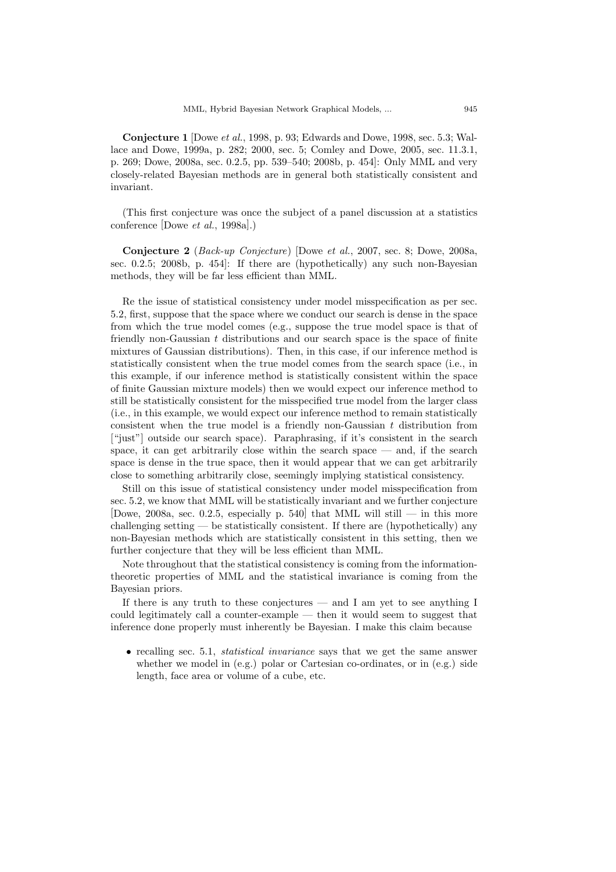Conjecture 1 [Dowe et al., 1998, p. 93; Edwards and Dowe, 1998, sec. 5.3; Wallace and Dowe, 1999a, p. 282; 2000, sec. 5; Comley and Dowe, 2005, sec. 11.3.1, p. 269; Dowe, 2008a, sec. 0.2.5, pp. 539–540; 2008b, p. 454]: Only MML and very closely-related Bayesian methods are in general both statistically consistent and invariant.

(This first conjecture was once the subject of a panel discussion at a statistics conference [Dowe et al., 1998a].)

Conjecture 2 (Back-up Conjecture) [Dowe et al., 2007, sec. 8; Dowe, 2008a, sec. 0.2.5; 2008b, p. 454]: If there are (hypothetically) any such non-Bayesian methods, they will be far less efficient than MML.

Re the issue of statistical consistency under model misspecification as per sec. 5.2, first, suppose that the space where we conduct our search is dense in the space from which the true model comes (e.g., suppose the true model space is that of friendly non-Gaussian  $t$  distributions and our search space is the space of finite mixtures of Gaussian distributions). Then, in this case, if our inference method is statistically consistent when the true model comes from the search space (i.e., in this example, if our inference method is statistically consistent within the space of finite Gaussian mixture models) then we would expect our inference method to still be statistically consistent for the misspecified true model from the larger class (i.e., in this example, we would expect our inference method to remain statistically consistent when the true model is a friendly non-Gaussian  $t$  distribution from ["just"] outside our search space). Paraphrasing, if it's consistent in the search space, it can get arbitrarily close within the search space  $-$  and, if the search space is dense in the true space, then it would appear that we can get arbitrarily close to something arbitrarily close, seemingly implying statistical consistency.

Still on this issue of statistical consistency under model misspecification from sec. 5.2, we know that MML will be statistically invariant and we further conjecture [Dowe, 2008a, sec. 0.2.5, especially p. 540] that MML will still — in this more challenging setting — be statistically consistent. If there are (hypothetically) any non-Bayesian methods which are statistically consistent in this setting, then we further conjecture that they will be less efficient than MML.

Note throughout that the statistical consistency is coming from the informationtheoretic properties of MML and the statistical invariance is coming from the Bayesian priors.

If there is any truth to these conjectures — and I am yet to see anything I could legitimately call a counter-example — then it would seem to suggest that inference done properly must inherently be Bayesian. I make this claim because

• recalling sec. 5.1, *statistical invariance* says that we get the same answer whether we model in (e.g.) polar or Cartesian co-ordinates, or in (e.g.) side length, face area or volume of a cube, etc.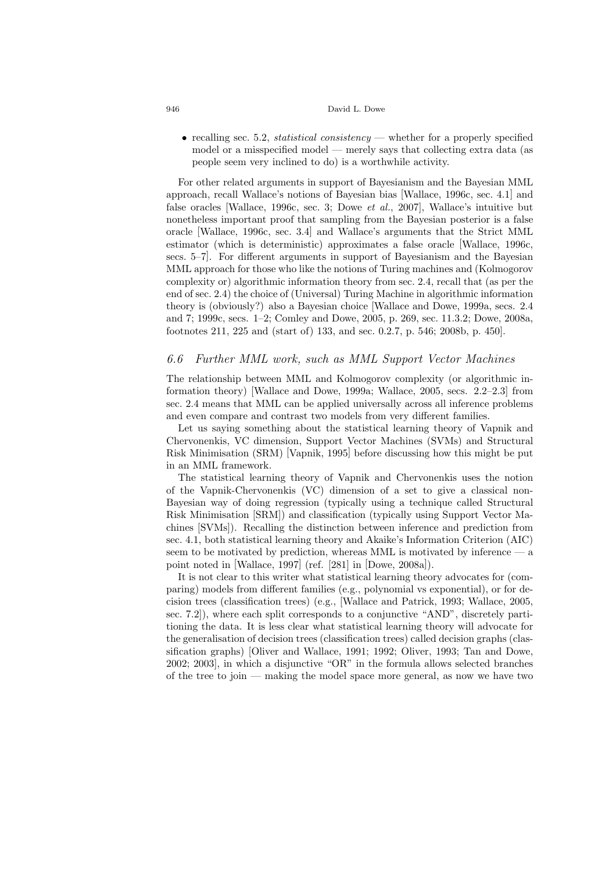• recalling sec. 5.2, *statistical consistency* — whether for a properly specified model or a misspecified model — merely says that collecting extra data (as people seem very inclined to do) is a worthwhile activity.

For other related arguments in support of Bayesianism and the Bayesian MML approach, recall Wallace's notions of Bayesian bias [Wallace, 1996c, sec. 4.1] and false oracles [Wallace, 1996c, sec. 3; Dowe et al., 2007], Wallace's intuitive but nonetheless important proof that sampling from the Bayesian posterior is a false oracle [Wallace, 1996c, sec. 3.4] and Wallace's arguments that the Strict MML estimator (which is deterministic) approximates a false oracle [Wallace, 1996c, secs. 5–7]. For different arguments in support of Bayesianism and the Bayesian MML approach for those who like the notions of Turing machines and (Kolmogorov complexity or) algorithmic information theory from sec. 2.4, recall that (as per the end of sec. 2.4) the choice of (Universal) Turing Machine in algorithmic information theory is (obviously?) also a Bayesian choice [Wallace and Dowe, 1999a, secs. 2.4 and 7; 1999c, secs. 1–2; Comley and Dowe, 2005, p. 269, sec. 11.3.2; Dowe, 2008a, footnotes 211, 225 and (start of) 133, and sec. 0.2.7, p. 546; 2008b, p. 450].

# 6.6 Further MML work, such as MML Support Vector Machines

The relationship between MML and Kolmogorov complexity (or algorithmic information theory) [Wallace and Dowe, 1999a; Wallace, 2005, secs. 2.2–2.3] from sec. 2.4 means that MML can be applied universally across all inference problems and even compare and contrast two models from very different families.

Let us saying something about the statistical learning theory of Vapnik and Chervonenkis, VC dimension, Support Vector Machines (SVMs) and Structural Risk Minimisation (SRM) [Vapnik, 1995] before discussing how this might be put in an MML framework.

The statistical learning theory of Vapnik and Chervonenkis uses the notion of the Vapnik-Chervonenkis (VC) dimension of a set to give a classical non-Bayesian way of doing regression (typically using a technique called Structural Risk Minimisation [SRM]) and classification (typically using Support Vector Machines [SVMs]). Recalling the distinction between inference and prediction from sec. 4.1, both statistical learning theory and Akaike's Information Criterion (AIC) seem to be motivated by prediction, whereas MML is motivated by inference — a point noted in [Wallace, 1997] (ref. [281] in [Dowe, 2008a]).

It is not clear to this writer what statistical learning theory advocates for (comparing) models from different families (e.g., polynomial vs exponential), or for decision trees (classification trees) (e.g., [Wallace and Patrick, 1993; Wallace, 2005, sec. 7.2]), where each split corresponds to a conjunctive "AND", discretely partitioning the data. It is less clear what statistical learning theory will advocate for the generalisation of decision trees (classification trees) called decision graphs (classification graphs) [Oliver and Wallace, 1991; 1992; Oliver, 1993; Tan and Dowe, 2002; 2003], in which a disjunctive "OR" in the formula allows selected branches of the tree to join — making the model space more general, as now we have two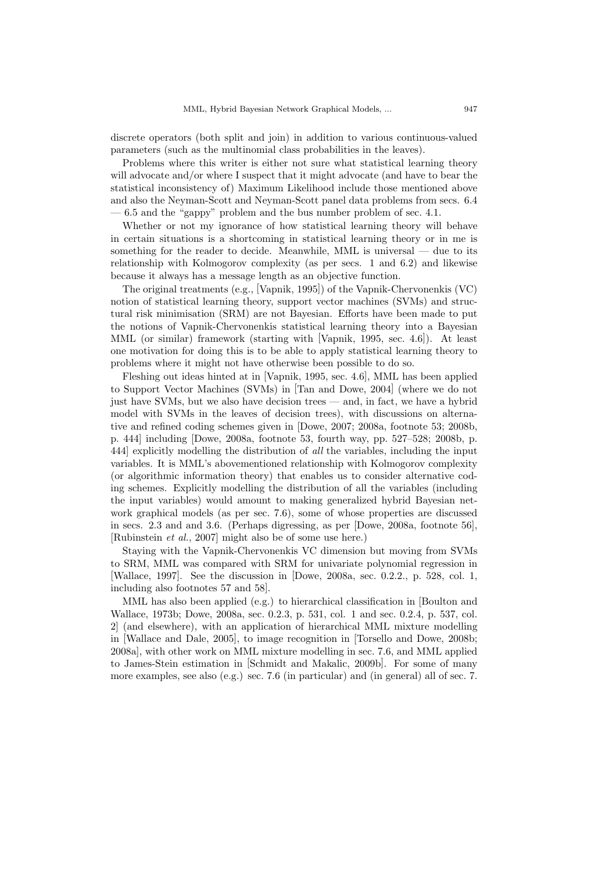discrete operators (both split and join) in addition to various continuous-valued parameters (such as the multinomial class probabilities in the leaves).

Problems where this writer is either not sure what statistical learning theory will advocate and/or where I suspect that it might advocate (and have to bear the statistical inconsistency of) Maximum Likelihood include those mentioned above and also the Neyman-Scott and Neyman-Scott panel data problems from secs. 6.4  $-6.5$  and the "gappy" problem and the bus number problem of sec. 4.1.

Whether or not my ignorance of how statistical learning theory will behave in certain situations is a shortcoming in statistical learning theory or in me is something for the reader to decide. Meanwhile, MML is universal — due to its relationship with Kolmogorov complexity (as per secs. 1 and 6.2) and likewise because it always has a message length as an objective function.

The original treatments (e.g., [Vapnik, 1995]) of the Vapnik-Chervonenkis (VC) notion of statistical learning theory, support vector machines (SVMs) and structural risk minimisation (SRM) are not Bayesian. Efforts have been made to put the notions of Vapnik-Chervonenkis statistical learning theory into a Bayesian MML (or similar) framework (starting with [Vapnik, 1995, sec. 4.6]). At least one motivation for doing this is to be able to apply statistical learning theory to problems where it might not have otherwise been possible to do so.

Fleshing out ideas hinted at in [Vapnik, 1995, sec. 4.6], MML has been applied to Support Vector Machines (SVMs) in [Tan and Dowe, 2004] (where we do not just have SVMs, but we also have decision trees — and, in fact, we have a hybrid model with SVMs in the leaves of decision trees), with discussions on alternative and refined coding schemes given in [Dowe, 2007; 2008a, footnote 53; 2008b, p. 444] including [Dowe, 2008a, footnote 53, fourth way, pp. 527–528; 2008b, p. 444] explicitly modelling the distribution of all the variables, including the input variables. It is MML's abovementioned relationship with Kolmogorov complexity (or algorithmic information theory) that enables us to consider alternative coding schemes. Explicitly modelling the distribution of all the variables (including the input variables) would amount to making generalized hybrid Bayesian network graphical models (as per sec. 7.6), some of whose properties are discussed in secs. 2.3 and and 3.6. (Perhaps digressing, as per [Dowe, 2008a, footnote 56], [Rubinstein et al., 2007] might also be of some use here.)

Staying with the Vapnik-Chervonenkis VC dimension but moving from SVMs to SRM, MML was compared with SRM for univariate polynomial regression in [Wallace, 1997]. See the discussion in [Dowe, 2008a, sec. 0.2.2., p. 528, col. 1, including also footnotes 57 and 58].

MML has also been applied (e.g.) to hierarchical classification in [Boulton and Wallace, 1973b; Dowe, 2008a, sec. 0.2.3, p. 531, col. 1 and sec. 0.2.4, p. 537, col. 2] (and elsewhere), with an application of hierarchical MML mixture modelling in [Wallace and Dale, 2005], to image recognition in [Torsello and Dowe, 2008b; 2008a], with other work on MML mixture modelling in sec. 7.6, and MML applied to James-Stein estimation in [Schmidt and Makalic, 2009b]. For some of many more examples, see also (e.g.) sec. 7.6 (in particular) and (in general) all of sec. 7.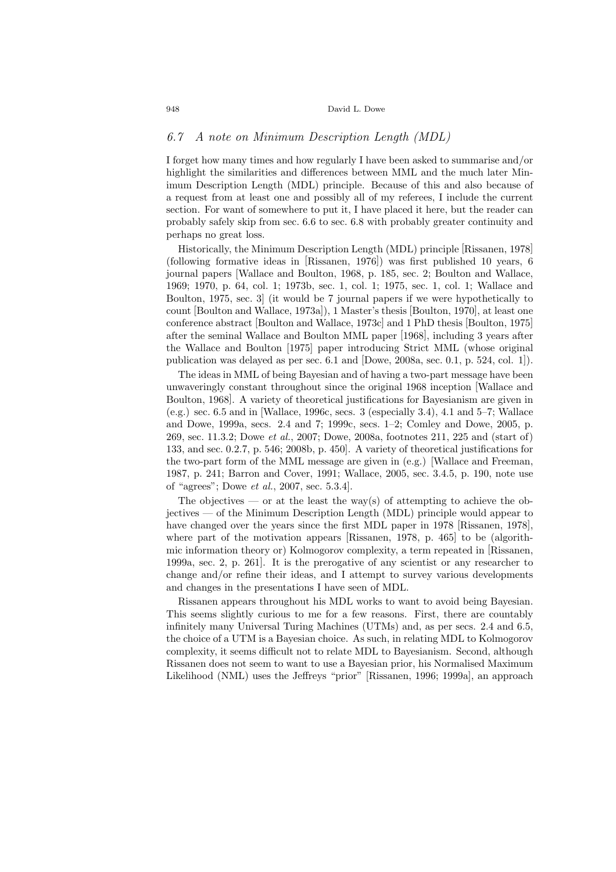## 6.7 A note on Minimum Description Length (MDL)

I forget how many times and how regularly I have been asked to summarise and/or highlight the similarities and differences between MML and the much later Minimum Description Length (MDL) principle. Because of this and also because of a request from at least one and possibly all of my referees, I include the current section. For want of somewhere to put it, I have placed it here, but the reader can probably safely skip from sec. 6.6 to sec. 6.8 with probably greater continuity and perhaps no great loss.

Historically, the Minimum Description Length (MDL) principle [Rissanen, 1978] (following formative ideas in [Rissanen, 1976]) was first published 10 years, 6 journal papers [Wallace and Boulton, 1968, p. 185, sec. 2; Boulton and Wallace, 1969; 1970, p. 64, col. 1; 1973b, sec. 1, col. 1; 1975, sec. 1, col. 1; Wallace and Boulton, 1975, sec. 3] (it would be 7 journal papers if we were hypothetically to count [Boulton and Wallace, 1973a]), 1 Master's thesis [Boulton, 1970], at least one conference abstract [Boulton and Wallace, 1973c] and 1 PhD thesis [Boulton, 1975] after the seminal Wallace and Boulton MML paper [1968], including 3 years after the Wallace and Boulton [1975] paper introducing Strict MML (whose original publication was delayed as per sec. 6.1 and [Dowe, 2008a, sec. 0.1, p. 524, col. 1]).

The ideas in MML of being Bayesian and of having a two-part message have been unwaveringly constant throughout since the original 1968 inception [Wallace and Boulton, 1968]. A variety of theoretical justifications for Bayesianism are given in (e.g.) sec. 6.5 and in [Wallace, 1996c, secs. 3 (especially 3.4), 4.1 and 5–7; Wallace and Dowe, 1999a, secs. 2.4 and 7; 1999c, secs. 1–2; Comley and Dowe, 2005, p. 269, sec. 11.3.2; Dowe et al., 2007; Dowe, 2008a, footnotes 211, 225 and (start of) 133, and sec. 0.2.7, p. 546; 2008b, p. 450]. A variety of theoretical justifications for the two-part form of the MML message are given in (e.g.) [Wallace and Freeman, 1987, p. 241; Barron and Cover, 1991; Wallace, 2005, sec. 3.4.5, p. 190, note use of "agrees"; Dowe et al., 2007, sec. 5.3.4].

The objectives — or at the least the way(s) of attempting to achieve the objectives — of the Minimum Description Length (MDL) principle would appear to have changed over the years since the first MDL paper in 1978 [Rissanen, 1978], where part of the motivation appears [Rissanen, 1978, p. 465] to be (algorithmic information theory or) Kolmogorov complexity, a term repeated in [Rissanen, 1999a, sec. 2, p. 261]. It is the prerogative of any scientist or any researcher to change and/or refine their ideas, and I attempt to survey various developments and changes in the presentations I have seen of MDL.

Rissanen appears throughout his MDL works to want to avoid being Bayesian. This seems slightly curious to me for a few reasons. First, there are countably infinitely many Universal Turing Machines (UTMs) and, as per secs. 2.4 and 6.5, the choice of a UTM is a Bayesian choice. As such, in relating MDL to Kolmogorov complexity, it seems difficult not to relate MDL to Bayesianism. Second, although Rissanen does not seem to want to use a Bayesian prior, his Normalised Maximum Likelihood (NML) uses the Jeffreys "prior" [Rissanen, 1996; 1999a], an approach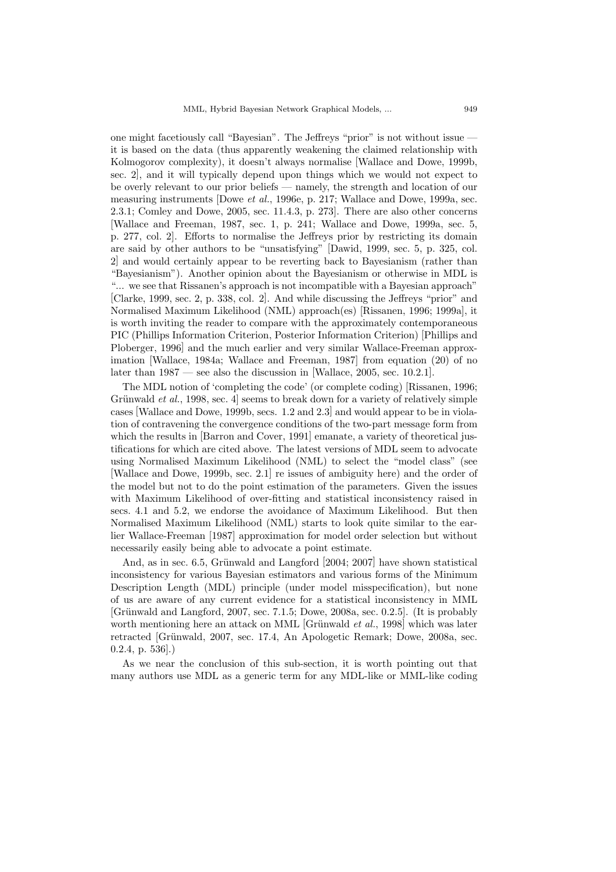one might facetiously call "Bayesian". The Jeffreys "prior" is not without issue it is based on the data (thus apparently weakening the claimed relationship with Kolmogorov complexity), it doesn't always normalise [Wallace and Dowe, 1999b, sec. 2], and it will typically depend upon things which we would not expect to be overly relevant to our prior beliefs — namely, the strength and location of our measuring instruments [Dowe et al., 1996e, p. 217; Wallace and Dowe, 1999a, sec. 2.3.1; Comley and Dowe, 2005, sec. 11.4.3, p. 273]. There are also other concerns [Wallace and Freeman, 1987, sec. 1, p. 241; Wallace and Dowe, 1999a, sec. 5, p. 277, col. 2]. Efforts to normalise the Jeffreys prior by restricting its domain are said by other authors to be "unsatisfying" [Dawid, 1999, sec. 5, p. 325, col. 2] and would certainly appear to be reverting back to Bayesianism (rather than "Bayesianism"). Another opinion about the Bayesianism or otherwise in MDL is "... we see that Rissanen's approach is not incompatible with a Bayesian approach" [Clarke, 1999, sec. 2, p. 338, col. 2]. And while discussing the Jeffreys "prior" and Normalised Maximum Likelihood (NML) approach(es) [Rissanen, 1996; 1999a], it is worth inviting the reader to compare with the approximately contemporaneous PIC (Phillips Information Criterion, Posterior Information Criterion) [Phillips and Ploberger, 1996] and the much earlier and very similar Wallace-Freeman approximation [Wallace, 1984a; Wallace and Freeman, 1987] from equation (20) of no later than 1987 — see also the discussion in [Wallace, 2005, sec. 10.2.1].

The MDL notion of 'completing the code' (or complete coding) [Rissanen, 1996; Grünwald *et al.*, 1998, sec. 4] seems to break down for a variety of relatively simple cases [Wallace and Dowe, 1999b, secs. 1.2 and 2.3] and would appear to be in violation of contravening the convergence conditions of the two-part message form from which the results in [Barron and Cover, 1991] emanate, a variety of theoretical justifications for which are cited above. The latest versions of MDL seem to advocate using Normalised Maximum Likelihood (NML) to select the "model class" (see [Wallace and Dowe, 1999b, sec. 2.1] re issues of ambiguity here) and the order of the model but not to do the point estimation of the parameters. Given the issues with Maximum Likelihood of over-fitting and statistical inconsistency raised in secs. 4.1 and 5.2, we endorse the avoidance of Maximum Likelihood. But then Normalised Maximum Likelihood (NML) starts to look quite similar to the earlier Wallace-Freeman [1987] approximation for model order selection but without necessarily easily being able to advocate a point estimate.

And, as in sec. 6.5, Grünwald and Langford  $[2004; 2007]$  have shown statistical inconsistency for various Bayesian estimators and various forms of the Minimum Description Length (MDL) principle (under model misspecification), but none of us are aware of any current evidence for a statistical inconsistency in MML [Grünwald and Langford, 2007, sec. 7.1.5; Dowe, 2008a, sec. 0.2.5]. (It is probably worth mentioning here an attack on MML [Grünwald *et al.*, 1998] which was later retracted [Grünwald, 2007, sec. 17.4, An Apologetic Remark; Dowe, 2008a, sec. 0.2.4, p. 536].)

As we near the conclusion of this sub-section, it is worth pointing out that many authors use MDL as a generic term for any MDL-like or MML-like coding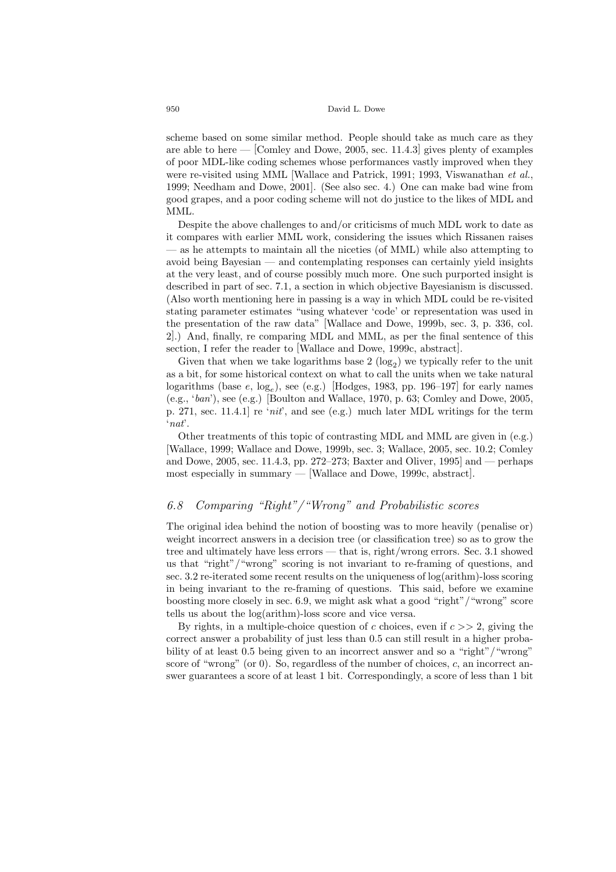scheme based on some similar method. People should take as much care as they are able to here —  $[Complex and Dowe, 2005, sec. 11.4.3]$  gives plenty of examples of poor MDL-like coding schemes whose performances vastly improved when they were re-visited using MML [Wallace and Patrick, 1991; 1993, Viswanathan et al., 1999; Needham and Dowe, 2001]. (See also sec. 4.) One can make bad wine from good grapes, and a poor coding scheme will not do justice to the likes of MDL and MML.

Despite the above challenges to and/or criticisms of much MDL work to date as it compares with earlier MML work, considering the issues which Rissanen raises — as he attempts to maintain all the niceties (of MML) while also attempting to avoid being Bayesian — and contemplating responses can certainly yield insights at the very least, and of course possibly much more. One such purported insight is described in part of sec. 7.1, a section in which objective Bayesianism is discussed. (Also worth mentioning here in passing is a way in which MDL could be re-visited stating parameter estimates "using whatever 'code' or representation was used in the presentation of the raw data" [Wallace and Dowe, 1999b, sec. 3, p. 336, col. 2].) And, finally, re comparing MDL and MML, as per the final sentence of this section, I refer the reader to [Wallace and Dowe, 1999c, abstract].

Given that when we take logarithms base  $2 \text{ (log}_2)$  we typically refer to the unit as a bit, for some historical context on what to call the units when we take natural logarithms (base  $e$ ,  $log_e$ ), see (e.g.) [Hodges, 1983, pp. 196–197] for early names (e.g., 'ban'), see (e.g.) [Boulton and Wallace, 1970, p. 63; Comley and Dowe, 2005, p. 271, sec. 11.4.1] re 'nit', and see (e.g.) much later MDL writings for the term 'nat'.

Other treatments of this topic of contrasting MDL and MML are given in (e.g.) [Wallace, 1999; Wallace and Dowe, 1999b, sec. 3; Wallace, 2005, sec. 10.2; Comley and Dowe, 2005, sec. 11.4.3, pp. 272–273; Baxter and Oliver, 1995] and — perhaps most especially in summary — [Wallace and Dowe, 1999c, abstract].

# 6.8 Comparing "Right"/"Wrong" and Probabilistic scores

The original idea behind the notion of boosting was to more heavily (penalise or) weight incorrect answers in a decision tree (or classification tree) so as to grow the tree and ultimately have less errors — that is, right/wrong errors. Sec. 3.1 showed us that "right"/"wrong" scoring is not invariant to re-framing of questions, and sec. 3.2 re-iterated some recent results on the uniqueness of log(arithm)-loss scoring in being invariant to the re-framing of questions. This said, before we examine boosting more closely in sec. 6.9, we might ask what a good "right"/"wrong" score tells us about the log(arithm)-loss score and vice versa.

By rights, in a multiple-choice question of c choices, even if  $c \geq 2$ , giving the correct answer a probability of just less than 0.5 can still result in a higher probability of at least 0.5 being given to an incorrect answer and so a "right"/"wrong" score of "wrong" (or  $0$ ). So, regardless of the number of choices, c, an incorrect answer guarantees a score of at least 1 bit. Correspondingly, a score of less than 1 bit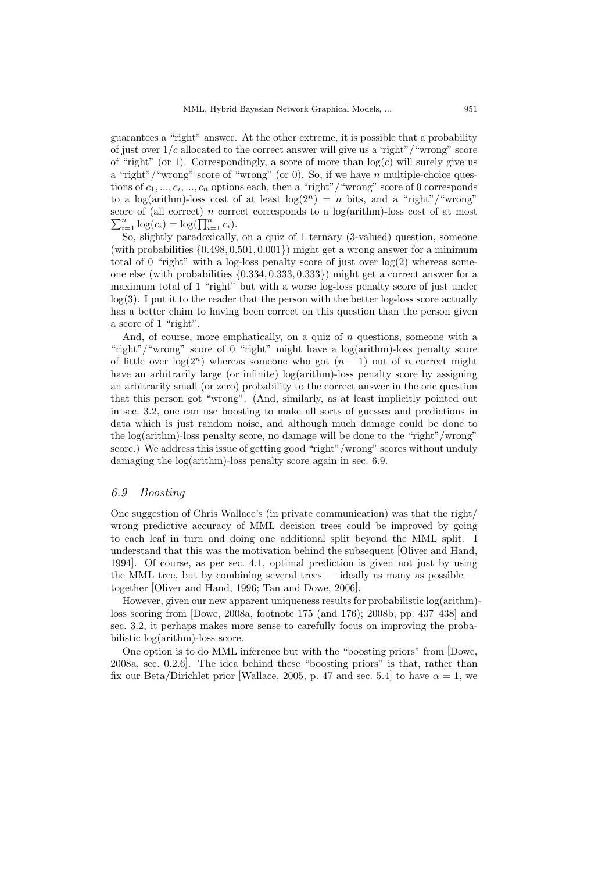guarantees a "right" answer. At the other extreme, it is possible that a probability of just over  $1/c$  allocated to the correct answer will give us a 'right"/"wrong" score of "right" (or 1). Correspondingly, a score of more than  $log(c)$  will surely give us a "right"/"wrong" score of "wrong" (or 0). So, if we have  $n$  multiple-choice questions of  $c_1, ..., c_i, ..., c_n$  options each, then a "right"/"wrong" score of 0 corresponds to a log(arithm)-loss cost of at least  $log(2^n) = n$  bits, and a "right"/"wrong"  $\sum_{i=1}^{n} \log(c_i) = \log(\prod_{i=1}^{n} c_i).$ score of (all correct) n correct corresponds to a  $log(arithm)$ -loss cost of at most

So, slightly paradoxically, on a quiz of 1 ternary (3-valued) question, someone (with probabilities  $\{0.498, 0.501, 0.001\}$ ) might get a wrong answer for a minimum total of 0 "right" with a log-loss penalty score of just over  $log(2)$  whereas someone else (with probabilities {0.334, 0.333, 0.333}) might get a correct answer for a maximum total of 1 "right" but with a worse log-loss penalty score of just under  $log(3)$ . I put it to the reader that the person with the better  $log-loss$  score actually has a better claim to having been correct on this question than the person given a score of 1 "right".

And, of course, more emphatically, on a quiz of  $n$  questions, someone with a "right"/"wrong" score of 0 "right" might have a log(arithm)-loss penalty score of little over  $log(2^n)$  whereas someone who got  $(n-1)$  out of n correct might have an arbitrarily large (or infinite) log(arithm)-loss penalty score by assigning an arbitrarily small (or zero) probability to the correct answer in the one question that this person got "wrong". (And, similarly, as at least implicitly pointed out in sec. 3.2, one can use boosting to make all sorts of guesses and predictions in data which is just random noise, and although much damage could be done to the log(arithm)-loss penalty score, no damage will be done to the "right"/wrong" score.) We address this issue of getting good "right"/wrong" scores without unduly damaging the  $log(arithm)$ -loss penalty score again in sec. 6.9.

# 6.9 Boosting

One suggestion of Chris Wallace's (in private communication) was that the right/ wrong predictive accuracy of MML decision trees could be improved by going to each leaf in turn and doing one additional split beyond the MML split. I understand that this was the motivation behind the subsequent [Oliver and Hand, 1994]. Of course, as per sec. 4.1, optimal prediction is given not just by using the MML tree, but by combining several trees — ideally as many as possible together [Oliver and Hand, 1996; Tan and Dowe, 2006].

However, given our new apparent uniqueness results for probabilistic log(arithm) loss scoring from [Dowe, 2008a, footnote 175 (and 176); 2008b, pp. 437–438] and sec. 3.2, it perhaps makes more sense to carefully focus on improving the probabilistic log(arithm)-loss score.

One option is to do MML inference but with the "boosting priors" from [Dowe, 2008a, sec. 0.2.6]. The idea behind these "boosting priors" is that, rather than fix our Beta/Dirichlet prior [Wallace, 2005, p. 47 and sec. 5.4] to have  $\alpha = 1$ , we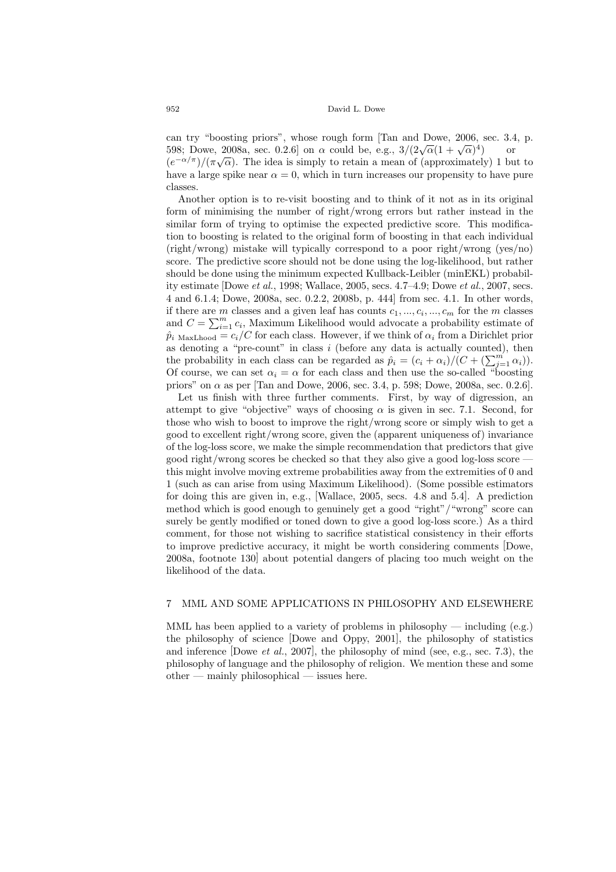can try "boosting priors", whose rough form [Tan and Dowe, 2006, sec. 3.4, p. 598; Dowe, 2008a, sec. 0.2.6] on  $\alpha$  could be, e.g.,  $3/(2\sqrt{\alpha}(1+\sqrt{\alpha})^4)$ ) or  $(e^{-\alpha/\pi})/(\pi\sqrt{\alpha})$ . The idea is simply to retain a mean of (approximately) 1 but to have a large spike near  $\alpha = 0$ , which in turn increases our propensity to have pure classes.

Another option is to re-visit boosting and to think of it not as in its original form of minimising the number of right/wrong errors but rather instead in the similar form of trying to optimise the expected predictive score. This modification to boosting is related to the original form of boosting in that each individual (right/wrong) mistake will typically correspond to a poor right/wrong (yes/no) score. The predictive score should not be done using the log-likelihood, but rather should be done using the minimum expected Kullback-Leibler (minEKL) probability estimate [Dowe et al., 1998; Wallace, 2005, secs.  $4.7-4.9$ ; Dowe et al., 2007, secs. 4 and 6.1.4; Dowe, 2008a, sec. 0.2.2, 2008b, p. 444] from sec. 4.1. In other words, if there are m classes and a given leaf has counts  $c_1, ..., c_i, ..., c_m$  for the m classes and  $C = \sum_{i=1}^{m} c_i$ , Maximum Likelihood would advocate a probability estimate of  $\hat{p}_i$  MaxLhood =  $c_i/C$  for each class. However, if we think of  $\alpha_i$  from a Dirichlet prior as denoting a "pre-count" in class  $i$  (before any data is actually counted), then the probability in each class can be regarded as  $\hat{p}_i = (c_i + \alpha_i)/(C + (\sum_{j=1}^{m'} \alpha_i)).$ Of course, we can set  $\alpha_i = \alpha$  for each class and then use the so-called "boosting" priors" on  $\alpha$  as per [Tan and Dowe, 2006, sec. 3.4, p. 598; Dowe, 2008a, sec. 0.2.6].

Let us finish with three further comments. First, by way of digression, an attempt to give "objective" ways of choosing  $\alpha$  is given in sec. 7.1. Second, for those who wish to boost to improve the right/wrong score or simply wish to get a good to excellent right/wrong score, given the (apparent uniqueness of) invariance of the log-loss score, we make the simple recommendation that predictors that give good right/wrong scores be checked so that they also give a good log-loss score this might involve moving extreme probabilities away from the extremities of 0 and 1 (such as can arise from using Maximum Likelihood). (Some possible estimators for doing this are given in, e.g., [Wallace, 2005, secs. 4.8 and 5.4]. A prediction method which is good enough to genuinely get a good "right"/"wrong" score can surely be gently modified or toned down to give a good log-loss score.) As a third comment, for those not wishing to sacrifice statistical consistency in their efforts to improve predictive accuracy, it might be worth considering comments [Dowe, 2008a, footnote 130] about potential dangers of placing too much weight on the likelihood of the data.

## 7 MML AND SOME APPLICATIONS IN PHILOSOPHY AND ELSEWHERE

MML has been applied to a variety of problems in philosophy — including  $(e.g.)$ the philosophy of science [Dowe and Oppy, 2001], the philosophy of statistics and inference [Dowe et al., 2007], the philosophy of mind (see, e.g., sec. 7.3), the philosophy of language and the philosophy of religion. We mention these and some other — mainly philosophical — issues here.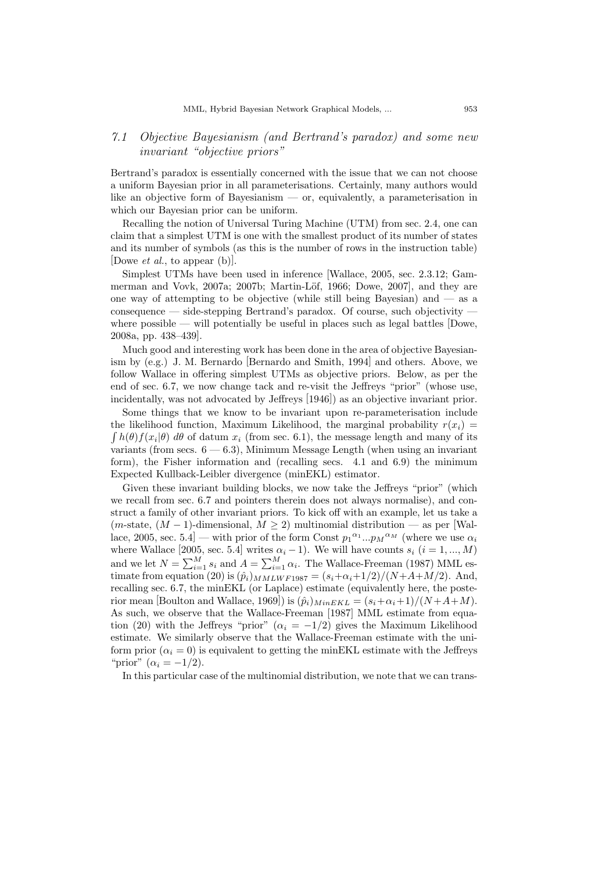# 7.1 Objective Bayesianism (and Bertrand's paradox) and some new invariant "objective priors"

Bertrand's paradox is essentially concerned with the issue that we can not choose a uniform Bayesian prior in all parameterisations. Certainly, many authors would like an objective form of Bayesianism — or, equivalently, a parameterisation in which our Bayesian prior can be uniform.

Recalling the notion of Universal Turing Machine (UTM) from sec. 2.4, one can claim that a simplest UTM is one with the smallest product of its number of states and its number of symbols (as this is the number of rows in the instruction table) [Dowe et al., to appear (b)].

Simplest UTMs have been used in inference [Wallace, 2005, sec. 2.3.12; Gammerman and Vovk,  $2007a$ ;  $2007b$ ; Martin-Löf, 1966; Dowe,  $2007$ , and they are one way of attempting to be objective (while still being Bayesian) and — as a consequence — side-stepping Bertrand's paradox. Of course, such objectivity where possible — will potentially be useful in places such as legal battles  $[Down$ . 2008a, pp. 438–439].

Much good and interesting work has been done in the area of objective Bayesianism by (e.g.) J. M. Bernardo [Bernardo and Smith, 1994] and others. Above, we follow Wallace in offering simplest UTMs as objective priors. Below, as per the end of sec. 6.7, we now change tack and re-visit the Jeffreys "prior" (whose use, incidentally, was not advocated by Jeffreys [1946]) as an objective invariant prior.

Some things that we know to be invariant upon re-parameterisation include the likelihood function, Maximum Likelihood, the marginal probability  $r(x_i)$  =  $\int h(\theta) f(x_i|\theta) d\theta$  of datum  $x_i$  (from sec. 6.1), the message length and many of its variants (from secs.  $6 - 6.3$ ), Minimum Message Length (when using an invariant form), the Fisher information and (recalling secs. 4.1 and 6.9) the minimum Expected Kullback-Leibler divergence (minEKL) estimator.

Given these invariant building blocks, we now take the Jeffreys "prior" (which we recall from sec. 6.7 and pointers therein does not always normalise), and construct a family of other invariant priors. To kick off with an example, let us take a  $(m\text{-state}, (M-1)\text{-dimensional}, M \geq 2)$  multinomial distribution — as per [Wallace, 2005, sec. 5.4 – with prior of the form Const  $p_1^{\alpha_1} ... p_M^{\alpha_M}$  (where we use  $\alpha_i$ where Wallace [2005, sec. 5.4] writes  $\alpha_i - 1$ ). We will have counts  $s_i$   $(i = 1, ..., M)$ and we let  $N = \sum_{i=1}^{M} s_i$  and  $A = \sum_{i=1}^{M} \alpha_i$ . The Wallace-Freeman (1987) MML estimate from equation (20) is  $(\hat{p}_i)_{MMLWF 1987} = (s_i + \alpha_i + 1/2)/(N + A + M/2)$ . And, recalling sec. 6.7, the minEKL (or Laplace) estimate (equivalently here, the posterior mean [Boulton and Wallace, 1969]) is  $(\hat{p}_i)_{MinEKL} = (s_i + \alpha_i + 1)/(N + A + M)$ . As such, we observe that the Wallace-Freeman [1987] MML estimate from equation (20) with the Jeffreys "prior" ( $\alpha_i = -1/2$ ) gives the Maximum Likelihood estimate. We similarly observe that the Wallace-Freeman estimate with the uniform prior  $(\alpha_i = 0)$  is equivalent to getting the minEKL estimate with the Jeffreys "prior"  $(\alpha_i = -1/2)$ .

In this particular case of the multinomial distribution, we note that we can trans-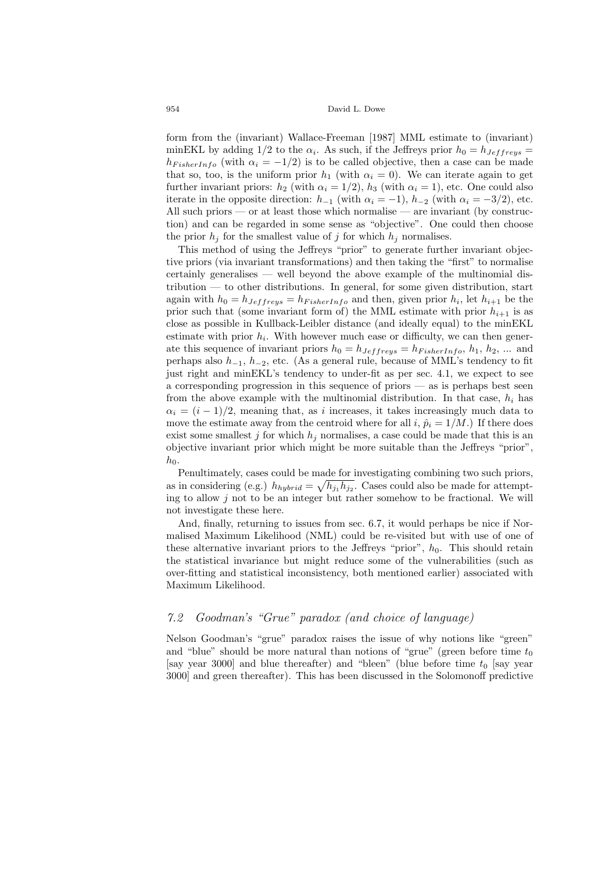form from the (invariant) Wallace-Freeman [1987] MML estimate to (invariant) minEKL by adding  $1/2$  to the  $\alpha_i$ . As such, if the Jeffreys prior  $h_0 = h_{Jeffres}$  $h_{FisherInfo}$  (with  $\alpha_i = -1/2$ ) is to be called objective, then a case can be made that so, too, is the uniform prior  $h_1$  (with  $\alpha_i = 0$ ). We can iterate again to get further invariant priors:  $h_2$  (with  $\alpha_i = 1/2$ ),  $h_3$  (with  $\alpha_i = 1$ ), etc. One could also iterate in the opposite direction:  $h_{-1}$  (with  $\alpha_i = -1$ ),  $h_{-2}$  (with  $\alpha_i = -3/2$ ), etc. All such priors — or at least those which normalise — are invariant (by construction) and can be regarded in some sense as "objective". One could then choose the prior  $h_j$  for the smallest value of j for which  $h_j$  normalises.

This method of using the Jeffreys "prior" to generate further invariant objective priors (via invariant transformations) and then taking the "first" to normalise certainly generalises — well beyond the above example of the multinomial distribution — to other distributions. In general, for some given distribution, start again with  $h_0 = h_{Jeffreys} = h_{FisherInfo}$  and then, given prior  $h_i$ , let  $h_{i+1}$  be the prior such that (some invariant form of) the MML estimate with prior  $h_{i+1}$  is as close as possible in Kullback-Leibler distance (and ideally equal) to the minEKL estimate with prior  $h_i$ . With however much ease or difficulty, we can then generate this sequence of invariant priors  $h_0 = h_{Jeffreys} = h_{FisherInfo}, h_1, h_2, ...$  and perhaps also  $h_{-1}$ ,  $h_{-2}$ , etc. (As a general rule, because of MML's tendency to fit just right and minEKL's tendency to under-fit as per sec. 4.1, we expect to see a corresponding progression in this sequence of priors — as is perhaps best seen from the above example with the multinomial distribution. In that case,  $h_i$  has  $\alpha_i = (i-1)/2$ , meaning that, as i increases, it takes increasingly much data to move the estimate away from the centroid where for all i,  $\hat{p}_i = 1/M$ .) If there does exist some smallest j for which  $h_i$  normalises, a case could be made that this is an objective invariant prior which might be more suitable than the Jeffreys "prior",  $h_0$ .

Penultimately, cases could be made for investigating combining two such priors, as in considering (e.g.)  $h_{hybrid} = \sqrt{h_{j_1} h_{j_2}}$ . Cases could also be made for attempting to allow  $j$  not to be an integer but rather somehow to be fractional. We will not investigate these here.

And, finally, returning to issues from sec. 6.7, it would perhaps be nice if Normalised Maximum Likelihood (NML) could be re-visited but with use of one of these alternative invariant priors to the Jeffreys "prior",  $h_0$ . This should retain the statistical invariance but might reduce some of the vulnerabilities (such as over-fitting and statistical inconsistency, both mentioned earlier) associated with Maximum Likelihood.

# 7.2 Goodman's "Grue" paradox (and choice of language)

Nelson Goodman's "grue" paradox raises the issue of why notions like "green" and "blue" should be more natural than notions of "grue" (green before time  $t_0$ ) [say year 3000] and blue thereafter) and "bleen" (blue before time  $t_0$  [say year 3000] and green thereafter). This has been discussed in the Solomonoff predictive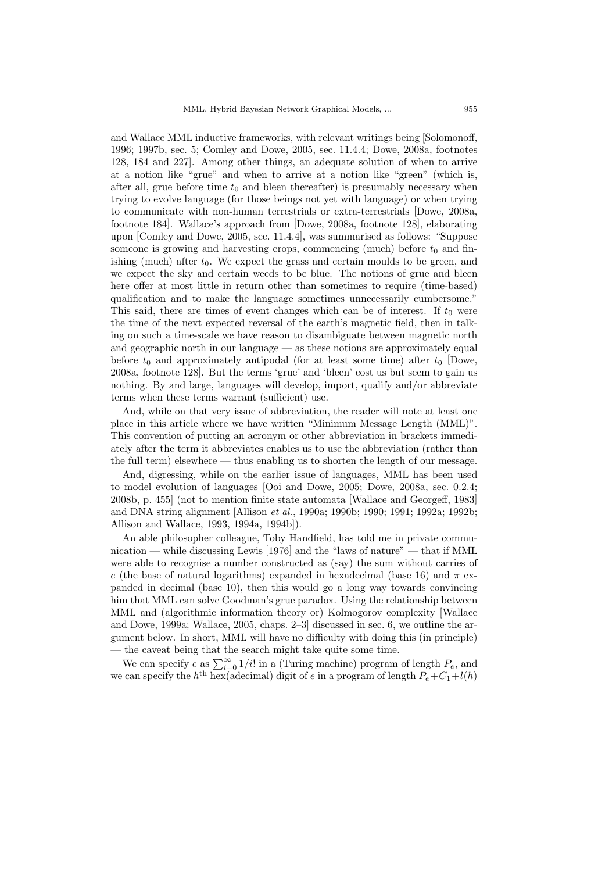and Wallace MML inductive frameworks, with relevant writings being [Solomonoff, 1996; 1997b, sec. 5; Comley and Dowe, 2005, sec. 11.4.4; Dowe, 2008a, footnotes 128, 184 and 227]. Among other things, an adequate solution of when to arrive at a notion like "grue" and when to arrive at a notion like "green" (which is, after all, grue before time  $t_0$  and bleen thereafter) is presumably necessary when trying to evolve language (for those beings not yet with language) or when trying to communicate with non-human terrestrials or extra-terrestrials [Dowe, 2008a, footnote 184]. Wallace's approach from [Dowe, 2008a, footnote 128], elaborating upon [Comley and Dowe, 2005, sec. 11.4.4], was summarised as follows: "Suppose someone is growing and harvesting crops, commencing (much) before  $t_0$  and finishing (much) after  $t_0$ . We expect the grass and certain moulds to be green, and we expect the sky and certain weeds to be blue. The notions of grue and bleen here offer at most little in return other than sometimes to require (time-based) qualification and to make the language sometimes unnecessarily cumbersome." This said, there are times of event changes which can be of interest. If  $t_0$  were the time of the next expected reversal of the earth's magnetic field, then in talking on such a time-scale we have reason to disambiguate between magnetic north and geographic north in our language — as these notions are approximately equal before  $t_0$  and approximately antipodal (for at least some time) after  $t_0$  [Dowe, 2008a, footnote 128]. But the terms 'grue' and 'bleen' cost us but seem to gain us nothing. By and large, languages will develop, import, qualify and/or abbreviate terms when these terms warrant (sufficient) use.

And, while on that very issue of abbreviation, the reader will note at least one place in this article where we have written "Minimum Message Length (MML)". This convention of putting an acronym or other abbreviation in brackets immediately after the term it abbreviates enables us to use the abbreviation (rather than the full term) elsewhere — thus enabling us to shorten the length of our message.

And, digressing, while on the earlier issue of languages, MML has been used to model evolution of languages [Ooi and Dowe, 2005; Dowe, 2008a, sec. 0.2.4; 2008b, p. 455] (not to mention finite state automata [Wallace and Georgeff, 1983] and DNA string alignment [Allison et al., 1990a; 1990b; 1990; 1991; 1992a; 1992b; Allison and Wallace, 1993, 1994a, 1994b]).

An able philosopher colleague, Toby Handfield, has told me in private communication — while discussing Lewis [1976] and the "laws of nature" — that if MML were able to recognise a number constructed as (say) the sum without carries of e (the base of natural logarithms) expanded in hexadecimal (base 16) and  $\pi$  expanded in decimal (base 10), then this would go a long way towards convincing him that MML can solve Goodman's grue paradox. Using the relationship between MML and (algorithmic information theory or) Kolmogorov complexity [Wallace and Dowe, 1999a; Wallace, 2005, chaps. 2–3] discussed in sec. 6, we outline the argument below. In short, MML will have no difficulty with doing this (in principle) the caveat being that the search might take quite some time.

We can specify e as  $\sum_{i=0}^{\infty} 1/i!$  in a (Turing machine) program of length  $P_e$ , and we can specify the  $h<sup>th</sup>$  hex(adecimal) digit of e in a program of length  $P_e + C_1 + l(h)$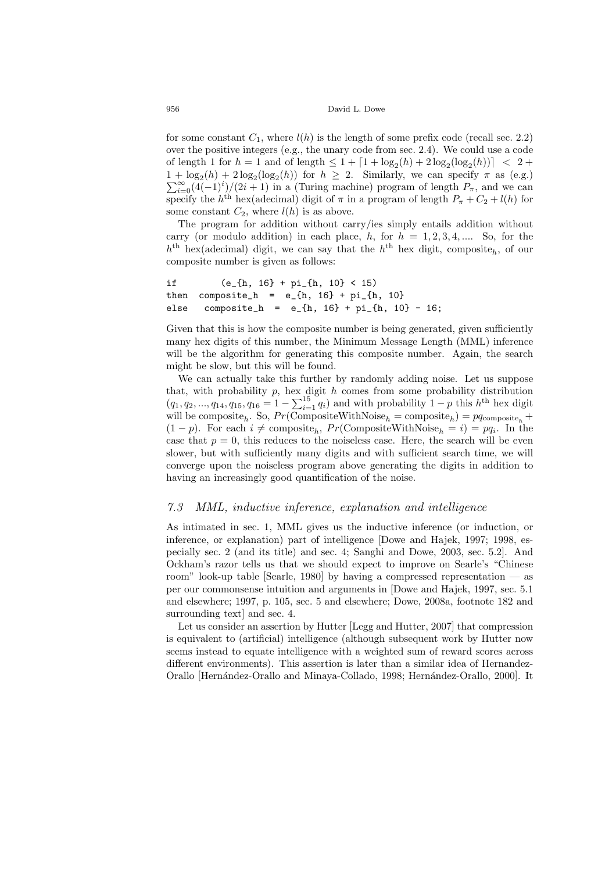for some constant  $C_1$ , where  $l(h)$  is the length of some prefix code (recall sec. 2.2) over the positive integers (e.g., the unary code from sec. 2.4). We could use a code of length 1 for  $h = 1$  and of length  $\leq 1 + \lceil 1 + \log_2(h) + 2 \log_2(\log_2(h)) \rceil < 2 +$  $1 + \log_2(h) + 2\log_2(\log_2(h))$  for  $h \geq 2$ . Similarly, we can specify  $\pi$  as (e.g.)  $\sum_{i=0}^{\infty} (4(-1)^i)/(2i+1)$  in a (Turing machine) program of length  $P_{\pi}$ , and we can specify the  $h<sup>th</sup>$  hex(adecimal) digit of  $\pi$  in a program of length  $P_{\pi} + C_2 + l(h)$  for some constant  $C_2$ , where  $l(h)$  is as above.

The program for addition without carry/ies simply entails addition without carry (or modulo addition) in each place, h, for  $h = 1, 2, 3, 4, \dots$  So, for the  $h<sup>th</sup>$  hex(adecimal) digit, we can say that the  $h<sup>th</sup>$  hex digit, composite<sub>h</sub>, of our composite number is given as follows:

```
if (e_{h, 16} + pi_{h, 10} < 15)then composite_h = e_{h}, 16} + pi_{h, 10}
else composite_h = e_{h}, 16} + pi_{h, 10} - 16;
```
Given that this is how the composite number is being generated, given sufficiently many hex digits of this number, the Minimum Message Length (MML) inference will be the algorithm for generating this composite number. Again, the search might be slow, but this will be found.

We can actually take this further by randomly adding noise. Let us suppose that, with probability  $p$ , hex digit  $h$  comes from some probability distribution  $(q_1, q_2, ..., q_{14}, q_{15}, q_{16} = 1 - \sum_{i=1}^{15} q_i)$  and with probability  $1 - p$  this  $h^{\text{th}}$  hex digit will be composite<sub>h</sub>. So,  $Pr(\text{CompositeWithNoise}_h = \text{composite}_h) = pq_{\text{composite}_h} +$  $(1-p)$ . For each  $i \neq \text{composite}_h$ ,  $Pr(\text{CompositeWithNoise}_h = i) = pq_i$ . In the case that  $p = 0$ , this reduces to the noiseless case. Here, the search will be even slower, but with sufficiently many digits and with sufficient search time, we will converge upon the noiseless program above generating the digits in addition to having an increasingly good quantification of the noise.

## 7.3 MML, inductive inference, explanation and intelligence

As intimated in sec. 1, MML gives us the inductive inference (or induction, or inference, or explanation) part of intelligence [Dowe and Hajek, 1997; 1998, especially sec. 2 (and its title) and sec. 4; Sanghi and Dowe, 2003, sec. 5.2]. And Ockham's razor tells us that we should expect to improve on Searle's "Chinese room" look-up table [Searle, 1980] by having a compressed representation — as per our commonsense intuition and arguments in [Dowe and Hajek, 1997, sec. 5.1 and elsewhere; 1997, p. 105, sec. 5 and elsewhere; Dowe, 2008a, footnote 182 and surrounding text and sec. 4.

Let us consider an assertion by Hutter [Legg and Hutter, 2007] that compression is equivalent to (artificial) intelligence (although subsequent work by Hutter now seems instead to equate intelligence with a weighted sum of reward scores across different environments). This assertion is later than a similar idea of Hernandez-Orallo [Hernández-Orallo and Minaya-Collado, 1998; Hernández-Orallo, 2000]. It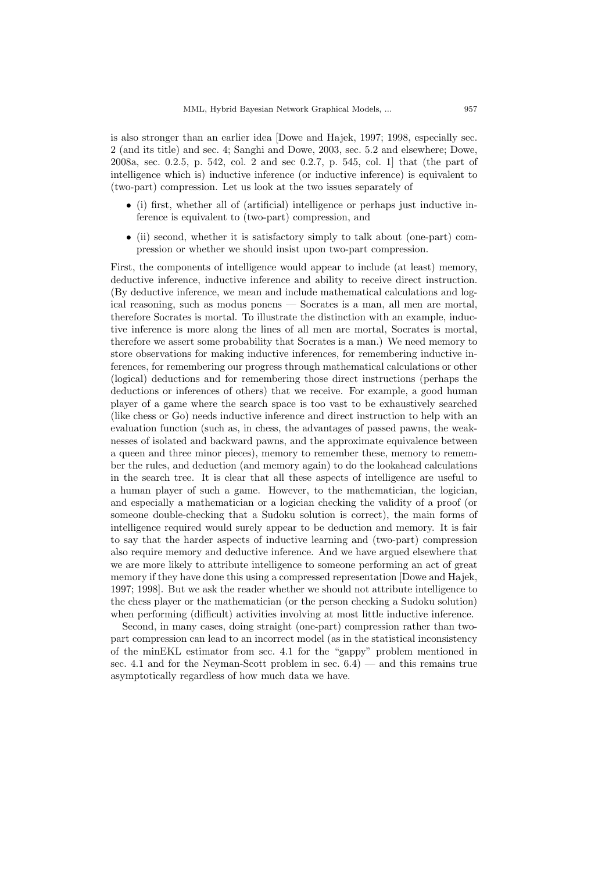is also stronger than an earlier idea [Dowe and Hajek, 1997; 1998, especially sec. 2 (and its title) and sec. 4; Sanghi and Dowe, 2003, sec. 5.2 and elsewhere; Dowe, 2008a, sec. 0.2.5, p. 542, col. 2 and sec 0.2.7, p. 545, col. 1] that (the part of intelligence which is) inductive inference (or inductive inference) is equivalent to (two-part) compression. Let us look at the two issues separately of

- (i) first, whether all of (artificial) intelligence or perhaps just inductive inference is equivalent to (two-part) compression, and
- (ii) second, whether it is satisfactory simply to talk about (one-part) compression or whether we should insist upon two-part compression.

First, the components of intelligence would appear to include (at least) memory, deductive inference, inductive inference and ability to receive direct instruction. (By deductive inference, we mean and include mathematical calculations and logical reasoning, such as modus ponens — Socrates is a man, all men are mortal, therefore Socrates is mortal. To illustrate the distinction with an example, inductive inference is more along the lines of all men are mortal, Socrates is mortal, therefore we assert some probability that Socrates is a man.) We need memory to store observations for making inductive inferences, for remembering inductive inferences, for remembering our progress through mathematical calculations or other (logical) deductions and for remembering those direct instructions (perhaps the deductions or inferences of others) that we receive. For example, a good human player of a game where the search space is too vast to be exhaustively searched (like chess or Go) needs inductive inference and direct instruction to help with an evaluation function (such as, in chess, the advantages of passed pawns, the weaknesses of isolated and backward pawns, and the approximate equivalence between a queen and three minor pieces), memory to remember these, memory to remember the rules, and deduction (and memory again) to do the lookahead calculations in the search tree. It is clear that all these aspects of intelligence are useful to a human player of such a game. However, to the mathematician, the logician, and especially a mathematician or a logician checking the validity of a proof (or someone double-checking that a Sudoku solution is correct), the main forms of intelligence required would surely appear to be deduction and memory. It is fair to say that the harder aspects of inductive learning and (two-part) compression also require memory and deductive inference. And we have argued elsewhere that we are more likely to attribute intelligence to someone performing an act of great memory if they have done this using a compressed representation [Dowe and Hajek, 1997; 1998]. But we ask the reader whether we should not attribute intelligence to the chess player or the mathematician (or the person checking a Sudoku solution) when performing (difficult) activities involving at most little inductive inference.

Second, in many cases, doing straight (one-part) compression rather than twopart compression can lead to an incorrect model (as in the statistical inconsistency of the minEKL estimator from sec. 4.1 for the "gappy" problem mentioned in sec. 4.1 and for the Neyman-Scott problem in sec.  $6.4$ ) — and this remains true asymptotically regardless of how much data we have.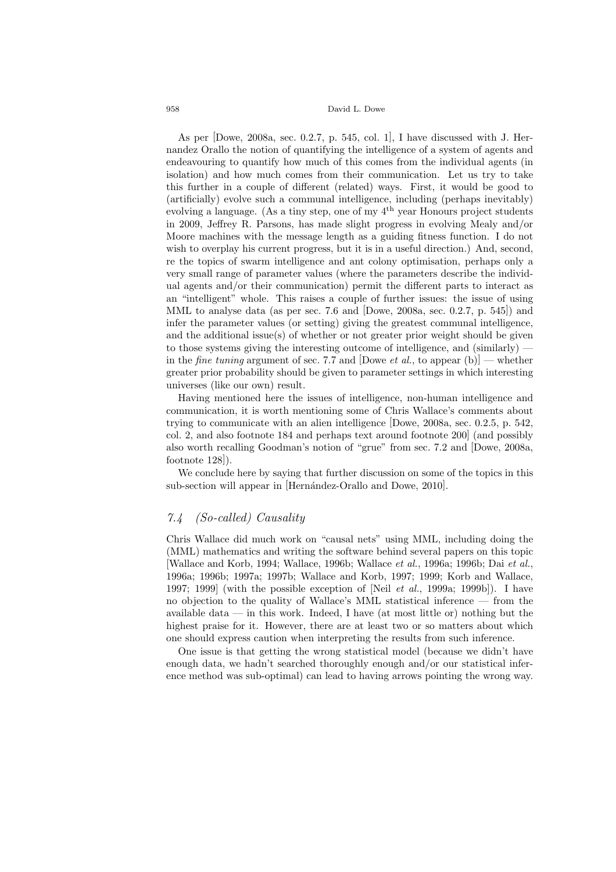As per [Dowe, 2008a, sec. 0.2.7, p. 545, col. 1], I have discussed with J. Hernandez Orallo the notion of quantifying the intelligence of a system of agents and endeavouring to quantify how much of this comes from the individual agents (in isolation) and how much comes from their communication. Let us try to take this further in a couple of different (related) ways. First, it would be good to (artificially) evolve such a communal intelligence, including (perhaps inevitably) evolving a language. (As a tiny step, one of my  $4<sup>th</sup>$  year Honours project students in 2009, Jeffrey R. Parsons, has made slight progress in evolving Mealy and/or Moore machines with the message length as a guiding fitness function. I do not wish to overplay his current progress, but it is in a useful direction.) And, second, re the topics of swarm intelligence and ant colony optimisation, perhaps only a very small range of parameter values (where the parameters describe the individual agents and/or their communication) permit the different parts to interact as an "intelligent" whole. This raises a couple of further issues: the issue of using MML to analyse data (as per sec. 7.6 and [Dowe, 2008a, sec. 0.2.7, p. 545]) and infer the parameter values (or setting) giving the greatest communal intelligence, and the additional issue(s) of whether or not greater prior weight should be given to those systems giving the interesting outcome of intelligence, and  $(\text{similarly})$ in the *fine tuning* argument of sec. 7.7 and [Dowe *et al.*, to appear (b)] — whether greater prior probability should be given to parameter settings in which interesting universes (like our own) result.

Having mentioned here the issues of intelligence, non-human intelligence and communication, it is worth mentioning some of Chris Wallace's comments about trying to communicate with an alien intelligence [Dowe, 2008a, sec. 0.2.5, p. 542, col. 2, and also footnote 184 and perhaps text around footnote 200] (and possibly also worth recalling Goodman's notion of "grue" from sec. 7.2 and [Dowe, 2008a, footnote 128]).

We conclude here by saying that further discussion on some of the topics in this sub-section will appear in [Hernández-Orallo and Dowe, 2010].

# 7.4 (So-called) Causality

Chris Wallace did much work on "causal nets" using MML, including doing the (MML) mathematics and writing the software behind several papers on this topic [Wallace and Korb, 1994; Wallace, 1996b; Wallace *et al.*, 1996a; 1996b; Dai *et al.*, 1996a; 1996b; 1997a; 1997b; Wallace and Korb, 1997; 1999; Korb and Wallace, 1997; 1999] (with the possible exception of [Neil *et al.*, 1999a; 1999b]). I have no objection to the quality of Wallace's MML statistical inference — from the available data — in this work. Indeed, I have (at most little or) nothing but the highest praise for it. However, there are at least two or so matters about which one should express caution when interpreting the results from such inference.

One issue is that getting the wrong statistical model (because we didn't have enough data, we hadn't searched thoroughly enough and/or our statistical inference method was sub-optimal) can lead to having arrows pointing the wrong way.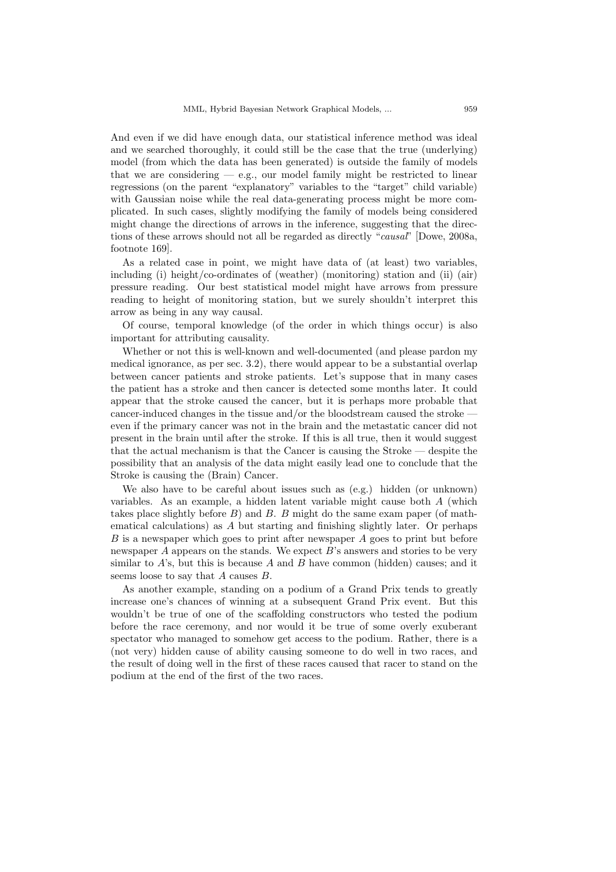And even if we did have enough data, our statistical inference method was ideal and we searched thoroughly, it could still be the case that the true (underlying) model (from which the data has been generated) is outside the family of models that we are considering  $-$  e.g., our model family might be restricted to linear regressions (on the parent "explanatory" variables to the "target" child variable) with Gaussian noise while the real data-generating process might be more complicated. In such cases, slightly modifying the family of models being considered might change the directions of arrows in the inference, suggesting that the directions of these arrows should not all be regarded as directly "causal" [Dowe, 2008a, footnote 169].

As a related case in point, we might have data of (at least) two variables, including (i) height/co-ordinates of (weather) (monitoring) station and (ii) (air) pressure reading. Our best statistical model might have arrows from pressure reading to height of monitoring station, but we surely shouldn't interpret this arrow as being in any way causal.

Of course, temporal knowledge (of the order in which things occur) is also important for attributing causality.

Whether or not this is well-known and well-documented (and please pardon my medical ignorance, as per sec. 3.2), there would appear to be a substantial overlap between cancer patients and stroke patients. Let's suppose that in many cases the patient has a stroke and then cancer is detected some months later. It could appear that the stroke caused the cancer, but it is perhaps more probable that cancer-induced changes in the tissue and/or the bloodstream caused the stroke even if the primary cancer was not in the brain and the metastatic cancer did not present in the brain until after the stroke. If this is all true, then it would suggest that the actual mechanism is that the Cancer is causing the Stroke — despite the possibility that an analysis of the data might easily lead one to conclude that the Stroke is causing the (Brain) Cancer.

We also have to be careful about issues such as (e.g.) hidden (or unknown) variables. As an example, a hidden latent variable might cause both A (which takes place slightly before  $B$ ) and  $B$ .  $B$  might do the same exam paper (of mathematical calculations) as A but starting and finishing slightly later. Or perhaps  $B$  is a newspaper which goes to print after newspaper  $A$  goes to print but before newspaper  $A$  appears on the stands. We expect  $B$ 's answers and stories to be very similar to  $A$ 's, but this is because  $A$  and  $B$  have common (hidden) causes; and it seems loose to say that A causes B.

As another example, standing on a podium of a Grand Prix tends to greatly increase one's chances of winning at a subsequent Grand Prix event. But this wouldn't be true of one of the scaffolding constructors who tested the podium before the race ceremony, and nor would it be true of some overly exuberant spectator who managed to somehow get access to the podium. Rather, there is a (not very) hidden cause of ability causing someone to do well in two races, and the result of doing well in the first of these races caused that racer to stand on the podium at the end of the first of the two races.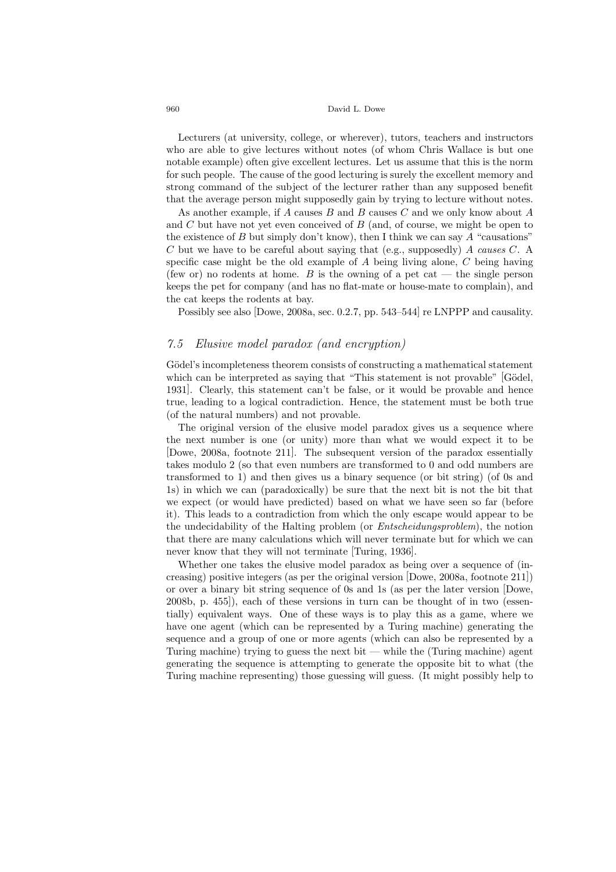Lecturers (at university, college, or wherever), tutors, teachers and instructors who are able to give lectures without notes (of whom Chris Wallace is but one notable example) often give excellent lectures. Let us assume that this is the norm for such people. The cause of the good lecturing is surely the excellent memory and strong command of the subject of the lecturer rather than any supposed benefit that the average person might supposedly gain by trying to lecture without notes.

As another example, if A causes B and B causes C and we only know about A and  $C$  but have not yet even conceived of  $B$  (and, of course, we might be open to the existence of  $B$  but simply don't know), then I think we can say  $A$  "causations" C but we have to be careful about saying that (e.g., supposedly) A causes C. A specific case might be the old example of  $A$  being living alone,  $C$  being having (few or) no rodents at home. B is the owning of a pet cat — the single person keeps the pet for company (and has no flat-mate or house-mate to complain), and the cat keeps the rodents at bay.

Possibly see also [Dowe, 2008a, sec. 0.2.7, pp. 543–544] re LNPPP and causality.

## 7.5 Elusive model paradox (and encryption)

Gödel's incompleteness theorem consists of constructing a mathematical statement which can be interpreted as saying that "This statement is not provable"  $[\text{Gödel},$ 1931]. Clearly, this statement can't be false, or it would be provable and hence true, leading to a logical contradiction. Hence, the statement must be both true (of the natural numbers) and not provable.

The original version of the elusive model paradox gives us a sequence where the next number is one (or unity) more than what we would expect it to be [Dowe, 2008a, footnote 211]. The subsequent version of the paradox essentially takes modulo 2 (so that even numbers are transformed to 0 and odd numbers are transformed to 1) and then gives us a binary sequence (or bit string) (of 0s and 1s) in which we can (paradoxically) be sure that the next bit is not the bit that we expect (or would have predicted) based on what we have seen so far (before it). This leads to a contradiction from which the only escape would appear to be the undecidability of the Halting problem (or Entscheidungsproblem), the notion that there are many calculations which will never terminate but for which we can never know that they will not terminate [Turing, 1936].

Whether one takes the elusive model paradox as being over a sequence of (increasing) positive integers (as per the original version [Dowe, 2008a, footnote 211]) or over a binary bit string sequence of 0s and 1s (as per the later version [Dowe, 2008b, p. 455]), each of these versions in turn can be thought of in two (essentially) equivalent ways. One of these ways is to play this as a game, where we have one agent (which can be represented by a Turing machine) generating the sequence and a group of one or more agents (which can also be represented by a Turing machine) trying to guess the next bit — while the (Turing machine) agent generating the sequence is attempting to generate the opposite bit to what (the Turing machine representing) those guessing will guess. (It might possibly help to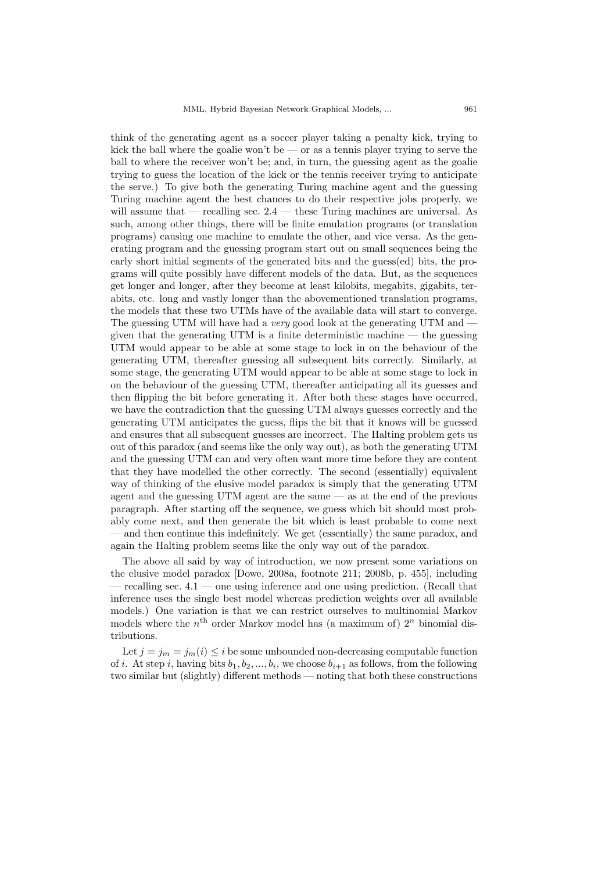think of the generating agent as a soccer player taking a penalty kick, trying to kick the ball where the goalie won't be — or as a tennis player trying to serve the ball to where the receiver won't be; and, in turn, the guessing agent as the goalie trying to guess the location of the kick or the tennis receiver trying to anticipate the serve.) To give both the generating Turing machine agent and the guessing Turing machine agent the best chances to do their respective jobs properly, we will assume that  $-$  recalling sec. 2.4  $-$  these Turing machines are universal. As such, among other things, there will be finite emulation programs (or translation programs) causing one machine to emulate the other, and vice versa. As the generating program and the guessing program start out on small sequences being the early short initial segments of the generated bits and the guess(ed) bits, the programs will quite possibly have different models of the data. But, as the sequences get longer and longer, after they become at least kilobits, megabits, gigabits, terabits, etc. long and vastly longer than the abovementioned translation programs, the models that these two UTMs have of the available data will start to converge. The guessing UTM will have had a very good look at the generating UTM and  $\overline{\phantom{a}}$ given that the generating UTM is a finite deterministic machine — the guessing UTM would appear to be able at some stage to lock in on the behaviour of the generating UTM, thereafter guessing all subsequent bits correctly. Similarly, at some stage, the generating UTM would appear to be able at some stage to lock in on the behaviour of the guessing UTM, thereafter anticipating all its guesses and then flipping the bit before generating it. After both these stages have occurred, we have the contradiction that the guessing UTM always guesses correctly and the generating UTM anticipates the guess, flips the bit that it knows will be guessed and ensures that all subsequent guesses are incorrect. The Halting problem gets us out of this paradox (and seems like the only way out), as both the generating UTM and the guessing UTM can and very often want more time before they are content that they have modelled the other correctly. The second (essentially) equivalent way of thinking of the elusive model paradox is simply that the generating UTM agent and the guessing UTM agent are the same — as at the end of the previous paragraph. After starting off the sequence, we guess which bit should most probably come next, and then generate the bit which is least probable to come next — and then continue this indefinitely. We get (essentially) the same paradox, and again the Halting problem seems like the only way out of the paradox.

The above all said by way of introduction, we now present some variations on the elusive model paradox [Dowe, 2008a, footnote 211; 2008b, p. 455], including — recalling sec.  $4.1$  — one using inference and one using prediction. (Recall that inference uses the single best model whereas prediction weights over all available models.) One variation is that we can restrict ourselves to multinomial Markov models where the  $n<sup>th</sup>$  order Markov model has (a maximum of)  $2<sup>n</sup>$  binomial distributions.

Let  $j = j_m = j_m(i) \leq i$  be some unbounded non-decreasing computable function of *i*. At step *i*, having bits  $b_1, b_2, ..., b_i$ , we choose  $b_{i+1}$  as follows, from the following two similar but (slightly) different methods — noting that both these constructions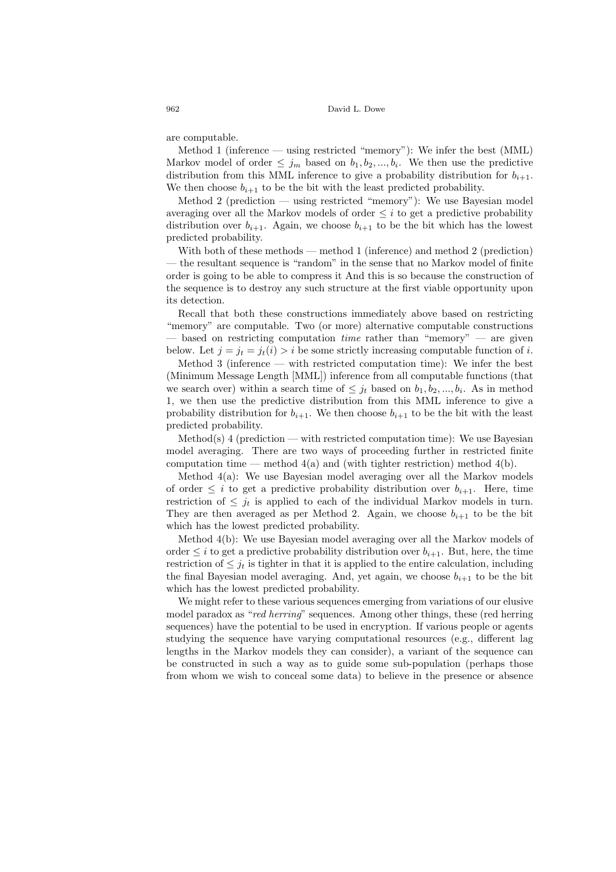are computable.

Method 1 (inference — using restricted "memory"): We infer the best (MML) Markov model of order  $\leq j_m$  based on  $b_1, b_2, ..., b_i$ . We then use the predictive distribution from this MML inference to give a probability distribution for  $b_{i+1}$ . We then choose  $b_{i+1}$  to be the bit with the least predicted probability.

Method 2 (prediction  $-$  using restricted "memory"): We use Bayesian model averaging over all the Markov models of order  $\leq i$  to get a predictive probability distribution over  $b_{i+1}$ . Again, we choose  $b_{i+1}$  to be the bit which has the lowest predicted probability.

With both of these methods — method 1 (inference) and method 2 (prediction) — the resultant sequence is "random" in the sense that no Markov model of finite order is going to be able to compress it And this is so because the construction of the sequence is to destroy any such structure at the first viable opportunity upon its detection.

Recall that both these constructions immediately above based on restricting "memory" are computable. Two (or more) alternative computable constructions — based on restricting computation *time* rather than "memory" — are given below. Let  $j = j_t = j_t(i) > i$  be some strictly increasing computable function of i.

Method 3 (inference — with restricted computation time): We infer the best (Minimum Message Length [MML]) inference from all computable functions (that we search over) within a search time of  $\leq j_t$  based on  $b_1, b_2, ..., b_i$ . As in method 1, we then use the predictive distribution from this MML inference to give a probability distribution for  $b_{i+1}$ . We then choose  $b_{i+1}$  to be the bit with the least predicted probability.

Method(s) 4 (prediction — with restricted computation time): We use Bayesian model averaging. There are two ways of proceeding further in restricted finite computation time — method  $4(a)$  and (with tighter restriction) method  $4(b)$ .

Method 4(a): We use Bayesian model averaging over all the Markov models of order  $\leq i$  to get a predictive probability distribution over  $b_{i+1}$ . Here, time restriction of  $\leq j_t$  is applied to each of the individual Markov models in turn. They are then averaged as per Method 2. Again, we choose  $b_{i+1}$  to be the bit which has the lowest predicted probability.

Method 4(b): We use Bayesian model averaging over all the Markov models of order  $\leq i$  to get a predictive probability distribution over  $b_{i+1}$ . But, here, the time restriction of  $\leq j_t$  is tighter in that it is applied to the entire calculation, including the final Bayesian model averaging. And, yet again, we choose  $b_{i+1}$  to be the bit which has the lowest predicted probability.

We might refer to these various sequences emerging from variations of our elusive model paradox as "red herring" sequences. Among other things, these (red herring sequences) have the potential to be used in encryption. If various people or agents studying the sequence have varying computational resources (e.g., different lag lengths in the Markov models they can consider), a variant of the sequence can be constructed in such a way as to guide some sub-population (perhaps those from whom we wish to conceal some data) to believe in the presence or absence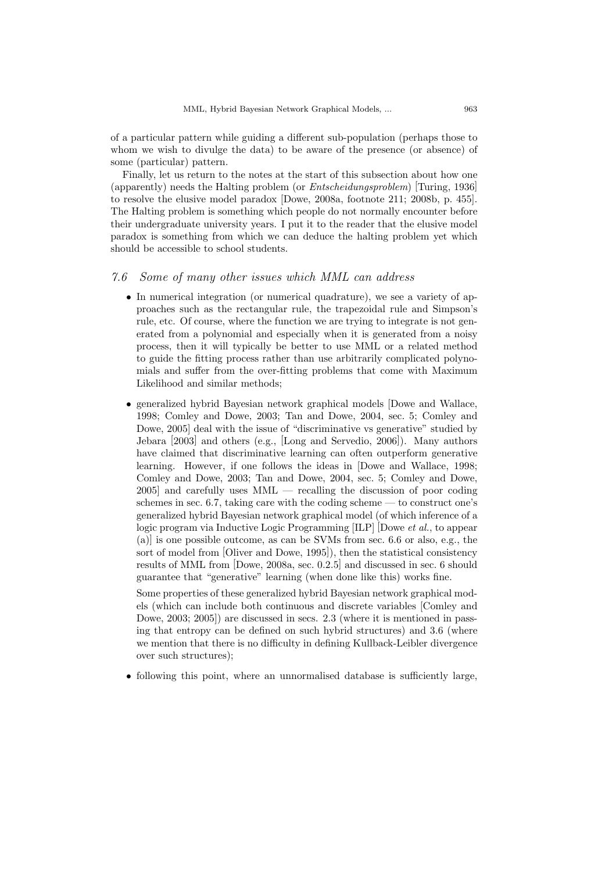of a particular pattern while guiding a different sub-population (perhaps those to whom we wish to divulge the data) to be aware of the presence (or absence) of some (particular) pattern.

Finally, let us return to the notes at the start of this subsection about how one (apparently) needs the Halting problem (or Entscheidungsproblem) [Turing, 1936] to resolve the elusive model paradox [Dowe, 2008a, footnote 211; 2008b, p. 455]. The Halting problem is something which people do not normally encounter before their undergraduate university years. I put it to the reader that the elusive model paradox is something from which we can deduce the halting problem yet which should be accessible to school students.

# 7.6 Some of many other issues which MML can address

- In numerical integration (or numerical quadrature), we see a variety of approaches such as the rectangular rule, the trapezoidal rule and Simpson's rule, etc. Of course, where the function we are trying to integrate is not generated from a polynomial and especially when it is generated from a noisy process, then it will typically be better to use MML or a related method to guide the fitting process rather than use arbitrarily complicated polynomials and suffer from the over-fitting problems that come with Maximum Likelihood and similar methods;
- generalized hybrid Bayesian network graphical models [Dowe and Wallace, 1998; Comley and Dowe, 2003; Tan and Dowe, 2004, sec. 5; Comley and Dowe, 2005] deal with the issue of "discriminative vs generative" studied by Jebara [2003] and others (e.g., [Long and Servedio, 2006]). Many authors have claimed that discriminative learning can often outperform generative learning. However, if one follows the ideas in [Dowe and Wallace, 1998; Comley and Dowe, 2003; Tan and Dowe, 2004, sec. 5; Comley and Dowe, 2005] and carefully uses MML — recalling the discussion of poor coding schemes in sec. 6.7, taking care with the coding scheme — to construct one's generalized hybrid Bayesian network graphical model (of which inference of a logic program via Inductive Logic Programming [ILP] [Dowe et al., to appear (a)] is one possible outcome, as can be SVMs from sec. 6.6 or also, e.g., the sort of model from [Oliver and Dowe, 1995]), then the statistical consistency results of MML from [Dowe, 2008a, sec. 0.2.5] and discussed in sec. 6 should guarantee that "generative" learning (when done like this) works fine.

Some properties of these generalized hybrid Bayesian network graphical models (which can include both continuous and discrete variables [Comley and Dowe, 2003; 2005]) are discussed in secs. 2.3 (where it is mentioned in passing that entropy can be defined on such hybrid structures) and 3.6 (where we mention that there is no difficulty in defining Kullback-Leibler divergence over such structures);

• following this point, where an unnormalised database is sufficiently large,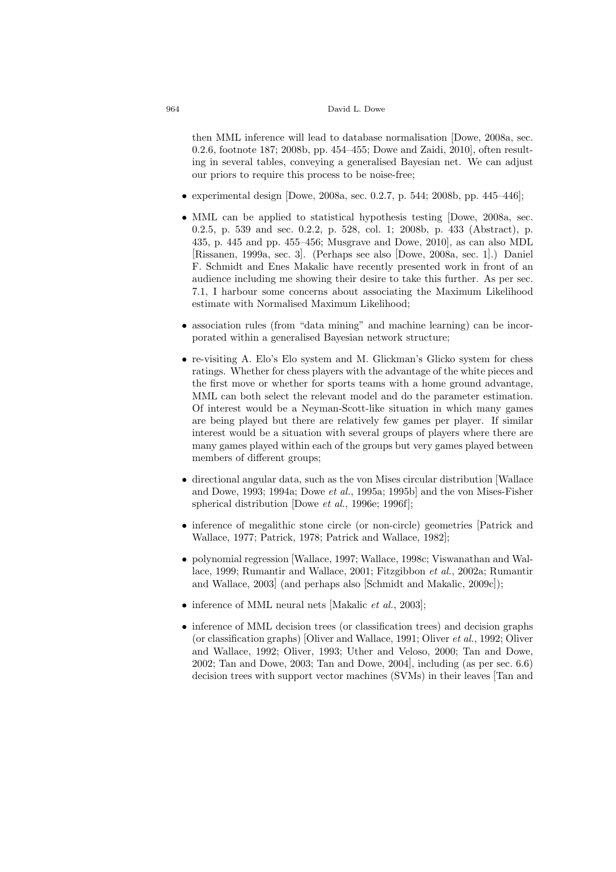then MML inference will lead to database normalisation [Dowe, 2008a, sec. 0.2.6, footnote 187; 2008b, pp. 454–455; Dowe and Zaidi, 2010], often resulting in several tables, conveying a generalised Bayesian net. We can adjust our priors to require this process to be noise-free;

- experimental design [Dowe, 2008a, sec. 0.2.7, p. 544; 2008b, pp. 445–446];
- MML can be applied to statistical hypothesis testing [Dowe, 2008a, sec. 0.2.5, p. 539 and sec. 0.2.2, p. 528, col. 1; 2008b, p. 433 (Abstract), p. 435, p. 445 and pp. 455–456; Musgrave and Dowe, 2010], as can also MDL [Rissanen, 1999a, sec. 3]. (Perhaps see also [Dowe, 2008a, sec. 1].) Daniel F. Schmidt and Enes Makalic have recently presented work in front of an audience including me showing their desire to take this further. As per sec. 7.1, I harbour some concerns about associating the Maximum Likelihood estimate with Normalised Maximum Likelihood;
- association rules (from "data mining" and machine learning) can be incorporated within a generalised Bayesian network structure;
- re-visiting A. Elo's Elo system and M. Glickman's Glicko system for chess ratings. Whether for chess players with the advantage of the white pieces and the first move or whether for sports teams with a home ground advantage, MML can both select the relevant model and do the parameter estimation. Of interest would be a Neyman-Scott-like situation in which many games are being played but there are relatively few games per player. If similar interest would be a situation with several groups of players where there are many games played within each of the groups but very games played between members of different groups;
- directional angular data, such as the von Mises circular distribution [Wallace and Dowe, 1993; 1994a; Dowe et al., 1995a; 1995b] and the von Mises-Fisher spherical distribution [Dowe et al., 1996e; 1996f];
- inference of megalithic stone circle (or non-circle) geometries [Patrick and Wallace, 1977; Patrick, 1978; Patrick and Wallace, 1982];
- polynomial regression [Wallace, 1997; Wallace, 1998c; Viswanathan and Wallace, 1999; Rumantir and Wallace, 2001; Fitzgibbon et al., 2002a; Rumantir and Wallace, 2003] (and perhaps also [Schmidt and Makalic, 2009c]);
- inference of MML neural nets [Makalic *et al.*, 2003];
- inference of MML decision trees (or classification trees) and decision graphs (or classification graphs) [Oliver and Wallace, 1991; Oliver et al., 1992; Oliver and Wallace, 1992; Oliver, 1993; Uther and Veloso, 2000; Tan and Dowe, 2002; Tan and Dowe, 2003; Tan and Dowe, 2004], including (as per sec. 6.6) decision trees with support vector machines (SVMs) in their leaves [Tan and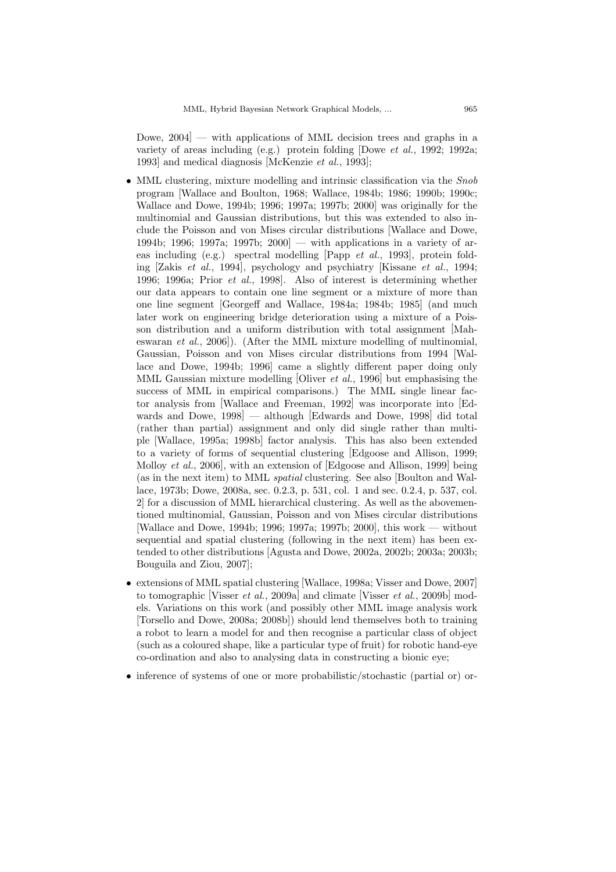Dowe, 2004] — with applications of MML decision trees and graphs in a variety of areas including (e.g.) protein folding [Dowe et al., 1992; 1992a; 1993] and medical diagnosis [McKenzie et al., 1993];

- MML clustering, mixture modelling and intrinsic classification via the *Snob* program [Wallace and Boulton, 1968; Wallace, 1984b; 1986; 1990b; 1990c; Wallace and Dowe, 1994b; 1996; 1997a; 1997b; 2000] was originally for the multinomial and Gaussian distributions, but this was extended to also include the Poisson and von Mises circular distributions [Wallace and Dowe, 1994b; 1996; 1997a; 1997b; 2000] — with applications in a variety of areas including (e.g.) spectral modelling [Papp et al., 1993], protein folding [Zakis et al., 1994], psychology and psychiatry [Kissane et al., 1994; 1996; 1996a; Prior et al., 1998]. Also of interest is determining whether our data appears to contain one line segment or a mixture of more than one line segment [Georgeff and Wallace, 1984a; 1984b; 1985] (and much later work on engineering bridge deterioration using a mixture of a Poisson distribution and a uniform distribution with total assignment [Maheswaran et al., 2006]). (After the MML mixture modelling of multinomial, Gaussian, Poisson and von Mises circular distributions from 1994 [Wallace and Dowe, 1994b; 1996] came a slightly different paper doing only MML Gaussian mixture modelling [Oliver et al., 1996] but emphasising the success of MML in empirical comparisons.) The MML single linear factor analysis from [Wallace and Freeman, 1992] was incorporate into [Edwards and Dowe, 1998] — although [Edwards and Dowe, 1998] did total (rather than partial) assignment and only did single rather than multiple [Wallace, 1995a; 1998b] factor analysis. This has also been extended to a variety of forms of sequential clustering [Edgoose and Allison, 1999; Molloy *et al.*, 2006, with an extension of Edgoose and Allison, 1999 being (as in the next item) to MML spatial clustering. See also [Boulton and Wallace, 1973b; Dowe, 2008a, sec. 0.2.3, p. 531, col. 1 and sec. 0.2.4, p. 537, col. 2] for a discussion of MML hierarchical clustering. As well as the abovementioned multinomial, Gaussian, Poisson and von Mises circular distributions [Wallace and Dowe, 1994b; 1996; 1997a; 1997b; 2000], this work — without sequential and spatial clustering (following in the next item) has been extended to other distributions [Agusta and Dowe, 2002a, 2002b; 2003a; 2003b; Bouguila and Ziou, 2007];
- extensions of MML spatial clustering [Wallace, 1998a; Visser and Dowe, 2007] to tomographic [Visser et al., 2009a] and climate [Visser et al., 2009b] models. Variations on this work (and possibly other MML image analysis work [Torsello and Dowe, 2008a; 2008b]) should lend themselves both to training a robot to learn a model for and then recognise a particular class of object (such as a coloured shape, like a particular type of fruit) for robotic hand-eye co-ordination and also to analysing data in constructing a bionic eye;
- inference of systems of one or more probabilistic/stochastic (partial or) or-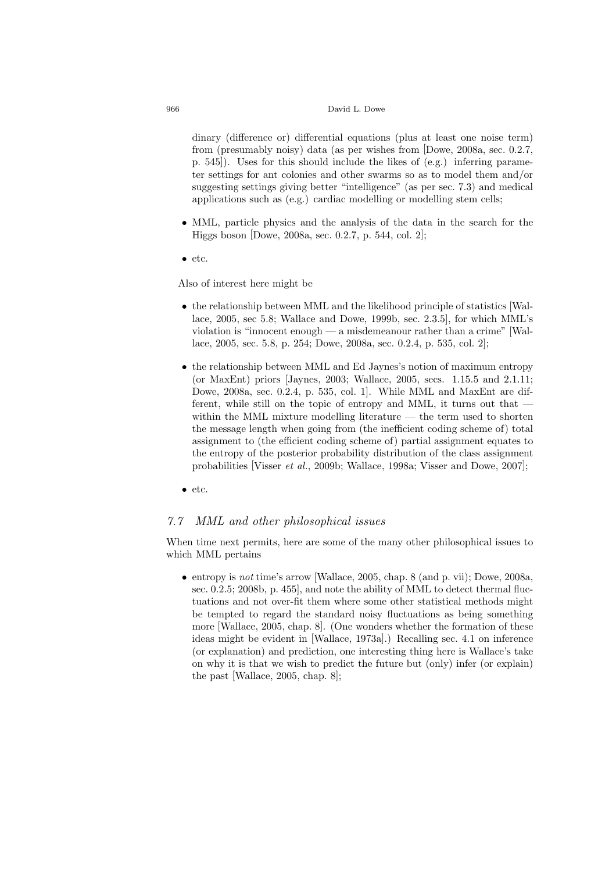dinary (difference or) differential equations (plus at least one noise term) from (presumably noisy) data (as per wishes from [Dowe, 2008a, sec. 0.2.7, p. 545]). Uses for this should include the likes of (e.g.) inferring parameter settings for ant colonies and other swarms so as to model them and/or suggesting settings giving better "intelligence" (as per sec. 7.3) and medical applications such as (e.g.) cardiac modelling or modelling stem cells;

- MML, particle physics and the analysis of the data in the search for the Higgs boson [Dowe, 2008a, sec. 0.2.7, p. 544, col. 2];
- etc.

Also of interest here might be

- the relationship between MML and the likelihood principle of statistics [Wallace, 2005, sec 5.8; Wallace and Dowe, 1999b, sec. 2.3.5], for which MML's violation is "innocent enough — a misdemeanour rather than a crime" [Wallace, 2005, sec. 5.8, p. 254; Dowe, 2008a, sec. 0.2.4, p. 535, col. 2];
- the relationship between MML and Ed Jaynes's notion of maximum entropy (or MaxEnt) priors [Jaynes, 2003; Wallace, 2005, secs. 1.15.5 and 2.1.11; Dowe, 2008a, sec. 0.2.4, p. 535, col. 1]. While MML and MaxEnt are different, while still on the topic of entropy and MML, it turns out that  $$ within the MML mixture modelling literature — the term used to shorten the message length when going from (the inefficient coding scheme of) total assignment to (the efficient coding scheme of) partial assignment equates to the entropy of the posterior probability distribution of the class assignment probabilities [Visser et al., 2009b; Wallace, 1998a; Visser and Dowe, 2007];
- etc.

## 7.7 MML and other philosophical issues

When time next permits, here are some of the many other philosophical issues to which MML pertains

• entropy is not time's arrow [Wallace, 2005, chap. 8 (and p. vii); Dowe, 2008a, sec. 0.2.5; 2008b, p. 455], and note the ability of MML to detect thermal fluctuations and not over-fit them where some other statistical methods might be tempted to regard the standard noisy fluctuations as being something more [Wallace, 2005, chap. 8]. (One wonders whether the formation of these ideas might be evident in [Wallace, 1973a].) Recalling sec. 4.1 on inference (or explanation) and prediction, one interesting thing here is Wallace's take on why it is that we wish to predict the future but (only) infer (or explain) the past [Wallace, 2005, chap. 8];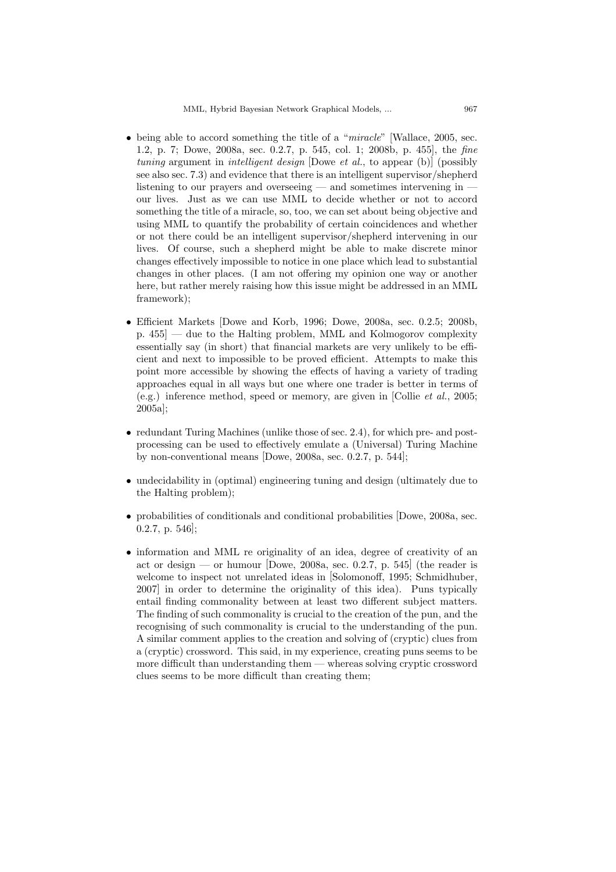- being able to accord something the title of a "miracle" [Wallace, 2005, sec. 1.2, p. 7; Dowe, 2008a, sec. 0.2.7, p. 545, col. 1; 2008b, p. 455], the fine tuning argument in *intelligent design* Dowe *et al.*, to appear (b) (possibly see also sec. 7.3) and evidence that there is an intelligent supervisor/shepherd listening to our prayers and overseeing — and sometimes intervening in our lives. Just as we can use MML to decide whether or not to accord something the title of a miracle, so, too, we can set about being objective and using MML to quantify the probability of certain coincidences and whether or not there could be an intelligent supervisor/shepherd intervening in our lives. Of course, such a shepherd might be able to make discrete minor changes effectively impossible to notice in one place which lead to substantial changes in other places. (I am not offering my opinion one way or another here, but rather merely raising how this issue might be addressed in an MML framework);
- Efficient Markets [Dowe and Korb, 1996; Dowe, 2008a, sec. 0.2.5; 2008b, p. 455] — due to the Halting problem, MML and Kolmogorov complexity essentially say (in short) that financial markets are very unlikely to be efficient and next to impossible to be proved efficient. Attempts to make this point more accessible by showing the effects of having a variety of trading approaches equal in all ways but one where one trader is better in terms of (e.g.) inference method, speed or memory, are given in [Collie et al., 2005; 2005a];
- redundant Turing Machines (unlike those of sec. 2.4), for which pre- and postprocessing can be used to effectively emulate a (Universal) Turing Machine by non-conventional means [Dowe, 2008a, sec. 0.2.7, p. 544];
- undecidability in (optimal) engineering tuning and design (ultimately due to the Halting problem);
- probabilities of conditionals and conditional probabilities [Dowe, 2008a, sec. 0.2.7, p. 546];
- information and MML re originality of an idea, degree of creativity of an act or design — or humour [Dowe, 2008a, sec. 0.2.7, p. 545] (the reader is welcome to inspect not unrelated ideas in [Solomonoff, 1995; Schmidhuber, 2007] in order to determine the originality of this idea). Puns typically entail finding commonality between at least two different subject matters. The finding of such commonality is crucial to the creation of the pun, and the recognising of such commonality is crucial to the understanding of the pun. A similar comment applies to the creation and solving of (cryptic) clues from a (cryptic) crossword. This said, in my experience, creating puns seems to be more difficult than understanding them — whereas solving cryptic crossword clues seems to be more difficult than creating them;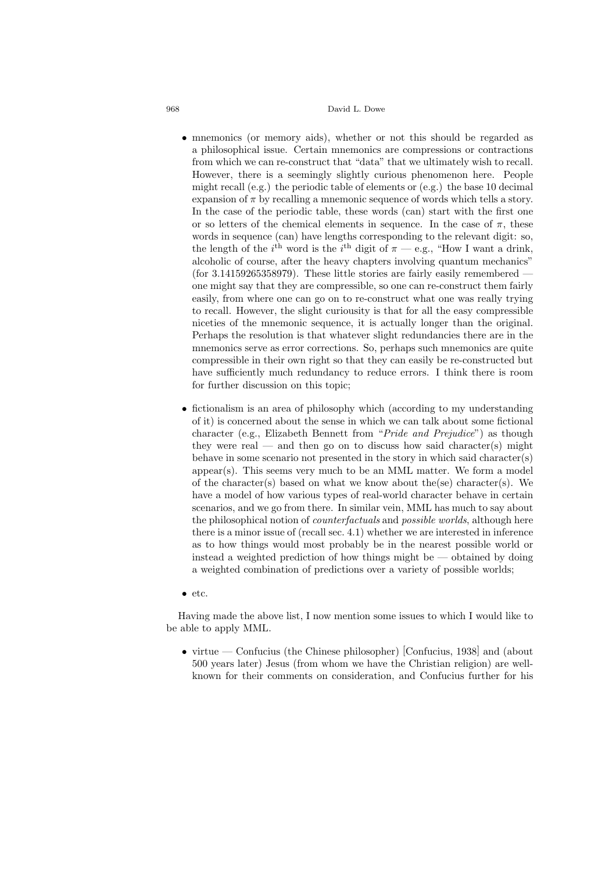- mnemonics (or memory aids), whether or not this should be regarded as a philosophical issue. Certain mnemonics are compressions or contractions from which we can re-construct that "data" that we ultimately wish to recall. However, there is a seemingly slightly curious phenomenon here. People might recall (e.g.) the periodic table of elements or (e.g.) the base 10 decimal expansion of  $\pi$  by recalling a mnemonic sequence of words which tells a story. In the case of the periodic table, these words (can) start with the first one or so letters of the chemical elements in sequence. In the case of  $\pi$ , these words in sequence (can) have lengths corresponding to the relevant digit: so, the length of the  $i^{\text{th}}$  word is the  $i^{\text{th}}$  digit of  $\pi$  – e.g., "How I want a drink, alcoholic of course, after the heavy chapters involving quantum mechanics" (for  $3.14159265358979$ ). These little stories are fairly easily remembered  $$ one might say that they are compressible, so one can re-construct them fairly easily, from where one can go on to re-construct what one was really trying to recall. However, the slight curiousity is that for all the easy compressible niceties of the mnemonic sequence, it is actually longer than the original. Perhaps the resolution is that whatever slight redundancies there are in the mnemonics serve as error corrections. So, perhaps such mnemonics are quite compressible in their own right so that they can easily be re-constructed but have sufficiently much redundancy to reduce errors. I think there is room for further discussion on this topic;
- fictionalism is an area of philosophy which (according to my understanding of it) is concerned about the sense in which we can talk about some fictional character (e.g., Elizabeth Bennett from "Pride and Prejudice") as though they were real — and then go on to discuss how said character(s) might behave in some scenario not presented in the story in which said character(s)  $appear(s)$ . This seems very much to be an MML matter. We form a model of the character(s) based on what we know about the (se) character(s). We have a model of how various types of real-world character behave in certain scenarios, and we go from there. In similar vein, MML has much to say about the philosophical notion of counterfactuals and possible worlds, although here there is a minor issue of (recall sec. 4.1) whether we are interested in inference as to how things would most probably be in the nearest possible world or instead a weighted prediction of how things might be — obtained by doing a weighted combination of predictions over a variety of possible worlds;
- etc.

Having made the above list, I now mention some issues to which I would like to be able to apply MML.

• virtue — Confucius (the Chinese philosopher) [Confucius, 1938] and (about 500 years later) Jesus (from whom we have the Christian religion) are wellknown for their comments on consideration, and Confucius further for his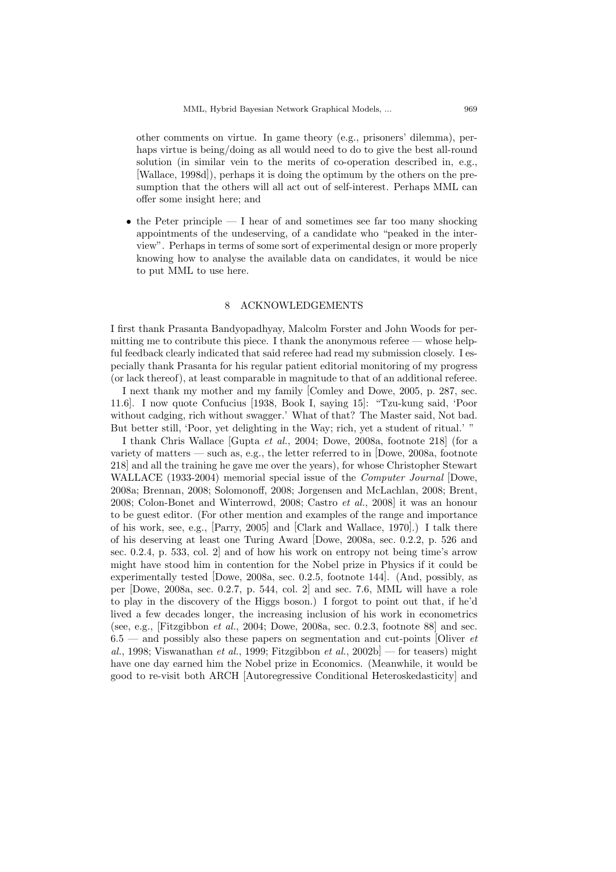other comments on virtue. In game theory (e.g., prisoners' dilemma), perhaps virtue is being/doing as all would need to do to give the best all-round solution (in similar vein to the merits of co-operation described in, e.g., [Wallace, 1998d]), perhaps it is doing the optimum by the others on the presumption that the others will all act out of self-interest. Perhaps MML can offer some insight here; and

• the Peter principle  $- I$  hear of and sometimes see far too many shocking appointments of the undeserving, of a candidate who "peaked in the interview". Perhaps in terms of some sort of experimental design or more properly knowing how to analyse the available data on candidates, it would be nice to put MML to use here.

## 8 ACKNOWLEDGEMENTS

I first thank Prasanta Bandyopadhyay, Malcolm Forster and John Woods for permitting me to contribute this piece. I thank the anonymous referee — whose helpful feedback clearly indicated that said referee had read my submission closely. I especially thank Prasanta for his regular patient editorial monitoring of my progress (or lack thereof), at least comparable in magnitude to that of an additional referee.

I next thank my mother and my family [Comley and Dowe, 2005, p. 287, sec. 11.6]. I now quote Confucius [1938, Book I, saying 15]: "Tzu-kung said, 'Poor without cadging, rich without swagger.' What of that? The Master said, Not bad. But better still, 'Poor, yet delighting in the Way; rich, yet a student of ritual.' "

I thank Chris Wallace [Gupta et al., 2004; Dowe, 2008a, footnote 218] (for a variety of matters — such as, e.g., the letter referred to in [Dowe, 2008a, footnote 218] and all the training he gave me over the years), for whose Christopher Stewart WALLACE (1933-2004) memorial special issue of the *Computer Journal* [Dowe, 2008a; Brennan, 2008; Solomonoff, 2008; Jorgensen and McLachlan, 2008; Brent, 2008; Colon-Bonet and Winterrowd, 2008; Castro et al., 2008] it was an honour to be guest editor. (For other mention and examples of the range and importance of his work, see, e.g., [Parry, 2005] and [Clark and Wallace, 1970].) I talk there of his deserving at least one Turing Award [Dowe, 2008a, sec. 0.2.2, p. 526 and sec. 0.2.4, p. 533, col. 2] and of how his work on entropy not being time's arrow might have stood him in contention for the Nobel prize in Physics if it could be experimentally tested [Dowe, 2008a, sec. 0.2.5, footnote 144]. (And, possibly, as per [Dowe, 2008a, sec. 0.2.7, p. 544, col. 2] and sec. 7.6, MML will have a role to play in the discovery of the Higgs boson.) I forgot to point out that, if he'd lived a few decades longer, the increasing inclusion of his work in econometrics (see, e.g., [Fitzgibbon et al., 2004; Dowe, 2008a, sec. 0.2.3, footnote 88] and sec.  $6.5$  — and possibly also these papers on segmentation and cut-points [Oliver *et*] al., 1998; Viswanathan et al., 1999; Fitzgibbon et al.,  $2002b$  – for teasers) might have one day earned him the Nobel prize in Economics. (Meanwhile, it would be good to re-visit both ARCH [Autoregressive Conditional Heteroskedasticity] and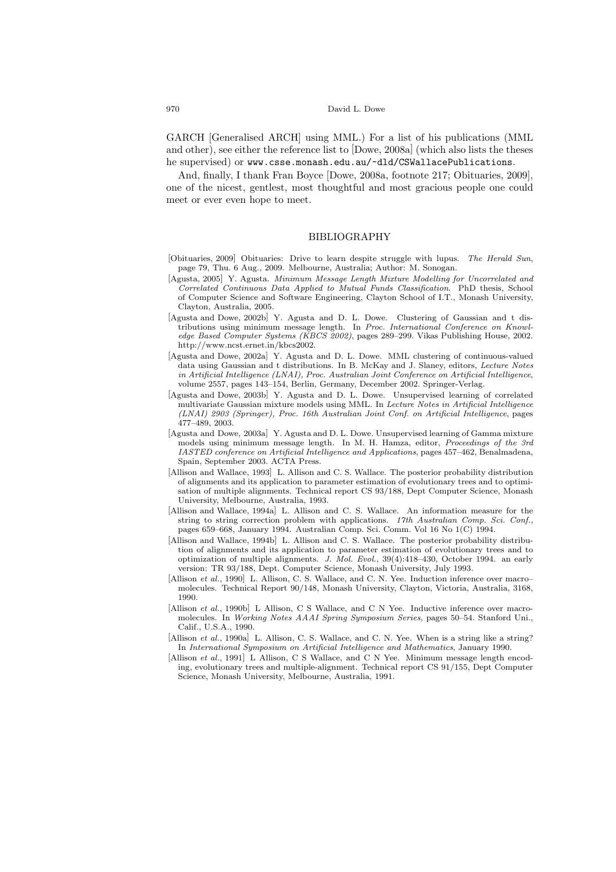GARCH [Generalised ARCH] using MML.) For a list of his publications (MML and other), see either the reference list to [Dowe, 2008a] (which also lists the theses he supervised) or www.csse.monash.edu.au/~dld/CSWallacePublications.

And, finally, I thank Fran Boyce [Dowe, 2008a, footnote 217; Obituaries, 2009], one of the nicest, gentlest, most thoughtful and most gracious people one could meet or ever even hope to meet.

### BIBLIOGRAPHY

- [Obituaries, 2009] Obituaries: Drive to learn despite struggle with lupus. *The Herald Sun*, page 79, Thu. 6 Aug., 2009. Melbourne, Australia; Author: M. Sonogan.
- [Agusta, 2005] Y. Agusta. *Minimum Message Length Mixture Modelling for Uncorrelated and Correlated Continuous Data Applied to Mutual Funds Classification*. PhD thesis, School of Computer Science and Software Engineering, Clayton School of I.T., Monash University, Clayton, Australia, 2005.
- [Agusta and Dowe, 2002b] Y. Agusta and D. L. Dowe. Clustering of Gaussian and t distributions using minimum message length. In *Proc. International Conference on Knowledge Based Computer Systems (KBCS 2002)*, pages 289–299. Vikas Publishing House, 2002. http://www.ncst.ernet.in/kbcs2002.
- [Agusta and Dowe, 2002a] Y. Agusta and D. L. Dowe. MML clustering of continuous-valued data using Gaussian and t distributions. In B. McKay and J. Slaney, editors, *Lecture Notes in Artificial Intelligence (LNAI), Proc. Australian Joint Conference on Artificial Intelligence*, volume 2557, pages 143–154, Berlin, Germany, December 2002. Springer-Verlag.
- [Agusta and Dowe, 2003b] Y. Agusta and D. L. Dowe. Unsupervised learning of correlated multivariate Gaussian mixture models using MML. In *Lecture Notes in Artificial Intelligence (LNAI) 2903 (Springer), Proc. 16th Australian Joint Conf. on Artificial Intelligence*, pages 477–489, 2003.
- [Agusta and Dowe, 2003a] Y. Agusta and D. L. Dowe. Unsupervised learning of Gamma mixture models using minimum message length. In M. H. Hamza, editor, *Proceedings of the 3rd IASTED conference on Artificial Intelligence and Applications*, pages 457–462, Benalmadena, Spain, September 2003. ACTA Press.
- [Allison and Wallace, 1993] L. Allison and C. S. Wallace. The posterior probability distribution of alignments and its application to parameter estimation of evolutionary trees and to optimisation of multiple alignments. Technical report CS 93/188, Dept Computer Science, Monash University, Melbourne, Australia, 1993.
- [Allison and Wallace, 1994a] L. Allison and C. S. Wallace. An information measure for the string to string correction problem with applications. *17th Australian Comp. Sci. Conf.*, pages 659–668, January 1994. Australian Comp. Sci. Comm. Vol 16 No 1(C) 1994.
- [Allison and Wallace, 1994b] L. Allison and C. S. Wallace. The posterior probability distribution of alignments and its application to parameter estimation of evolutionary trees and to optimization of multiple alignments. *J. Mol. Evol.*, 39(4):418–430, October 1994. an early version: TR 93/188, Dept. Computer Science, Monash University, July 1993.
- [Allison *et al.*, 1990] L. Allison, C. S. Wallace, and C. N. Yee. Induction inference over macro– molecules. Technical Report 90/148, Monash University, Clayton, Victoria, Australia, 3168, 1990.
- [Allison *et al.*, 1990b] L Allison, C S Wallace, and C N Yee. Inductive inference over macromolecules. In *Working Notes AAAI Spring Symposium Series*, pages 50–54. Stanford Uni., Calif., U.S.A., 1990.
- [Allison *et al.*, 1990a] L. Allison, C. S. Wallace, and C. N. Yee. When is a string like a string? In *International Symposium on Artificial Intelligence and Mathematics*, January 1990.
- [Allison *et al.*, 1991] L Allison, C S Wallace, and C N Yee. Minimum message length encoding, evolutionary trees and multiple-alignment. Technical report CS 91/155, Dept Computer Science, Monash University, Melbourne, Australia, 1991.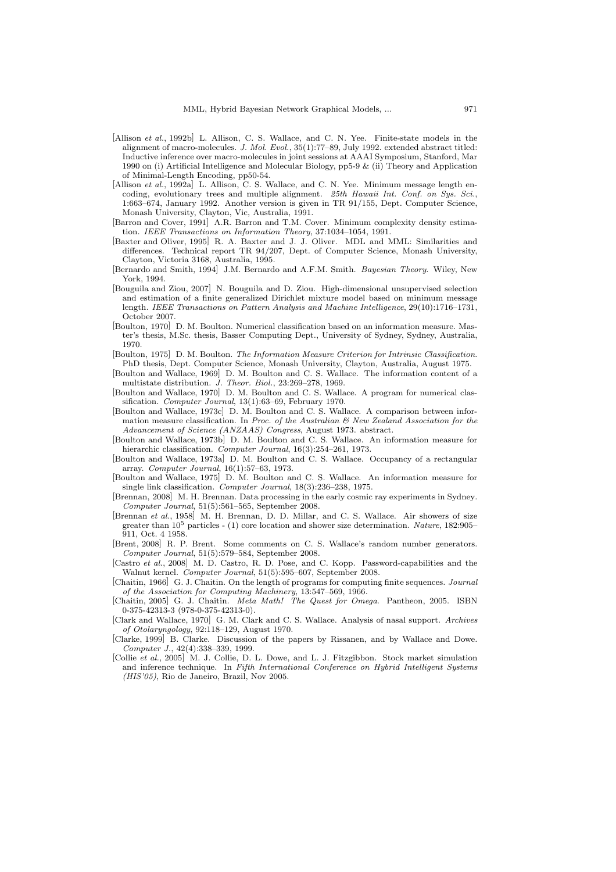- [Allison *et al.*, 1992b] L. Allison, C. S. Wallace, and C. N. Yee. Finite-state models in the alignment of macro-molecules. *J. Mol. Evol.*, 35(1):77–89, July 1992. extended abstract titled: Inductive inference over macro-molecules in joint sessions at AAAI Symposium, Stanford, Mar 1990 on (i) Artificial Intelligence and Molecular Biology, pp5-9 & (ii) Theory and Application of Minimal-Length Encoding, pp50-54.
- [Allison *et al.*, 1992a] L. Allison, C. S. Wallace, and C. N. Yee. Minimum message length encoding, evolutionary trees and multiple alignment. *25th Hawaii Int. Conf. on Sys. Sci.*, 1:663–674, January 1992. Another version is given in TR 91/155, Dept. Computer Science, Monash University, Clayton, Vic, Australia, 1991.
- [Barron and Cover, 1991] A.R. Barron and T.M. Cover. Minimum complexity density estimation. *IEEE Transactions on Information Theory*, 37:1034–1054, 1991.
- [Baxter and Oliver, 1995] R. A. Baxter and J. J. Oliver. MDL and MML: Similarities and differences. Technical report TR 94/207, Dept. of Computer Science, Monash University, Clayton, Victoria 3168, Australia, 1995.
- [Bernardo and Smith, 1994] J.M. Bernardo and A.F.M. Smith. *Bayesian Theory*. Wiley, New York, 1994.
- [Bouguila and Ziou, 2007] N. Bouguila and D. Ziou. High-dimensional unsupervised selection and estimation of a finite generalized Dirichlet mixture model based on minimum message length. *IEEE Transactions on Pattern Analysis and Machine Intelligence*, 29(10):1716–1731, October 2007.
- [Boulton, 1970] D. M. Boulton. Numerical classification based on an information measure. Master's thesis, M.Sc. thesis, Basser Computing Dept., University of Sydney, Sydney, Australia, 1970.
- [Boulton, 1975] D. M. Boulton. *The Information Measure Criterion for Intrinsic Classification*. PhD thesis, Dept. Computer Science, Monash University, Clayton, Australia, August 1975.
- [Boulton and Wallace, 1969] D. M. Boulton and C. S. Wallace. The information content of a multistate distribution. *J. Theor. Biol.*, 23:269–278, 1969.
- [Boulton and Wallace, 1970] D. M. Boulton and C. S. Wallace. A program for numerical classification. *Computer Journal*, 13(1):63–69, February 1970.
- [Boulton and Wallace, 1973c] D. M. Boulton and C. S. Wallace. A comparison between information measure classification. In *Proc. of the Australian & New Zealand Association for the Advancement of Science (ANZAAS) Congress*, August 1973. abstract.
- [Boulton and Wallace, 1973b] D. M. Boulton and C. S. Wallace. An information measure for hierarchic classification. *Computer Journal*, 16(3):254–261, 1973.
- [Boulton and Wallace, 1973a] D. M. Boulton and C. S. Wallace. Occupancy of a rectangular array. *Computer Journal*, 16(1):57–63, 1973.
- [Boulton and Wallace, 1975] D. M. Boulton and C. S. Wallace. An information measure for single link classification. *Computer Journal*, 18(3):236–238, 1975.
- [Brennan, 2008] M. H. Brennan. Data processing in the early cosmic ray experiments in Sydney. *Computer Journal*, 51(5):561–565, September 2008.
- [Brennan *et al.*, 1958] M. H. Brennan, D. D. Millar, and C. S. Wallace. Air showers of size greater than 10<sup>5</sup> particles - (1) core location and shower size determination. *Nature*, 182:905– 911, Oct. 4 1958.
- [Brent, 2008] R. P. Brent. Some comments on C. S. Wallace's random number generators. *Computer Journal*, 51(5):579–584, September 2008.
- [Castro *et al.*, 2008] M. D. Castro, R. D. Pose, and C. Kopp. Password-capabilities and the Walnut kernel. *Computer Journal*, 51(5):595–607, September 2008.
- [Chaitin, 1966] G. J. Chaitin. On the length of programs for computing finite sequences. *Journal of the Association for Computing Machinery*, 13:547–569, 1966.
- [Chaitin, 2005] G. J. Chaitin. *Meta Math! The Quest for Omega*. Pantheon, 2005. ISBN 0-375-42313-3 (978-0-375-42313-0).
- [Clark and Wallace, 1970] G. M. Clark and C. S. Wallace. Analysis of nasal support. *Archives of Otolaryngology*, 92:118–129, August 1970.
- [Clarke, 1999] B. Clarke. Discussion of the papers by Rissanen, and by Wallace and Dowe. *Computer J.*, 42(4):338–339, 1999.
- [Collie *et al.*, 2005] M. J. Collie, D. L. Dowe, and L. J. Fitzgibbon. Stock market simulation and inference technique. In *Fifth International Conference on Hybrid Intelligent Systems (HIS'05)*, Rio de Janeiro, Brazil, Nov 2005.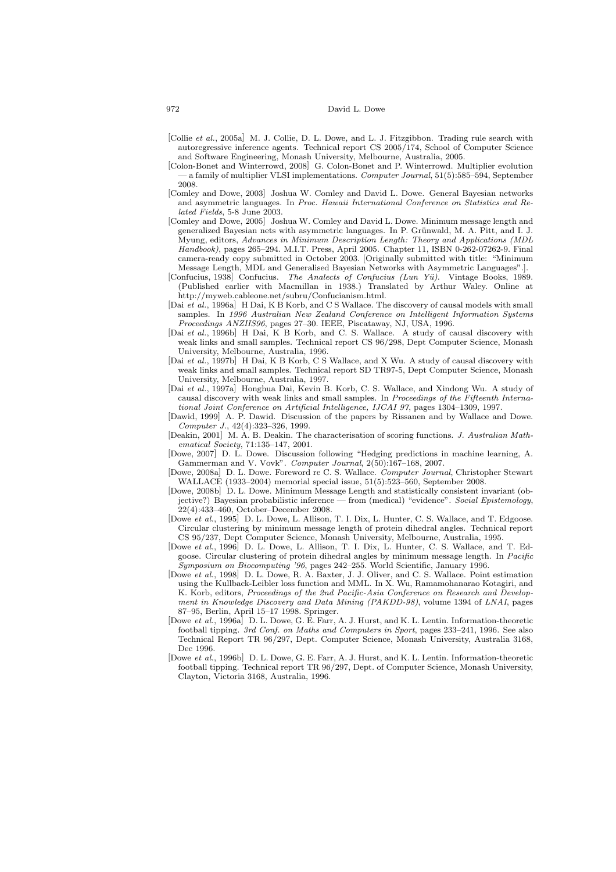- [Collie *et al.*, 2005a] M. J. Collie, D. L. Dowe, and L. J. Fitzgibbon. Trading rule search with autoregressive inference agents. Technical report CS 2005/174, School of Computer Science and Software Engineering, Monash University, Melbourne, Australia, 2005.
- [Colon-Bonet and Winterrowd, 2008] G. Colon-Bonet and P. Winterrowd. Multiplier evolution — a family of multiplier VLSI implementations. *Computer Journal*, 51(5):585–594, September 2008.
- [Comley and Dowe, 2003] Joshua W. Comley and David L. Dowe. General Bayesian networks and asymmetric languages. In *Proc. Hawaii International Conference on Statistics and Related Fields*, 5-8 June 2003.
- [Comley and Dowe, 2005] Joshua W. Comley and David L. Dowe. Minimum message length and generalized Bayesian nets with asymmetric languages. In P. Grünwald, M. A. Pitt, and I. J. Myung, editors, *Advances in Minimum Description Length: Theory and Applications (MDL Handbook)*, pages 265–294. M.I.T. Press, April 2005. Chapter 11, ISBN 0-262-07262-9. Final camera-ready copy submitted in October 2003. [Originally submitted with title: "Minimum Message Length, MDL and Generalised Bayesian Networks with Asymmetric Languages".].
- [Confucius, 1938] Confucius. *The Analects of Confucius (Lun Y¨u)*. Vintage Books, 1989. (Published earlier with Macmillan in 1938.) Translated by Arthur Waley. Online at http://myweb.cableone.net/subru/Confucianism.html.
- [Dai *et al.*, 1996a] H Dai, K B Korb, and C S Wallace. The discovery of causal models with small samples. In *1996 Australian New Zealand Conference on Intelligent Information Systems Proceedings ANZIIS96*, pages 27–30. IEEE, Piscataway, NJ, USA, 1996.
- [Dai *et al.*, 1996b] H Dai, K B Korb, and C. S. Wallace. A study of causal discovery with weak links and small samples. Technical report CS 96/298, Dept Computer Science, Monash University, Melbourne, Australia, 1996.
- [Dai *et al.*, 1997b] H Dai, K B Korb, C S Wallace, and X Wu. A study of causal discovery with weak links and small samples. Technical report SD TR97-5, Dept Computer Science, Monash University, Melbourne, Australia, 1997.
- [Dai *et al.*, 1997a] Honghua Dai, Kevin B. Korb, C. S. Wallace, and Xindong Wu. A study of causal discovery with weak links and small samples. In *Proceedings of the Fifteenth International Joint Conference on Artificial Intelligence, IJCAI 97*, pages 1304–1309, 1997.
- [Dawid, 1999] A. P. Dawid. Discussion of the papers by Rissanen and by Wallace and Dowe. *Computer J.*, 42(4):323–326, 1999.
- [Deakin, 2001] M. A. B. Deakin. The characterisation of scoring functions. *J. Australian Mathematical Society*, 71:135–147, 2001.
- [Dowe, 2007] D. L. Dowe. Discussion following "Hedging predictions in machine learning, A. Gammerman and V. Vovk". *Computer Journal*, 2(50):167–168, 2007.
- [Dowe, 2008a] D. L. Dowe. Foreword re C. S. Wallace. *Computer Journal*, Christopher Stewart WALLACE (1933–2004) memorial special issue, 51(5):523–560, September 2008.
- [Dowe, 2008b] D. L. Dowe. Minimum Message Length and statistically consistent invariant (objective?) Bayesian probabilistic inference — from (medical) "evidence". *Social Epistemology*, 22(4):433–460, October–December 2008.
- [Dowe *et al.*, 1995] D. L. Dowe, L. Allison, T. I. Dix, L. Hunter, C. S. Wallace, and T. Edgoose. Circular clustering by minimum message length of protein dihedral angles. Technical report CS 95/237, Dept Computer Science, Monash University, Melbourne, Australia, 1995.
- [Dowe *et al.*, 1996] D. L. Dowe, L. Allison, T. I. Dix, L. Hunter, C. S. Wallace, and T. Edgoose. Circular clustering of protein dihedral angles by minimum message length. In *Pacific Symposium on Biocomputing '96*, pages 242–255. World Scientific, January 1996.
- [Dowe *et al.*, 1998] D. L. Dowe, R. A. Baxter, J. J. Oliver, and C. S. Wallace. Point estimation using the Kullback-Leibler loss function and MML. In X. Wu, Ramamohanarao Kotagiri, and K. Korb, editors, *Proceedings of the 2nd Pacific-Asia Conference on Research and Development in Knowledge Discovery and Data Mining (PAKDD-98)*, volume 1394 of *LNAI*, pages 87–95, Berlin, April 15–17 1998. Springer.
- [Dowe *et al.*, 1996a] D. L. Dowe, G. E. Farr, A. J. Hurst, and K. L. Lentin. Information-theoretic football tipping. *3rd Conf. on Maths and Computers in Sport*, pages 233–241, 1996. See also Technical Report TR 96/297, Dept. Computer Science, Monash University, Australia 3168, Dec 1996.
- [Dowe *et al.*, 1996b] D. L. Dowe, G. E. Farr, A. J. Hurst, and K. L. Lentin. Information-theoretic football tipping. Technical report TR 96/297, Dept. of Computer Science, Monash University, Clayton, Victoria 3168, Australia, 1996.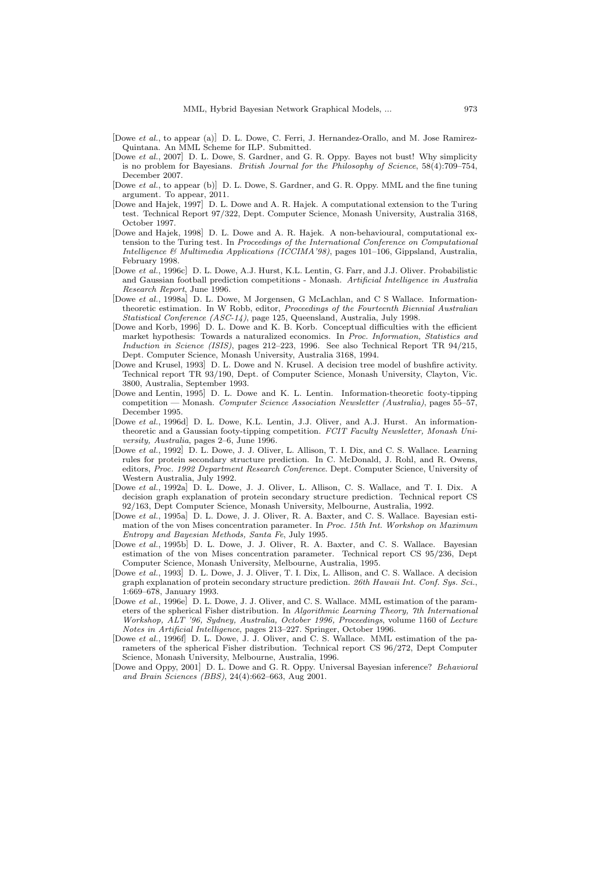- [Dowe *et al.*, to appear (a)] D. L. Dowe, C. Ferri, J. Hernandez-Orallo, and M. Jose Ramirez-Quintana. An MML Scheme for ILP. Submitted.
- [Dowe *et al.*, 2007] D. L. Dowe, S. Gardner, and G. R. Oppy. Bayes not bust! Why simplicity is no problem for Bayesians. *British Journal for the Philosophy of Science*, 58(4):709–754, December 2007.
- [Dowe *et al.*, to appear (b)] D. L. Dowe, S. Gardner, and G. R. Oppy. MML and the fine tuning argument. To appear, 2011.
- [Dowe and Hajek, 1997] D. L. Dowe and A. R. Hajek. A computational extension to the Turing test. Technical Report 97/322, Dept. Computer Science, Monash University, Australia 3168, October 1997.
- [Dowe and Hajek, 1998] D. L. Dowe and A. R. Hajek. A non-behavioural, computational extension to the Turing test. In *Proceedings of the International Conference on Computational Intelligence & Multimedia Applications (ICCIMA'98)*, pages 101–106, Gippsland, Australia, February 1998.
- [Dowe *et al.*, 1996c] D. L. Dowe, A.J. Hurst, K.L. Lentin, G. Farr, and J.J. Oliver. Probabilistic and Gaussian football prediction competitions - Monash. *Artificial Intelligence in Australia Research Report*, June 1996.
- [Dowe *et al.*, 1998a] D. L. Dowe, M Jorgensen, G McLachlan, and C S Wallace. Informationtheoretic estimation. In W Robb, editor, *Proceedings of the Fourteenth Biennial Australian Statistical Conference (ASC-14)*, page 125, Queensland, Australia, July 1998.
- [Dowe and Korb, 1996] D. L. Dowe and K. B. Korb. Conceptual difficulties with the efficient market hypothesis: Towards a naturalized economics. In *Proc. Information, Statistics and Induction in Science (ISIS)*, pages 212–223, 1996. See also Technical Report TR 94/215, Dept. Computer Science, Monash University, Australia 3168, 1994.
- [Dowe and Krusel, 1993] D. L. Dowe and N. Krusel. A decision tree model of bushfire activity. Technical report TR 93/190, Dept. of Computer Science, Monash University, Clayton, Vic. 3800, Australia, September 1993.
- [Dowe and Lentin, 1995] D. L. Dowe and K. L. Lentin. Information-theoretic footy-tipping competition — Monash. *Computer Science Association Newsletter (Australia)*, pages 55–57, December 1995.
- [Dowe *et al.*, 1996d] D. L. Dowe, K.L. Lentin, J.J. Oliver, and A.J. Hurst. An informationtheoretic and a Gaussian footy-tipping competition. *FCIT Faculty Newsletter, Monash University, Australia*, pages 2–6, June 1996.
- [Dowe *et al.*, 1992] D. L. Dowe, J. J. Oliver, L. Allison, T. I. Dix, and C. S. Wallace. Learning rules for protein secondary structure prediction. In C. McDonald, J. Rohl, and R. Owens, editors, *Proc. 1992 Department Research Conference*. Dept. Computer Science, University of Western Australia, July 1992.
- [Dowe *et al.*, 1992a] D. L. Dowe, J. J. Oliver, L. Allison, C. S. Wallace, and T. I. Dix. decision graph explanation of protein secondary structure prediction. Technical report CS 92/163, Dept Computer Science, Monash University, Melbourne, Australia, 1992.
- [Dowe *et al.*, 1995a] D. L. Dowe, J. J. Oliver, R. A. Baxter, and C. S. Wallace. Bayesian estimation of the von Mises concentration parameter. In *Proc. 15th Int. Workshop on Maximum Entropy and Bayesian Methods, Santa Fe*, July 1995.
- [Dowe *et al.*, 1995b] D. L. Dowe, J. J. Oliver, R. A. Baxter, and C. S. Wallace. Bayesian estimation of the von Mises concentration parameter. Technical report CS 95/236, Dept Computer Science, Monash University, Melbourne, Australia, 1995.
- [Dowe *et al.*, 1993] D. L. Dowe, J. J. Oliver, T. I. Dix, L. Allison, and C. S. Wallace. A decision graph explanation of protein secondary structure prediction. *26th Hawaii Int. Conf. Sys. Sci.*, 1:669–678, January 1993.
- [Dowe *et al.*, 1996e] D. L. Dowe, J. J. Oliver, and C. S. Wallace. MML estimation of the parameters of the spherical Fisher distribution. In *Algorithmic Learning Theory, 7th International Workshop, ALT '96, Sydney, Australia, October 1996, Proceedings*, volume 1160 of *Lecture Notes in Artificial Intelligence*, pages 213–227. Springer, October 1996.
- [Dowe *et al.*, 1996f] D. L. Dowe, J. J. Oliver, and C. S. Wallace. MML estimation of the parameters of the spherical Fisher distribution. Technical report CS 96/272, Dept Computer Science, Monash University, Melbourne, Australia, 1996.
- [Dowe and Oppy, 2001] D. L. Dowe and G. R. Oppy. Universal Bayesian inference? *Behavioral and Brain Sciences (BBS)*, 24(4):662–663, Aug 2001.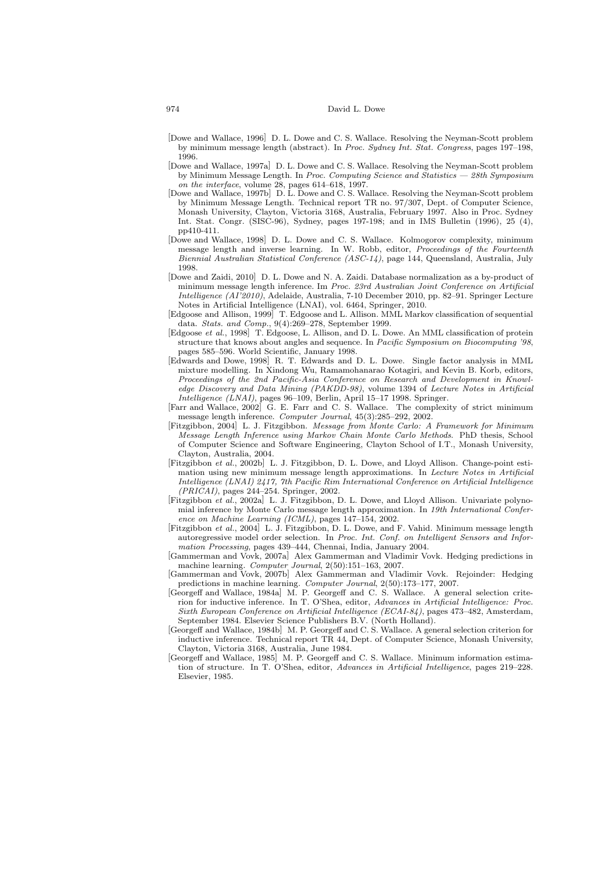- [Dowe and Wallace, 1996] D. L. Dowe and C. S. Wallace. Resolving the Neyman-Scott problem by minimum message length (abstract). In *Proc. Sydney Int. Stat. Congress*, pages 197–198, 1996.
- [Dowe and Wallace, 1997a] D. L. Dowe and C. S. Wallace. Resolving the Neyman-Scott problem by Minimum Message Length. In *Proc. Computing Science and Statistics — 28th Symposium on the interface*, volume 28, pages 614–618, 1997.
- [Dowe and Wallace, 1997b] D. L. Dowe and C. S. Wallace. Resolving the Neyman-Scott problem by Minimum Message Length. Technical report TR no. 97/307, Dept. of Computer Science, Monash University, Clayton, Victoria 3168, Australia, February 1997. Also in Proc. Sydney Int. Stat. Congr. (SISC-96), Sydney, pages 197-198; and in IMS Bulletin (1996), 25 (4), pp410-411.
- [Dowe and Wallace, 1998] D. L. Dowe and C. S. Wallace. Kolmogorov complexity, minimum message length and inverse learning. In W. Robb, editor, *Proceedings of the Fourteenth Biennial Australian Statistical Conference (ASC-14)*, page 144, Queensland, Australia, July 1998.
- [Dowe and Zaidi, 2010] D. L. Dowe and N. A. Zaidi. Database normalization as a by-product of minimum message length inference. Im *Proc. 23rd Australian Joint Conference on Artificial Intelligence (AI'2010)*, Adelaide, Australia, 7-10 December 2010, pp. 82–91. Springer Lecture Notes in Artificial Intelligence (LNAI), vol. 6464, Springer, 2010.
- [Edgoose and Allison, 1999] T. Edgoose and L. Allison. MML Markov classification of sequential data. *Stats. and Comp.*, 9(4):269–278, September 1999.
- [Edgoose *et al.*, 1998] T. Edgoose, L. Allison, and D. L. Dowe. An MML classification of protein structure that knows about angles and sequence. In *Pacific Symposium on Biocomputing '98*, pages 585–596. World Scientific, January 1998.
- [Edwards and Dowe, 1998] R. T. Edwards and D. L. Dowe. Single factor analysis in MML mixture modelling. In Xindong Wu, Ramamohanarao Kotagiri, and Kevin B. Korb, editors, *Proceedings of the 2nd Pacific-Asia Conference on Research and Development in Knowledge Discovery and Data Mining (PAKDD-98)*, volume 1394 of *Lecture Notes in Artificial Intelligence (LNAI)*, pages 96–109, Berlin, April 15–17 1998. Springer.
- [Farr and Wallace, 2002] G. E. Farr and C. S. Wallace. The complexity of strict minimum message length inference. *Computer Journal*, 45(3):285–292, 2002.
- [Fitzgibbon, 2004] L. J. Fitzgibbon. *Message from Monte Carlo: A Framework for Minimum Message Length Inference using Markov Chain Monte Carlo Methods*. PhD thesis, School of Computer Science and Software Engineering, Clayton School of I.T., Monash University, Clayton, Australia, 2004.
- [Fitzgibbon *et al.*, 2002b] L. J. Fitzgibbon, D. L. Dowe, and Lloyd Allison. Change-point estimation using new minimum message length approximations. In *Lecture Notes in Artificial Intelligence (LNAI) 2417, 7th Pacific Rim International Conference on Artificial Intelligence (PRICAI)*, pages 244–254. Springer, 2002.
- [Fitzgibbon *et al.*, 2002a] L. J. Fitzgibbon, D. L. Dowe, and Lloyd Allison. Univariate polynomial inference by Monte Carlo message length approximation. In *19th International Conference on Machine Learning (ICML)*, pages 147–154, 2002.
- [Fitzgibbon *et al.*, 2004] L. J. Fitzgibbon, D. L. Dowe, and F. Vahid. Minimum message length autoregressive model order selection. In *Proc. Int. Conf. on Intelligent Sensors and Information Processing*, pages 439–444, Chennai, India, January 2004.
- [Gammerman and Vovk, 2007a] Alex Gammerman and Vladimir Vovk. Hedging predictions in machine learning. *Computer Journal*, 2(50):151–163, 2007.
- [Gammerman and Vovk, 2007b] Alex Gammerman and Vladimir Vovk. Rejoinder: Hedging predictions in machine learning. *Computer Journal*, 2(50):173–177, 2007.
- [Georgeff and Wallace, 1984a] M. P. Georgeff and C. S. Wallace. A general selection criterion for inductive inference. In T. O'Shea, editor, *Advances in Artificial Intelligence: Proc. Sixth European Conference on Artificial Intelligence (ECAI-84)*, pages 473–482, Amsterdam, September 1984. Elsevier Science Publishers B.V. (North Holland).
- [Georgeff and Wallace, 1984b] M. P. Georgeff and C. S. Wallace. A general selection criterion for inductive inference. Technical report TR 44, Dept. of Computer Science, Monash University, Clayton, Victoria 3168, Australia, June 1984.
- [Georgeff and Wallace, 1985] M. P. Georgeff and C. S. Wallace. Minimum information estimation of structure. In T. O'Shea, editor, *Advances in Artificial Intelligence*, pages 219–228. Elsevier, 1985.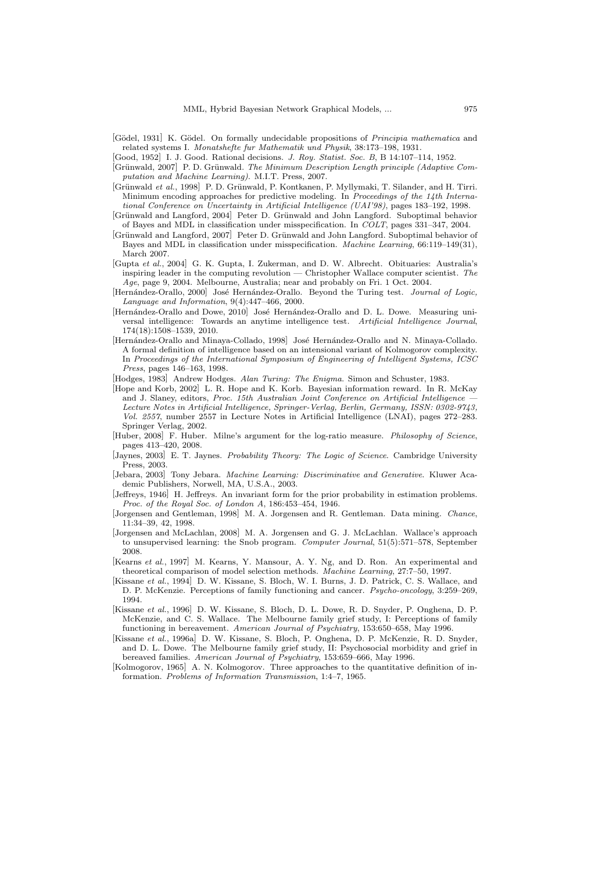[Gödel, 1931] K. Gödel. On formally undecidable propositions of *Principia mathematica* and related systems I. *Monatshefte fur Mathematik und Physik*, 38:173–198, 1931.

[Good, 1952] I. J. Good. Rational decisions. *J. Roy. Statist. Soc. B*, B 14:107–114, 1952.

- [Grünwald, 2007] P. D. Grünwald. *The Minimum Description Length principle (Adaptive Computation and Machine Learning)*. M.I.T. Press, 2007.
- [Gr¨unwald *et al.*, 1998] P. D. Gr¨unwald, P. Kontkanen, P. Myllymaki, T. Silander, and H. Tirri. Minimum encoding approaches for predictive modeling. In *Proceedings of the 14th International Conference on Uncertainty in Artificial Intelligence (UAI'98)*, pages 183–192, 1998.
- [Grünwald and Langford, 2004] Peter D. Grünwald and John Langford. Suboptimal behavior of Bayes and MDL in classification under misspecification. In *COLT*, pages 331–347, 2004.
- [Grünwald and Langford, 2007] Peter D. Grünwald and John Langford. Suboptimal behavior of Bayes and MDL in classification under misspecification. *Machine Learning*, 66:119–149(31), March 2007.
- [Gupta *et al.*, 2004] G. K. Gupta, I. Zukerman, and D. W. Albrecht. Obituaries: Australia's inspiring leader in the computing revolution — Christopher Wallace computer scientist. *The Age*, page 9, 2004. Melbourne, Australia; near and probably on Fri. 1 Oct. 2004.
- [Hernández-Orallo, 2000] José Hernández-Orallo. Beyond the Turing test. *Journal of Logic*, *Language and Information*, 9(4):447–466, 2000.
- [Hernández-Orallo and Dowe, 2010] José Hernández-Orallo and D. L. Dowe. Measuring universal intelligence: Towards an anytime intelligence test. *Artificial Intelligence Journal*, 174(18):1508–1539, 2010.
- [Hernández-Orallo and Minaya-Collado, 1998] José Hernández-Orallo and N. Minaya-Collado. A formal definition of intelligence based on an intensional variant of Kolmogorov complexity. In *Proceedings of the International Symposium of Engineering of Intelligent Systems, ICSC Press*, pages 146–163, 1998.

[Hodges, 1983] Andrew Hodges. *Alan Turing: The Enigma*. Simon and Schuster, 1983.

- [Hope and Korb, 2002] L. R. Hope and K. Korb. Bayesian information reward. In R. McKay and J. Slaney, editors, *Proc. 15th Australian Joint Conference on Artificial Intelligence* -*Lecture Notes in Artificial Intelligence, Springer-Verlag, Berlin, Germany, ISSN: 0302-9743, Vol. 2557*, number 2557 in Lecture Notes in Artificial Intelligence (LNAI), pages 272–283. Springer Verlag, 2002.
- [Huber, 2008] F. Huber. Milne's argument for the log-ratio measure. *Philosophy of Science*, pages 413–420, 2008.
- [Jaynes, 2003] E. T. Jaynes. *Probability Theory: The Logic of Science*. Cambridge University Press, 2003.
- [Jebara, 2003] Tony Jebara. *Machine Learning: Discriminative and Generative*. Kluwer Academic Publishers, Norwell, MA, U.S.A., 2003.
- [Jeffreys, 1946] H. Jeffreys. An invariant form for the prior probability in estimation problems. *Proc. of the Royal Soc. of London A*, 186:453–454, 1946.
- [Jorgensen and Gentleman, 1998] M. A. Jorgensen and R. Gentleman. Data mining. *Chance*, 11:34–39, 42, 1998.
- [Jorgensen and McLachlan, 2008] M. A. Jorgensen and G. J. McLachlan. Wallace's approach to unsupervised learning: the Snob program. *Computer Journal*, 51(5):571–578, September 2008.
- [Kearns *et al.*, 1997] M. Kearns, Y. Mansour, A. Y. Ng, and D. Ron. An experimental and theoretical comparison of model selection methods. *Machine Learning*, 27:7–50, 1997.
- [Kissane *et al.*, 1994] D. W. Kissane, S. Bloch, W. I. Burns, J. D. Patrick, C. S. Wallace, and D. P. McKenzie. Perceptions of family functioning and cancer. *Psycho-oncology*, 3:259–269, 1994.
- [Kissane *et al.*, 1996] D. W. Kissane, S. Bloch, D. L. Dowe, R. D. Snyder, P. Onghena, D. P. McKenzie, and C. S. Wallace. The Melbourne family grief study, I: Perceptions of family functioning in bereavement. *American Journal of Psychiatry*, 153:650–658, May 1996.
- [Kissane *et al.*, 1996a] D. W. Kissane, S. Bloch, P. Onghena, D. P. McKenzie, R. D. Snyder, and D. L. Dowe. The Melbourne family grief study, II: Psychosocial morbidity and grief in bereaved families. *American Journal of Psychiatry*, 153:659–666, May 1996.
- [Kolmogorov, 1965] A. N. Kolmogorov. Three approaches to the quantitative definition of information. *Problems of Information Transmission*, 1:4–7, 1965.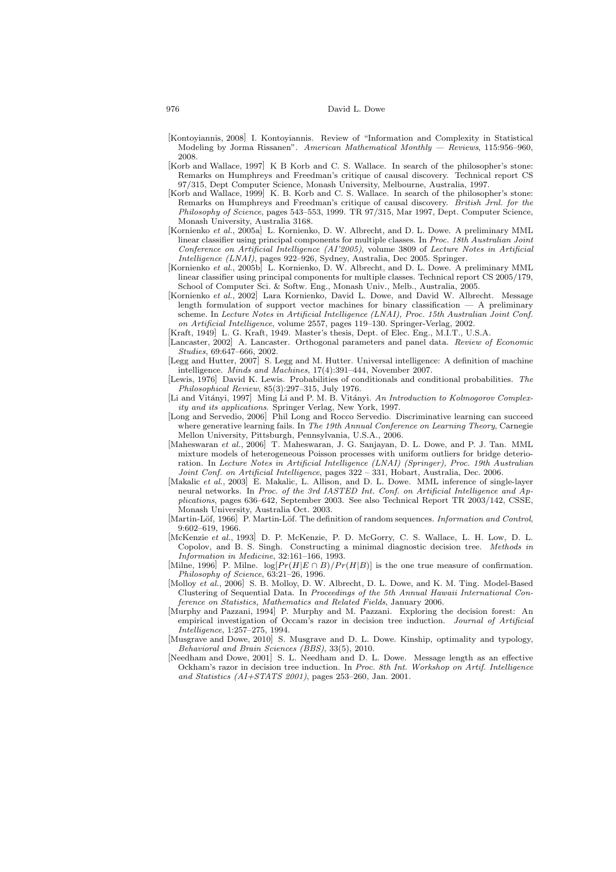- [Kontoyiannis, 2008] I. Kontoyiannis. Review of "Information and Complexity in Statistical Modeling by Jorma Rissanen". *American Mathematical Monthly — Reviews*, 115:956–960, 2008.
- [Korb and Wallace, 1997] K B Korb and C. S. Wallace. In search of the philosopher's stone: Remarks on Humphreys and Freedman's critique of causal discovery. Technical report CS 97/315, Dept Computer Science, Monash University, Melbourne, Australia, 1997.
- [Korb and Wallace, 1999] K. B. Korb and C. S. Wallace. In search of the philosopher's stone: Remarks on Humphreys and Freedman's critique of causal discovery. *British Jrnl. for the Philosophy of Science*, pages 543–553, 1999. TR 97/315, Mar 1997, Dept. Computer Science, Monash University, Australia 3168.
- [Kornienko *et al.*, 2005a] L. Kornienko, D. W. Albrecht, and D. L. Dowe. A preliminary MML linear classifier using principal components for multiple classes. In *Proc. 18th Australian Joint Conference on Artificial Intelligence (AI'2005)*, volume 3809 of *Lecture Notes in Artificial Intelligence (LNAI)*, pages 922–926, Sydney, Australia, Dec 2005. Springer.
- [Kornienko *et al.*, 2005b] L. Kornienko, D. W. Albrecht, and D. L. Dowe. A preliminary MML linear classifier using principal components for multiple classes. Technical report CS 2005/179, School of Computer Sci. & Softw. Eng., Monash Univ., Melb., Australia, 2005.
- [Kornienko *et al.*, 2002] Lara Kornienko, David L. Dowe, and David W. Albrecht. Message length formulation of support vector machines for binary classification  $-$  A preliminary scheme. In *Lecture Notes in Artificial Intelligence (LNAI), Proc. 15th Australian Joint Conf. on Artificial Intelligence*, volume 2557, pages 119–130. Springer-Verlag, 2002.
- [Kraft, 1949] L. G. Kraft, 1949. Master's thesis, Dept. of Elec. Eng., M.I.T., U.S.A.
- [Lancaster, 2002] A. Lancaster. Orthogonal parameters and panel data. *Review of Economic Studies*, 69:647–666, 2002.
- [Legg and Hutter, 2007] S. Legg and M. Hutter. Universal intelligence: A definition of machine intelligence. *Minds and Machines*, 17(4):391–444, November 2007.
- [Lewis, 1976] David K. Lewis. Probabilities of conditionals and conditional probabilities. *The Philosophical Review*, 85(3):297–315, July 1976.
- [Li and Vitányi, 1997] Ming Li and P. M. B. Vitányi. *An Introduction to Kolmogorov Complexity and its applications*. Springer Verlag, New York, 1997.
- [Long and Servedio, 2006] Phil Long and Rocco Servedio. Discriminative learning can succeed where generative learning fails. In *The 19th Annual Conference on Learning Theory*, Carnegie Mellon University, Pittsburgh, Pennsylvania, U.S.A., 2006.
- [Maheswaran *et al.*, 2006] T. Maheswaran, J. G. Sanjayan, D. L. Dowe, and P. J. Tan. MML mixture models of heterogeneous Poisson processes with uniform outliers for bridge deterioration. In *Lecture Notes in Artificial Intelligence (LNAI) (Springer), Proc. 19th Australian Joint Conf. on Artificial Intelligence*, pages 322 – 331, Hobart, Australia, Dec. 2006.
- [Makalic *et al.*, 2003] E. Makalic, L. Allison, and D. L. Dowe. MML inference of single-layer neural networks. In *Proc. of the 3rd IASTED Int. Conf. on Artificial Intelligence and Applications*, pages 636–642, September 2003. See also Technical Report TR 2003/142, CSSE, Monash University, Australia Oct. 2003.
- [Martin-Löf, 1966] P. Martin-Löf. The definition of random sequences. *Information and Control*, 9:602–619, 1966.
- [McKenzie *et al.*, 1993] D. P. McKenzie, P. D. McGorry, C. S. Wallace, L. H. Low, D. L. Copolov, and B. S. Singh. Constructing a minimal diagnostic decision tree. *Methods in Information in Medicine*, 32:161–166, 1993.
- [Milne, 1996] P. Milne.  $\log[Pr(H|E \cap B)/Pr(H|B)]$  is the one true measure of confirmation. *Philosophy of Science*, 63:21–26, 1996.
- [Molloy *et al.*, 2006] S. B. Molloy, D. W. Albrecht, D. L. Dowe, and K. M. Ting. Model-Based Clustering of Sequential Data. In *Proceedings of the 5th Annual Hawaii International Conference on Statistics, Mathematics and Related Fields*, January 2006.
- [Murphy and Pazzani, 1994] P. Murphy and M. Pazzani. Exploring the decision forest: An empirical investigation of Occam's razor in decision tree induction. *Journal of Artificial Intelligence*, 1:257–275, 1994.
- [Musgrave and Dowe, 2010] S. Musgrave and D. L. Dowe. Kinship, optimality and typology, *Behavioral and Brain Sciences (BBS)*, 33(5), 2010.
- [Needham and Dowe, 2001] S. L. Needham and D. L. Dowe. Message length as an effective Ockham's razor in decision tree induction. In *Proc. 8th Int. Workshop on Artif. Intelligence and Statistics (AI+STATS 2001)*, pages 253–260, Jan. 2001.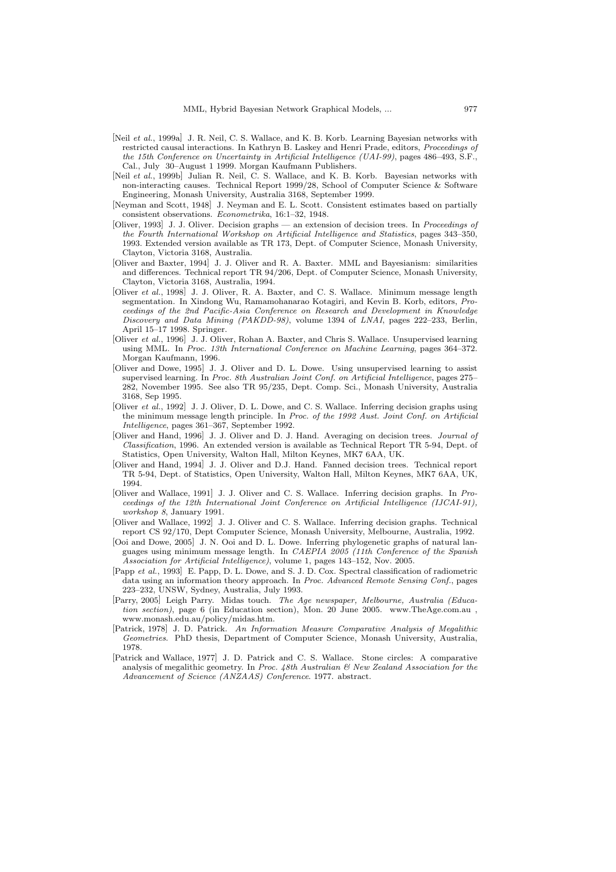- [Neil *et al.*, 1999a] J. R. Neil, C. S. Wallace, and K. B. Korb. Learning Bayesian networks with restricted causal interactions. In Kathryn B. Laskey and Henri Prade, editors, *Proceedings of the 15th Conference on Uncertainty in Artificial Intelligence (UAI-99)*, pages 486–493, S.F., Cal., July 30–August 1 1999. Morgan Kaufmann Publishers.
- [Neil *et al.*, 1999b] Julian R. Neil, C. S. Wallace, and K. B. Korb. Bayesian networks with non-interacting causes. Technical Report 1999/28, School of Computer Science & Software Engineering, Monash University, Australia 3168, September 1999.
- [Neyman and Scott, 1948] J. Neyman and E. L. Scott. Consistent estimates based on partially consistent observations. *Econometrika*, 16:1–32, 1948.
- [Oliver, 1993] J. J. Oliver. Decision graphs an extension of decision trees. In *Proceedings of the Fourth International Workshop on Artificial Intelligence and Statistics*, pages 343–350, 1993. Extended version available as TR 173, Dept. of Computer Science, Monash University, Clayton, Victoria 3168, Australia.
- [Oliver and Baxter, 1994] J. J. Oliver and R. A. Baxter. MML and Bayesianism: similarities and differences. Technical report TR 94/206, Dept. of Computer Science, Monash University, Clayton, Victoria 3168, Australia, 1994.
- [Oliver *et al.*, 1998] J. J. Oliver, R. A. Baxter, and C. S. Wallace. Minimum message length segmentation. In Xindong Wu, Ramamohanarao Kotagiri, and Kevin B. Korb, editors, *Proceedings of the 2nd Pacific-Asia Conference on Research and Development in Knowledge Discovery and Data Mining (PAKDD-98)*, volume 1394 of *LNAI*, pages 222–233, Berlin, April 15–17 1998. Springer.
- [Oliver *et al.*, 1996] J. J. Oliver, Rohan A. Baxter, and Chris S. Wallace. Unsupervised learning using MML. In *Proc. 13th International Conference on Machine Learning*, pages 364–372. Morgan Kaufmann, 1996.
- [Oliver and Dowe, 1995] J. J. Oliver and D. L. Dowe. Using unsupervised learning to assist supervised learning. In *Proc. 8th Australian Joint Conf. on Artificial Intelligence*, pages 275– 282, November 1995. See also TR 95/235, Dept. Comp. Sci., Monash University, Australia 3168, Sep 1995.
- [Oliver *et al.*, 1992] J. J. Oliver, D. L. Dowe, and C. S. Wallace. Inferring decision graphs using the minimum message length principle. In *Proc. of the 1992 Aust. Joint Conf. on Artificial Intelligence*, pages 361–367, September 1992.
- [Oliver and Hand, 1996] J. J. Oliver and D. J. Hand. Averaging on decision trees. *Journal of Classification*, 1996. An extended version is available as Technical Report TR 5-94, Dept. of Statistics, Open University, Walton Hall, Milton Keynes, MK7 6AA, UK.
- [Oliver and Hand, 1994] J. J. Oliver and D.J. Hand. Fanned decision trees. Technical report TR 5-94, Dept. of Statistics, Open University, Walton Hall, Milton Keynes, MK7 6AA, UK, 1994.
- [Oliver and Wallace, 1991] J. J. Oliver and C. S. Wallace. Inferring decision graphs. In *Proceedings of the 12th International Joint Conference on Artificial Intelligence (IJCAI-91), workshop 8*, January 1991.
- [Oliver and Wallace, 1992] J. J. Oliver and C. S. Wallace. Inferring decision graphs. Technical report CS 92/170, Dept Computer Science, Monash University, Melbourne, Australia, 1992.
- [Ooi and Dowe, 2005] J. N. Ooi and D. L. Dowe. Inferring phylogenetic graphs of natural languages using minimum message length. In *CAEPIA 2005 (11th Conference of the Spanish Association for Artificial Intelligence)*, volume 1, pages 143–152, Nov. 2005.
- [Papp *et al.*, 1993] E. Papp, D. L. Dowe, and S. J. D. Cox. Spectral classification of radiometric data using an information theory approach. In *Proc. Advanced Remote Sensing Conf.*, pages 223–232, UNSW, Sydney, Australia, July 1993.
- [Parry, 2005] Leigh Parry. Midas touch. *The Age newspaper, Melbourne, Australia (Education section)*, page 6 (in Education section), Mon. 20 June 2005. www.TheAge.com.au , www.monash.edu.au/policy/midas.htm.
- [Patrick, 1978] J. D. Patrick. *An Information Measure Comparative Analysis of Megalithic Geometries*. PhD thesis, Department of Computer Science, Monash University, Australia, 1978.
- [Patrick and Wallace, 1977] J. D. Patrick and C. S. Wallace. Stone circles: A comparative analysis of megalithic geometry. In *Proc. 48th Australian & New Zealand Association for the Advancement of Science (ANZAAS) Conference*. 1977. abstract.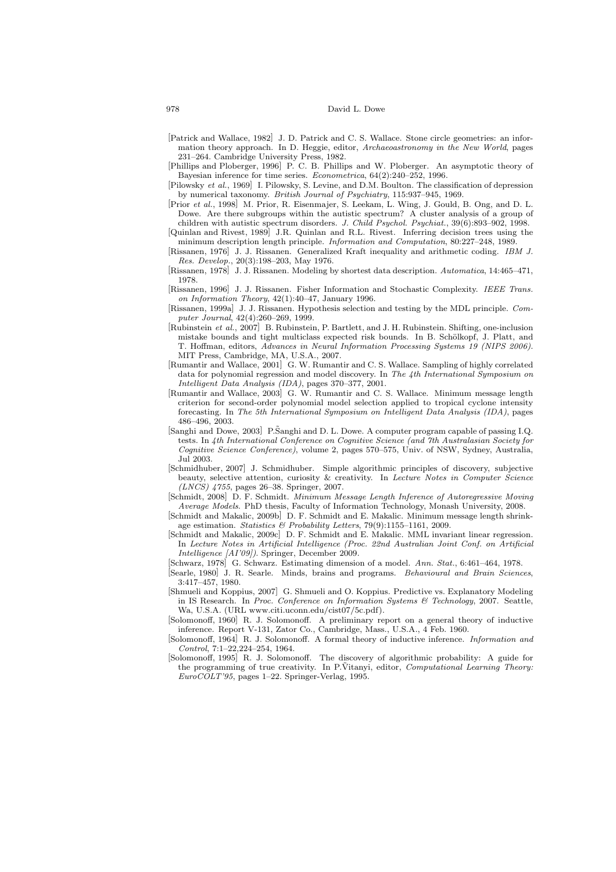- [Patrick and Wallace, 1982] J. D. Patrick and C. S. Wallace. Stone circle geometries: an information theory approach. In D. Heggie, editor, *Archaeoastronomy in the New World*, pages 231–264. Cambridge University Press, 1982.
- [Phillips and Ploberger, 1996] P. C. B. Phillips and W. Ploberger. An asymptotic theory of Bayesian inference for time series. *Econometrica*, 64(2):240–252, 1996.
- [Pilowsky *et al.*, 1969] I. Pilowsky, S. Levine, and D.M. Boulton. The classification of depression by numerical taxonomy. *British Journal of Psychiatry*, 115:937–945, 1969.
- [Prior *et al.*, 1998] M. Prior, R. Eisenmajer, S. Leekam, L. Wing, J. Gould, B. Ong, and D. L. Dowe. Are there subgroups within the autistic spectrum? A cluster analysis of a group of children with autistic spectrum disorders. *J. Child Psychol. Psychiat.*, 39(6):893–902, 1998.
- [Quinlan and Rivest, 1989] J.R. Quinlan and R.L. Rivest. Inferring decision trees using the minimum description length principle. *Information and Computation*, 80:227–248, 1989.
- [Rissanen, 1976] J. J. Rissanen. Generalized Kraft inequality and arithmetic coding. *IBM J. Res. Develop.*, 20(3):198–203, May 1976.
- [Rissanen, 1978] J. J. Rissanen. Modeling by shortest data description. *Automatica*, 14:465–471, 1978.
- [Rissanen, 1996] J. J. Rissanen. Fisher Information and Stochastic Complexity. *IEEE Trans. on Information Theory*, 42(1):40–47, January 1996.
- [Rissanen, 1999a] J. J. Rissanen. Hypothesis selection and testing by the MDL principle. *Computer Journal*, 42(4):260–269, 1999.
- [Rubinstein *et al.*, 2007] B. Rubinstein, P. Bartlett, and J. H. Rubinstein. Shifting, one-inclusion mistake bounds and tight multiclass expected risk bounds. In B. Schölkopf, J. Platt, and T. Hoffman, editors, *Advances in Neural Information Processing Systems 19 (NIPS 2006)*. MIT Press, Cambridge, MA, U.S.A., 2007.
- [Rumantir and Wallace, 2001] G. W. Rumantir and C. S. Wallace. Sampling of highly correlated data for polynomial regression and model discovery. In *The 4th International Symposium on Intelligent Data Analysis (IDA)*, pages 370–377, 2001.
- [Rumantir and Wallace, 2003] G. W. Rumantir and C. S. Wallace. Minimum message length criterion for second-order polynomial model selection applied to tropical cyclone intensity forecasting. In *The 5th International Symposium on Intelligent Data Analysis (IDA)*, pages 486–496, 2003.
- $\left[$  Sanghi and Dowe, 2003]  $\,$  P.<br>Šanghi and D. L. Dowe. A computer program capable of passing I.Q. tests. In *4th International Conference on Cognitive Science (and 7th Australasian Society for Cognitive Science Conference)*, volume 2, pages 570–575, Univ. of NSW, Sydney, Australia, Jul 2003.
- [Schmidhuber, 2007] J. Schmidhuber. Simple algorithmic principles of discovery, subjective beauty, selective attention, curiosity & creativity. In *Lecture Notes in Computer Science (LNCS) 4755*, pages 26–38. Springer, 2007.
- [Schmidt, 2008] D. F. Schmidt. *Minimum Message Length Inference of Autoregressive Moving Average Models*. PhD thesis, Faculty of Information Technology, Monash University, 2008.
- [Schmidt and Makalic, 2009b] D. F. Schmidt and E. Makalic. Minimum message length shrinkage estimation. *Statistics & Probability Letters*, 79(9):1155–1161, 2009.
- [Schmidt and Makalic, 2009c] D. F. Schmidt and E. Makalic. MML invariant linear regression. In *Lecture Notes in Artificial Intelligence (Proc. 22nd Australian Joint Conf. on Artificial Intelligence [AI'09])*. Springer, December 2009.
- [Schwarz, 1978] G. Schwarz. Estimating dimension of a model. *Ann. Stat.*, 6:461–464, 1978.
- [Searle, 1980] J. R. Searle. Minds, brains and programs. *Behavioural and Brain Sciences*, 3:417–457, 1980.
- [Shmueli and Koppius, 2007] G. Shmueli and O. Koppius. Predictive vs. Explanatory Modeling in IS Research. In *Proc. Conference on Information Systems & Technology*, 2007. Seattle, Wa, U.S.A. (URL www.citi.uconn.edu/cist07/5c.pdf).
- [Solomonoff, 1960] R. J. Solomonoff. A preliminary report on a general theory of inductive inference. Report V-131, Zator Co., Cambridge, Mass., U.S.A., 4 Feb. 1960.
- [Solomonoff, 1964] R. J. Solomonoff. A formal theory of inductive inference. *Information and Control*, 7:1–22,224–254, 1964.
- [Solomonoff, 1995] R. J. Solomonoff. The discovery of algorithmic probability: A guide for the programming of true creativity. In P.Vitanyi, editor, *Computational Learning Theory: EuroCOLT'95*, pages 1–22. Springer-Verlag, 1995.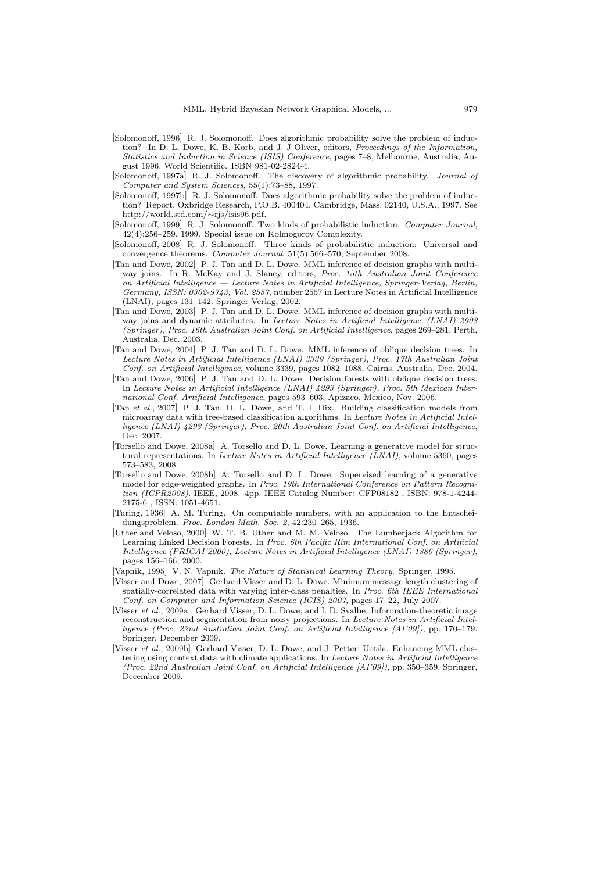- [Solomonoff, 1996] R. J. Solomonoff. Does algorithmic probability solve the problem of induction? In D. L. Dowe, K. B. Korb, and J. J Oliver, editors, *Proceedings of the Information, Statistics and Induction in Science (ISIS) Conference*, pages 7–8, Melbourne, Australia, August 1996. World Scientific. ISBN 981-02-2824-4.
- [Solomonoff, 1997a] R. J. Solomonoff. The discovery of algorithmic probability. *Journal of Computer and System Sciences*, 55(1):73–88, 1997.
- [Solomonoff, 1997b] R. J. Solomonoff. Does algorithmic probability solve the problem of induction? Report, Oxbridge Research, P.O.B. 400404, Cambridge, Mass. 02140, U.S.A., 1997. See http://world.std.com/∼rjs/isis96.pdf.
- [Solomonoff, 1999] R. J. Solomonoff. Two kinds of probabilistic induction. *Computer Journal*, 42(4):256–259, 1999. Special issue on Kolmogorov Complexity.
- [Solomonoff, 2008] R. J. Solomonoff. Three kinds of probabilistic induction: Universal and convergence theorems. *Computer Journal*, 51(5):566–570, September 2008.
- [Tan and Dowe, 2002] P. J. Tan and D. L. Dowe. MML inference of decision graphs with multiway joins. In R. McKay and J. Slaney, editors, *Proc. 15th Australian Joint Conference on Artificial Intelligence — Lecture Notes in Artificial Intelligence, Springer-Verlag, Berlin, Germany, ISSN: 0302-9743, Vol. 2557*, number 2557 in Lecture Notes in Artificial Intelligence (LNAI), pages 131–142. Springer Verlag, 2002.
- [Tan and Dowe, 2003] P. J. Tan and D. L. Dowe. MML inference of decision graphs with multiway joins and dynamic attributes. In *Lecture Notes in Artificial Intelligence (LNAI) 2903 (Springer), Proc. 16th Australian Joint Conf. on Artificial Intelligence*, pages 269–281, Perth, Australia, Dec. 2003.
- [Tan and Dowe, 2004] P. J. Tan and D. L. Dowe. MML inference of oblique decision trees. In *Lecture Notes in Artificial Intelligence (LNAI) 3339 (Springer), Proc. 17th Australian Joint Conf. on Artificial Intelligence*, volume 3339, pages 1082–1088, Cairns, Australia, Dec. 2004.
- [Tan and Dowe, 2006] P. J. Tan and D. L. Dowe. Decision forests with oblique decision trees. In *Lecture Notes in Artificial Intelligence (LNAI) 4293 (Springer), Proc. 5th Mexican International Conf. Artificial Intelligence*, pages 593–603, Apizaco, Mexico, Nov. 2006.
- [Tan *et al.*, 2007] P. J. Tan, D. L. Dowe, and T. I. Dix. Building classification models from microarray data with tree-based classification algorithms. In *Lecture Notes in Artificial Intelligence (LNAI) 4293 (Springer), Proc. 20th Australian Joint Conf. on Artificial Intelligence*, Dec. 2007.
- [Torsello and Dowe, 2008a] A. Torsello and D. L. Dowe. Learning a generative model for structural representations. In *Lecture Notes in Artificial Intelligence (LNAI)*, volume 5360, pages 573–583, 2008.
- [Torsello and Dowe, 2008b] A. Torsello and D. L. Dowe. Supervised learning of a generative model for edge-weighted graphs. In *Proc. 19th International Conference on Pattern Recognition (ICPR2008)*. IEEE, 2008. 4pp. IEEE Catalog Number: CFP08182 , ISBN: 978-1-4244- 2175-6 , ISSN: 1051-4651.
- [Turing, 1936] A. M. Turing. On computable numbers, with an application to the Entscheidungsproblem. *Proc. London Math. Soc. 2*, 42:230–265, 1936.
- [Uther and Veloso, 2000] W. T. B. Uther and M. M. Veloso. The Lumberjack Algorithm for Learning Linked Decision Forests. In *Proc. 6th Pacific Rim International Conf. on Artificial Intelligence (PRICAI'2000), Lecture Notes in Artificial Intelligence (LNAI) 1886 (Springer)*, pages 156–166, 2000.
- [Vapnik, 1995] V. N. Vapnik. *The Nature of Statistical Learning Theory*. Springer, 1995.
- [Visser and Dowe, 2007] Gerhard Visser and D. L. Dowe. Minimum message length clustering of spatially-correlated data with varying inter-class penalties. In *Proc. 6th IEEE International Conf. on Computer and Information Science (ICIS) 2007*, pages 17–22, July 2007.
- [Visser *et al.*, 2009a] Gerhard Visser, D. L. Dowe, and I. D. Svalbe. Information-theoretic image reconstruction and segmentation from noisy projections. In *Lecture Notes in Artificial Intelligence (Proc. 22nd Australian Joint Conf. on Artificial Intelligence [AI'09])*, pp. 170–179. Springer, December 2009.
- [Visser *et al.*, 2009b] Gerhard Visser, D. L. Dowe, and J. Petteri Uotila. Enhancing MML clustering using context data with climate applications. In *Lecture Notes in Artificial Intelligence (Proc. 22nd Australian Joint Conf. on Artificial Intelligence [AI'09])*, pp. 350–359. Springer, December 2009.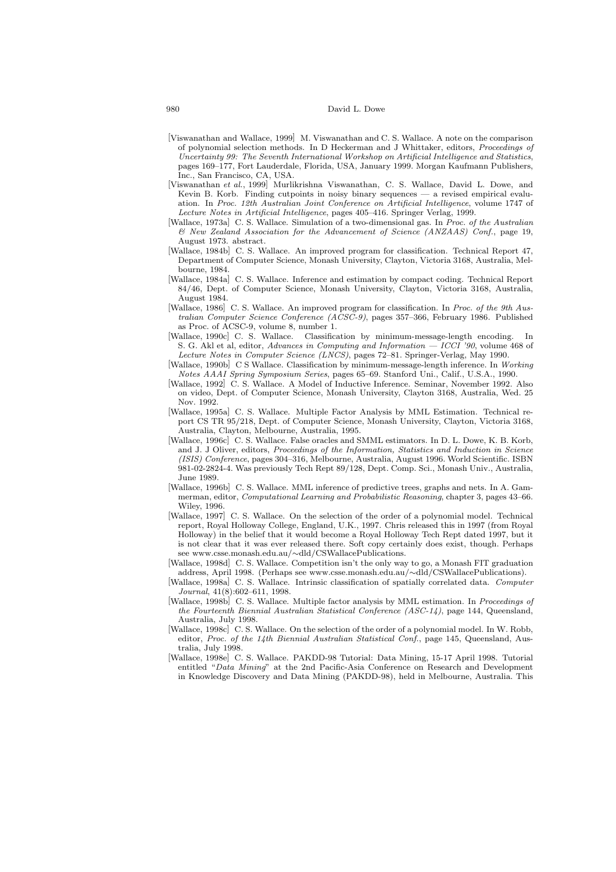- [Viswanathan and Wallace, 1999] M. Viswanathan and C. S. Wallace. A note on the comparison of polynomial selection methods. In D Heckerman and J Whittaker, editors, *Proceedings of Uncertainty 99: The Seventh International Workshop on Artificial Intelligence and Statistics*, pages 169–177, Fort Lauderdale, Florida, USA, January 1999. Morgan Kaufmann Publishers, Inc., San Francisco, CA, USA.
- [Viswanathan *et al.*, 1999] Murlikrishna Viswanathan, C. S. Wallace, David L. Dowe, and Kevin B. Korb. Finding cutpoints in noisy binary sequences — a revised empirical evaluation. In *Proc. 12th Australian Joint Conference on Artificial Intelligence*, volume 1747 of *Lecture Notes in Artificial Intelligence*, pages 405–416. Springer Verlag, 1999.
- [Wallace, 1973a] C. S. Wallace. Simulation of a two-dimensional gas. In *Proc. of the Australian & New Zealand Association for the Advancement of Science (ANZAAS) Conf.*, page 19, August 1973. abstract.
- [Wallace, 1984b] C. S. Wallace. An improved program for classification. Technical Report 47, Department of Computer Science, Monash University, Clayton, Victoria 3168, Australia, Melbourne, 1984.
- [Wallace, 1984a] C. S. Wallace. Inference and estimation by compact coding. Technical Report 84/46, Dept. of Computer Science, Monash University, Clayton, Victoria 3168, Australia, August 1984.
- [Wallace, 1986] C. S. Wallace. An improved program for classification. In *Proc. of the 9th Australian Computer Science Conference (ACSC-9)*, pages 357–366, February 1986. Published as Proc. of ACSC-9, volume 8, number 1.
- [Wallace, 1990c] C. S. Wallace. Classification by minimum-message-length encoding. S. G. Akl et al, editor, *Advances in Computing and Information — ICCI '90*, volume 468 of *Lecture Notes in Computer Science (LNCS)*, pages 72–81. Springer-Verlag, May 1990.
- [Wallace, 1990b] C S Wallace. Classification by minimum-message-length inference. In *Working Notes AAAI Spring Symposium Series*, pages 65–69. Stanford Uni., Calif., U.S.A., 1990.
- [Wallace, 1992] C. S. Wallace. A Model of Inductive Inference. Seminar, November 1992. Also on video, Dept. of Computer Science, Monash University, Clayton 3168, Australia, Wed. 25 Nov. 1992.
- [Wallace, 1995a] C. S. Wallace. Multiple Factor Analysis by MML Estimation. Technical report CS TR 95/218, Dept. of Computer Science, Monash University, Clayton, Victoria 3168, Australia, Clayton, Melbourne, Australia, 1995.
- [Wallace, 1996c] C. S. Wallace. False oracles and SMML estimators. In D. L. Dowe, K. B. Korb, and J. J Oliver, editors, *Proceedings of the Information, Statistics and Induction in Science (ISIS) Conference*, pages 304–316, Melbourne, Australia, August 1996. World Scientific. ISBN 981-02-2824-4. Was previously Tech Rept 89/128, Dept. Comp. Sci., Monash Univ., Australia, June 1989.
- [Wallace, 1996b] C. S. Wallace. MML inference of predictive trees, graphs and nets. In A. Gammerman, editor, *Computational Learning and Probabilistic Reasoning*, chapter 3, pages 43–66. Wiley, 1996.
- [Wallace, 1997] C. S. Wallace. On the selection of the order of a polynomial model. Technical report, Royal Holloway College, England, U.K., 1997. Chris released this in 1997 (from Royal Holloway) in the belief that it would become a Royal Holloway Tech Rept dated 1997, but it is not clear that it was ever released there. Soft copy certainly does exist, though. Perhaps see www.csse.monash.edu.au/∼dld/CSWallacePublications.
- [Wallace, 1998d] C. S. Wallace. Competition isn't the only way to go, a Monash FIT graduation address, April 1998. (Perhaps see www.csse.monash.edu.au/∼dld/CSWallacePublications).
- [Wallace, 1998a] C. S. Wallace. Intrinsic classification of spatially correlated data. *Computer Journal*, 41(8):602–611, 1998.
- [Wallace, 1998b] C. S. Wallace. Multiple factor analysis by MML estimation. In *Proceedings of the Fourteenth Biennial Australian Statistical Conference (ASC-14)*, page 144, Queensland, Australia, July 1998.
- [Wallace, 1998c] C. S. Wallace. On the selection of the order of a polynomial model. In W. Robb, editor, *Proc. of the 14th Biennial Australian Statistical Conf.*, page 145, Queensland, Australia, July 1998.
- [Wallace, 1998e] C. S. Wallace. PAKDD-98 Tutorial: Data Mining, 15-17 April 1998. Tutorial entitled "*Data Mining*" at the 2nd Pacific-Asia Conference on Research and Development in Knowledge Discovery and Data Mining (PAKDD-98), held in Melbourne, Australia. This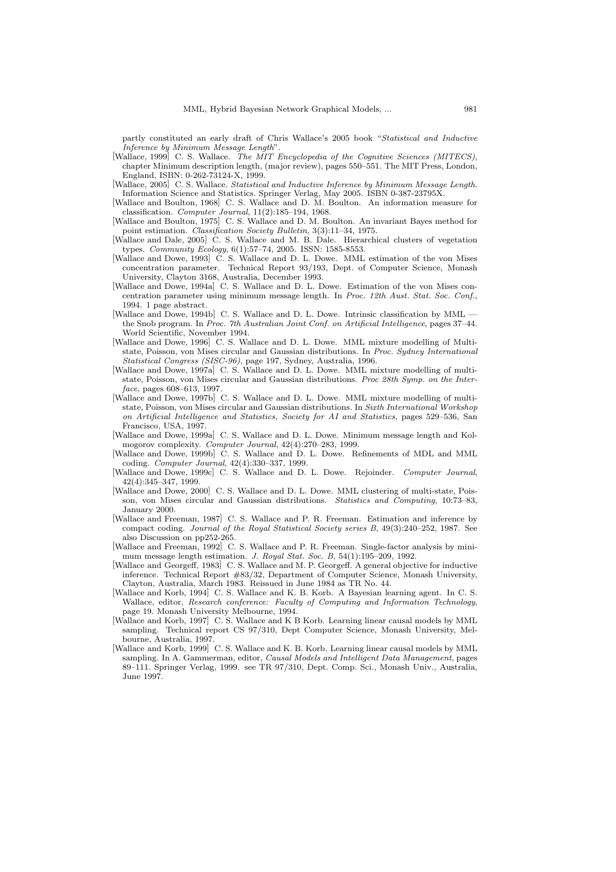partly constituted an early draft of Chris Wallace's 2005 book "*Statistical and Inductive Inference by Minimum Message Length*".

- [Wallace, 1999] C. S. Wallace. *The MIT Encyclopedia of the Cognitive Sciences (MITECS)*, chapter Minimum description length, (major review), pages 550–551. The MIT Press, London, England, ISBN: 0-262-73124-X, 1999.
- [Wallace, 2005] C. S. Wallace. *Statistical and Inductive Inference by Minimum Message Length*. Information Science and Statistics. Springer Verlag, May 2005. ISBN 0-387-23795X.
- [Wallace and Boulton, 1968] C. S. Wallace and D. M. Boulton. An information measure for classification. *Computer Journal*, 11(2):185–194, 1968.
- [Wallace and Boulton, 1975] C. S. Wallace and D. M. Boulton. An invariant Bayes method for point estimation. *Classification Society Bulletin*, 3(3):11–34, 1975.
- [Wallace and Dale, 2005] C. S. Wallace and M. B. Dale. Hierarchical clusters of vegetation types. *Community Ecology*, 6(1):57–74, 2005. ISSN: 1585-8553.
- [Wallace and Dowe, 1993] C. S. Wallace and D. L. Dowe. MML estimation of the von Mises concentration parameter. Technical Report 93/193, Dept. of Computer Science, Monash University, Clayton 3168, Australia, December 1993.
- [Wallace and Dowe, 1994a] C. S. Wallace and D. L. Dowe. Estimation of the von Mises concentration parameter using minimum message length. In *Proc. 12th Aust. Stat. Soc. Conf.*, 1994. 1 page abstract.
- [Wallace and Dowe, 1994b] C. S. Wallace and D. L. Dowe. Intrinsic classification by MML the Snob program. In *Proc. 7th Australian Joint Conf. on Artificial Intelligence*, pages 37–44. World Scientific, November 1994.
- [Wallace and Dowe, 1996] C. S. Wallace and D. L. Dowe. MML mixture modelling of Multistate, Poisson, von Mises circular and Gaussian distributions. In *Proc. Sydney International Statistical Congress (SISC-96)*, page 197, Sydney, Australia, 1996.
- [Wallace and Dowe, 1997a] C. S. Wallace and D. L. Dowe. MML mixture modelling of multistate, Poisson, von Mises circular and Gaussian distributions. *Proc 28th Symp. on the Interface*, pages 608–613, 1997.
- [Wallace and Dowe, 1997b] C. S. Wallace and D. L. Dowe. MML mixture modelling of multistate, Poisson, von Mises circular and Gaussian distributions. In *Sixth International Workshop on Artificial Intelligence and Statistics, Society for AI and Statistics*, pages 529–536, San Francisco, USA, 1997.
- [Wallace and Dowe, 1999a] C. S. Wallace and D. L. Dowe. Minimum message length and Kolmogorov complexity. *Computer Journal*, 42(4):270–283, 1999.
- [Wallace and Dowe, 1999b] C. S. Wallace and D. L. Dowe. Refinements of MDL and MML coding. *Computer Journal*, 42(4):330–337, 1999.
- [Wallace and Dowe, 1999c] C. S. Wallace and D. L. Dowe. Rejoinder. *Computer Journal*, 42(4):345–347, 1999.
- [Wallace and Dowe, 2000] C. S. Wallace and D. L. Dowe. MML clustering of multi-state, Poisson, von Mises circular and Gaussian distributions. *Statistics and Computing*, 10:73–83, January 2000.
- [Wallace and Freeman, 1987] C. S. Wallace and P. R. Freeman. Estimation and inference by compact coding. *Journal of the Royal Statistical Society series B*, 49(3):240–252, 1987. See also Discussion on pp252-265.
- [Wallace and Freeman, 1992] C. S. Wallace and P. R. Freeman. Single-factor analysis by minimum message length estimation. *J. Royal Stat. Soc. B*, 54(1):195–209, 1992.
- [Wallace and Georgeff, 1983] C. S. Wallace and M. P. Georgeff. A general objective for inductive inference. Technical Report #83/32, Department of Computer Science, Monash University, Clayton, Australia, March 1983. Reissued in June 1984 as TR No. 44.
- [Wallace and Korb, 1994] C. S. Wallace and K. B. Korb. A Bayesian learning agent. In C. S. Wallace, editor, *Research conference: Faculty of Computing and Information Technology*, page 19. Monash University Melbourne, 1994.
- [Wallace and Korb, 1997] C. S. Wallace and K B Korb. Learning linear causal models by MML sampling. Technical report CS 97/310, Dept Computer Science, Monash University, Melbourne, Australia, 1997.
- [Wallace and Korb, 1999] C. S. Wallace and K. B. Korb. Learning linear causal models by MML sampling. In A. Gammerman, editor, *Causal Models and Intelligent Data Management*, pages 89–111. Springer Verlag, 1999. see TR 97/310, Dept. Comp. Sci., Monash Univ., Australia, June 1997.